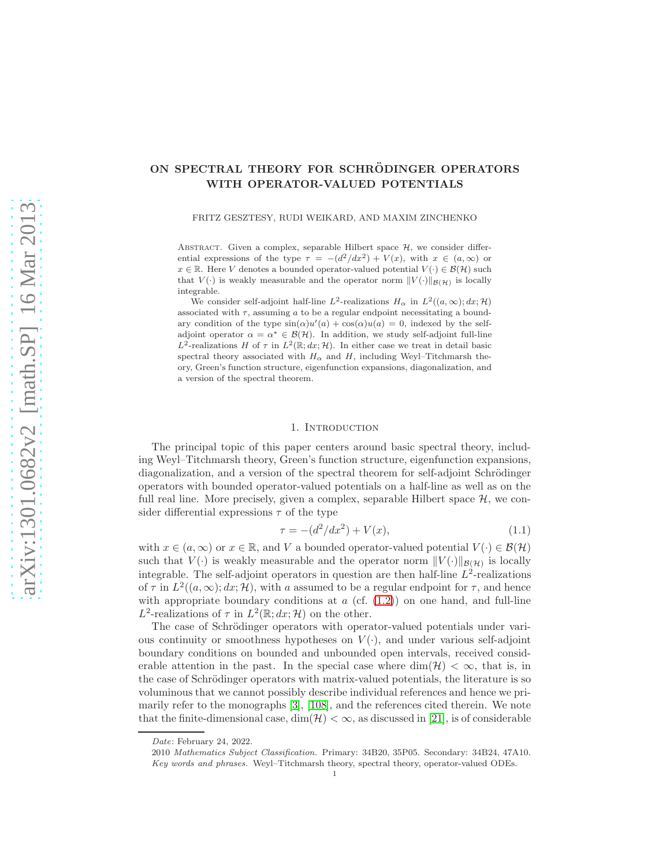# ON SPECTRAL THEORY FOR SCHRÖDINGER OPERATORS WITH OPERATOR-VALUED POTENTIALS

FRITZ GESZTESY, RUDI WEIKARD, AND MAXIM ZINCHENKO

ABSTRACT. Given a complex, separable Hilbert space  $H$ , we consider differential expressions of the type  $\tau = -(d^2/dx^2) + V(x)$ , with  $x \in (a, \infty)$  or  $x \in \mathbb{R}$ . Here V denotes a bounded operator-valued potential  $V(\cdot) \in \mathcal{B}(\mathcal{H})$  such that  $V(\cdot)$  is weakly measurable and the operator norm  $||V(\cdot)||_{\mathcal{B}(\mathcal{H})}$  is locally integrable.

We consider self-adjoint half-line  $L^2$ -realizations  $H_\alpha$  in  $L^2((a,\infty); dx; \mathcal{H})$ associated with  $\tau$ , assuming a to be a regular endpoint necessitating a boundary condition of the type  $\sin(\alpha)u'(a) + \cos(\alpha)u(a) = 0$ , indexed by the selfadjoint operator  $\alpha = \alpha^* \in \mathcal{B}(\mathcal{H})$ . In addition, we study self-adjoint full-line L<sup>2</sup>-realizations H of  $\tau$  in  $L^2(\mathbb{R}; dx; \mathcal{H})$ . In either case we treat in detail basic spectral theory associated with  $H_{\alpha}$  and H, including Weyl–Titchmarsh theory, Green's function structure, eigenfunction expansions, diagonalization, and a version of the spectral theorem.

#### 1. Introduction

The principal topic of this paper centers around basic spectral theory, including Weyl–Titchmarsh theory, Green's function structure, eigenfunction expansions, diagonalization, and a version of the spectral theorem for self-adjoint Schrödinger operators with bounded operator-valued potentials on a half-line as well as on the full real line. More precisely, given a complex, separable Hilbert space  $H$ , we consider differential expressions  $\tau$  of the type

<span id="page-0-0"></span>
$$
\tau = -(d^2/dx^2) + V(x),\tag{1.1}
$$

with  $x \in (a, \infty)$  or  $x \in \mathbb{R}$ , and V a bounded operator-valued potential  $V(\cdot) \in \mathcal{B}(\mathcal{H})$ such that  $V(\cdot)$  is weakly measurable and the operator norm  $||V(\cdot)||_{\mathcal{B}(\mathcal{H})}$  is locally integrable. The self-adjoint operators in question are then half-line  $L^2$ -realizations of  $\tau$  in  $L^2((a,\infty); dx; \mathcal{H})$ , with a assumed to be a regular endpoint for  $\tau$ , and hence with appropriate boundary conditions at  $a$  (cf.  $(1.2)$ ) on one hand, and full-line L<sup>2</sup>-realizations of  $\tau$  in  $L^2(\mathbb{R}; dx; \mathcal{H})$  on the other.

The case of Schrödinger operators with operator-valued potentials under various continuity or smoothness hypotheses on  $V(\cdot)$ , and under various self-adjoint boundary conditions on bounded and unbounded open intervals, received considerable attention in the past. In the special case where  $\dim(\mathcal{H}) < \infty$ , that is, in the case of Schrödinger operators with matrix-valued potentials, the literature is so voluminous that we cannot possibly describe individual references and hence we primarily refer to the monographs [\[3\]](#page-43-0), [\[108\]](#page-47-0), and the references cited therein. We note that the finite-dimensional case,  $\dim(\mathcal{H}) < \infty$ , as discussed in [\[21\]](#page-44-0), is of considerable

Date: February 24, 2022.

<sup>2010</sup> Mathematics Subject Classification. Primary: 34B20, 35P05. Secondary: 34B24, 47A10. Key words and phrases. Weyl–Titchmarsh theory, spectral theory, operator-valued ODEs.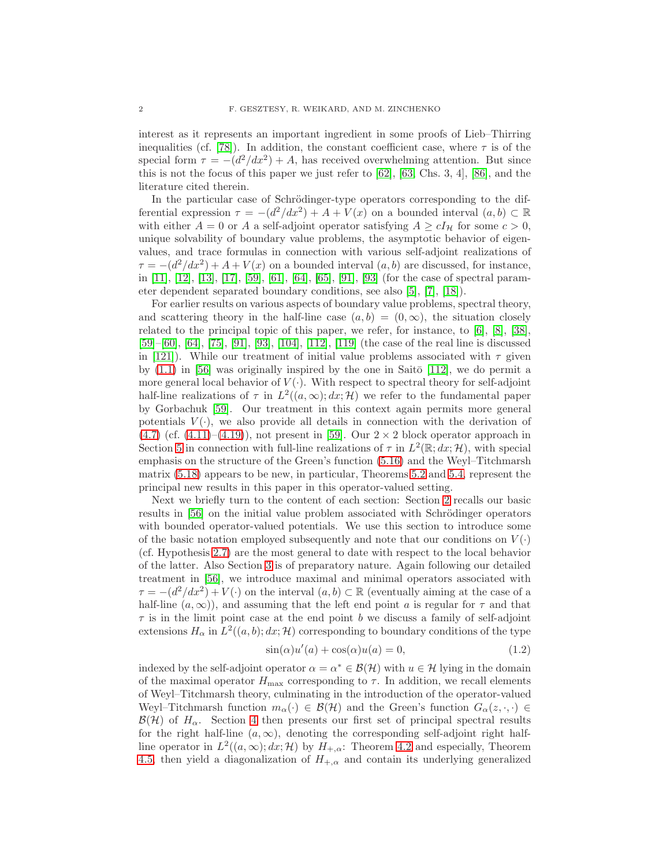interest as it represents an important ingredient in some proofs of Lieb–Thirring inequalities (cf. [\[78\]](#page-46-0)). In addition, the constant coefficient case, where  $\tau$  is of the special form  $\tau = -(d^2/dx^2) + A$ , has received overwhelming attention. But since this is not the focus of this paper we just refer to [\[62\]](#page-45-0), [\[63,](#page-45-1) Chs. 3, 4], [\[86\]](#page-46-1), and the literature cited therein.

In the particular case of Schrödinger-type operators corresponding to the differential expression  $\tau = -(d^2/dx^2) + A + V(x)$  on a bounded interval  $(a, b) \subset \mathbb{R}$ with either  $A = 0$  or A a self-adjoint operator satisfying  $A \ge cI_{\mathcal{H}}$  for some  $c > 0$ , unique solvability of boundary value problems, the asymptotic behavior of eigenvalues, and trace formulas in connection with various self-adjoint realizations of  $\tau = -(d^2/dx^2) + A + V(x)$  on a bounded interval  $(a, b)$  are discussed, for instance, in [\[11\]](#page-43-1), [\[12\]](#page-43-2), [\[13\]](#page-43-3), [\[17\]](#page-43-4), [\[59\]](#page-45-2), [\[61\]](#page-45-3), [\[64\]](#page-45-4), [\[65\]](#page-45-5), [\[91\]](#page-46-2), [\[93\]](#page-46-3) (for the case of spectral parameter dependent separated boundary conditions, see also [\[5\]](#page-43-5), [\[7\]](#page-43-6), [\[18\]](#page-44-1)).

For earlier results on various aspects of boundary value problems, spectral theory, and scattering theory in the half-line case  $(a, b) = (0, \infty)$ , the situation closely related to the principal topic of this paper, we refer, for instance, to [\[6\]](#page-43-7), [\[8\]](#page-43-8), [\[38\]](#page-44-2), [\[59\]](#page-45-2)–[\[60\]](#page-45-6), [\[64\]](#page-45-4), [\[75\]](#page-46-4), [\[91\]](#page-46-2), [\[93\]](#page-46-3), [\[104\]](#page-47-1), [\[112\]](#page-47-2), [\[119\]](#page-47-3) (the case of the real line is discussed in [\[121\]](#page-47-4)). While our treatment of initial value problems associated with  $\tau$  given by  $(1.1)$  in [\[56\]](#page-45-7) was originally inspired by the one in Saitō [\[112\]](#page-47-2), we do permit a more general local behavior of  $V(\cdot)$ . With respect to spectral theory for self-adjoint half-line realizations of  $\tau$  in  $L^2((a,\infty); dx; \mathcal{H})$  we refer to the fundamental paper by Gorbachuk [\[59\]](#page-45-2). Our treatment in this context again permits more general potentials  $V(\cdot)$ , we also provide all details in connection with the derivation of  $(4.7)$  (cf.  $(4.11)$ – $(4.19)$ ), not present in [\[59\]](#page-45-2). Our  $2 \times 2$  block operator approach in Section [5](#page-22-0) in connection with full-line realizations of  $\tau$  in  $L^2(\mathbb{R}; dx; \mathcal{H})$ , with special emphasis on the structure of the Green's function [\(5.16\)](#page-24-0) and the Weyl–Titchmarsh matrix [\(5.18\)](#page-24-1) appears to be new, in particular, Theorems [5.2](#page-25-0) and [5.4,](#page-30-0) represent the principal new results in this paper in this operator-valued setting.

Next we briefly turn to the content of each section: Section [2](#page-2-0) recalls our basic results in [\[56\]](#page-45-7) on the initial value problem associated with Schrödinger operators with bounded operator-valued potentials. We use this section to introduce some of the basic notation employed subsequently and note that our conditions on  $V(\cdot)$ (cf. Hypothesis [2.7\)](#page-7-0) are the most general to date with respect to the local behavior of the latter. Also Section [3](#page-9-0) is of preparatory nature. Again following our detailed treatment in [\[56\]](#page-45-7), we introduce maximal and minimal operators associated with  $\tau = -(d^2/dx^2) + V(\cdot)$  on the interval  $(a, b) \subset \mathbb{R}$  (eventually aiming at the case of a half-line  $(a, \infty)$ , and assuming that the left end point a is regular for  $\tau$  and that  $\tau$  is in the limit point case at the end point b we discuss a family of self-adjoint extensions  $H_{\alpha}$  in  $L^2((a, b); dx; \mathcal{H})$  corresponding to boundary conditions of the type

<span id="page-1-0"></span>
$$
\sin(\alpha)u'(a) + \cos(\alpha)u(a) = 0,\tag{1.2}
$$

indexed by the self-adjoint operator  $\alpha = \alpha^* \in \mathcal{B}(\mathcal{H})$  with  $u \in \mathcal{H}$  lying in the domain of the maximal operator  $H_{\text{max}}$  corresponding to  $\tau$ . In addition, we recall elements of Weyl–Titchmarsh theory, culminating in the introduction of the operator-valued Weyl–Titchmarsh function  $m_{\alpha}(\cdot) \in \mathcal{B}(\mathcal{H})$  and the Green's function  $G_{\alpha}(z, \cdot, \cdot) \in$  $\mathcal{B}(\mathcal{H})$  of  $H_{\alpha}$ . Section [4](#page-14-0) then presents our first set of principal spectral results for the right half-line  $(a, \infty)$ , denoting the corresponding self-adjoint right halfline operator in  $L^2((a,\infty); dx; \mathcal{H})$  by  $H_{+,\alpha}$ : Theorem [4.2](#page-15-1) and especially, Theorem [4.5,](#page-21-0) then yield a diagonalization of  $H_{+\alpha}$  and contain its underlying generalized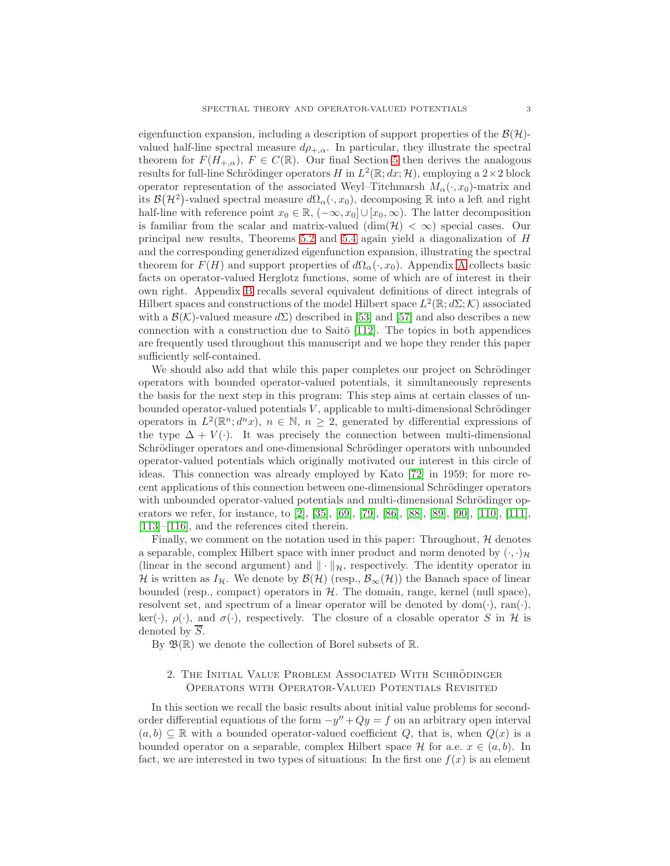eigenfunction expansion, including a description of support properties of the  $\mathcal{B}(\mathcal{H})$ valued half-line spectral measure  $d\rho_{+,\alpha}$ . In particular, they illustrate the spectral theorem for  $F(H_{+,\alpha}), F \in C(\mathbb{R})$ . Our final Section [5](#page-22-0) then derives the analogous results for full-line Schrödinger operators H in  $L^2(\mathbb{R}; dx; \mathcal{H})$ , employing a  $2 \times 2$  block operator representation of the associated Weyl–Titchmarsh  $M_{\alpha}(\cdot, x_0)$ -matrix and its  $\mathcal{B}(\mathcal{H}^2)$ -valued spectral measure  $d\Omega_\alpha(\cdot, x_0)$ , decomposing R into a left and right half-line with reference point  $x_0 \in \mathbb{R}$ ,  $(-\infty, x_0] \cup [x_0, \infty)$ . The latter decomposition is familiar from the scalar and matrix-valued  $(\dim(\mathcal{H}) < \infty)$  special cases. Our principal new results, Theorems [5.2](#page-25-0) and [5.4](#page-30-0) again yield a diagonalization of H and the corresponding generalized eigenfunction expansion, illustrating the spectral theorem for  $F(H)$  and support properties of  $d\Omega_{\alpha}(\cdot, x_0)$ . [A](#page-30-1)ppendix A collects basic facts on operator-valued Herglotz functions, some of which are of interest in their own right. Appendix [B](#page-33-0) recalls several equivalent definitions of direct integrals of Hilbert spaces and constructions of the model Hilbert space  $L^2(\mathbb{R};d\Sigma;\mathcal{K})$  associated with a  $\mathcal{B}(\mathcal{K})$ -valued measure  $d\Sigma$ ) described in [\[53\]](#page-45-8) and [\[57\]](#page-45-9) and also describes a new connection with a construction due to Saitō  $[112]$ . The topics in both appendices are frequently used throughout this manuscript and we hope they render this paper sufficiently self-contained.

We should also add that while this paper completes our project on Schrödinger operators with bounded operator-valued potentials, it simultaneously represents the basis for the next step in this program: This step aims at certain classes of unbounded operator-valued potentials  $V$ , applicable to multi-dimensional Schrödinger operators in  $L^2(\mathbb{R}^n; d^n x)$ ,  $n \in \mathbb{N}$ ,  $n \geq 2$ , generated by differential expressions of the type  $\Delta + V(\cdot)$ . It was precisely the connection between multi-dimensional Schrödinger operators and one-dimensional Schrödinger operators with unbounded operator-valued potentials which originally motivated our interest in this circle of ideas. This connection was already employed by Kato [\[72\]](#page-46-5) in 1959; for more recent applications of this connection between one-dimensional Schrödinger operators with unbounded operator-valued potentials and multi-dimensional Schrödinger operators we refer, for instance, to [\[2\]](#page-43-9), [\[35\]](#page-44-3), [\[69\]](#page-45-10), [\[79\]](#page-46-6), [\[86\]](#page-46-1), [\[88\]](#page-46-7), [\[89\]](#page-46-8), [\[90\]](#page-46-9), [\[110\]](#page-47-5), [\[111\]](#page-47-6), [\[113\]](#page-47-7)–[\[116\]](#page-47-8), and the references cited therein.

Finally, we comment on the notation used in this paper: Throughout,  $H$  denotes a separable, complex Hilbert space with inner product and norm denoted by  $(\cdot, \cdot)_{\mathcal{H}}$ (linear in the second argument) and  $\|\cdot\|_{\mathcal{H}}$ , respectively. The identity operator in H is written as  $I_{\mathcal{H}}$ . We denote by  $\mathcal{B}(\mathcal{H})$  (resp.,  $\mathcal{B}_{\infty}(\mathcal{H})$ ) the Banach space of linear bounded (resp., compact) operators in  $H$ . The domain, range, kernel (null space), resolvent set, and spectrum of a linear operator will be denoted by  $dom(\cdot)$ ,  $ran(\cdot)$ , ker(·),  $\rho(\cdot)$ , and  $\sigma(\cdot)$ , respectively. The closure of a closable operator S in H is denoted by  $\overline{S}$ .

<span id="page-2-0"></span>By  $\mathfrak{B}(\mathbb{R})$  we denote the collection of Borel subsets of  $\mathbb{R}$ .

## 2. THE INITIAL VALUE PROBLEM ASSOCIATED WITH SCHRÖDINGER Operators with Operator-Valued Potentials Revisited

In this section we recall the basic results about initial value problems for secondorder differential equations of the form  $-y'' + Qy = f$  on an arbitrary open interval  $(a, b) \subseteq \mathbb{R}$  with a bounded operator-valued coefficient Q, that is, when  $Q(x)$  is a bounded operator on a separable, complex Hilbert space  $\mathcal H$  for a.e.  $x \in (a, b)$ . In fact, we are interested in two types of situations: In the first one  $f(x)$  is an element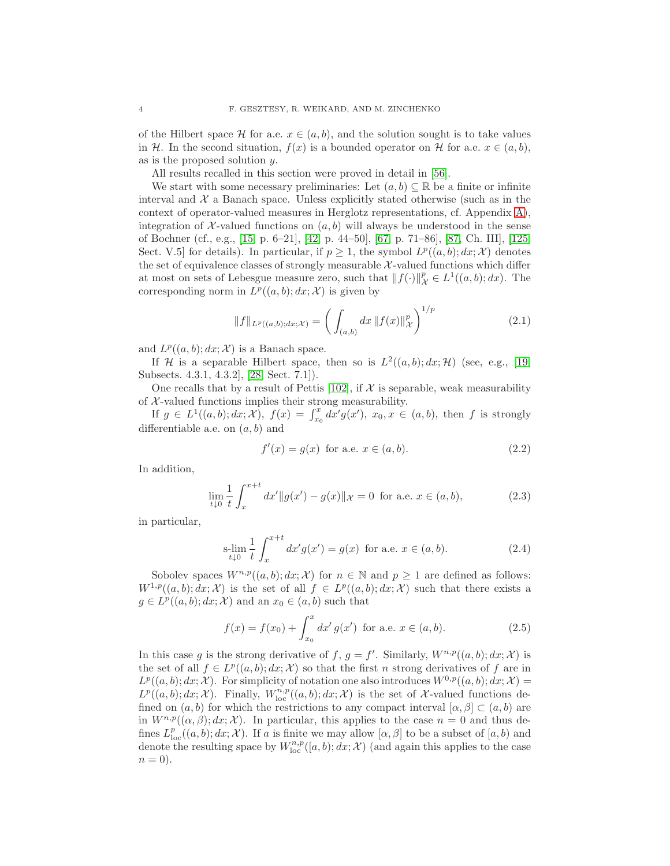of the Hilbert space H for a.e.  $x \in (a, b)$ , and the solution sought is to take values in H. In the second situation,  $f(x)$  is a bounded operator on H for a.e.  $x \in (a, b)$ , as is the proposed solution y.

All results recalled in this section were proved in detail in [\[56\]](#page-45-7).

We start with some necessary preliminaries: Let  $(a, b) \subseteq \mathbb{R}$  be a finite or infinite interval and  $\mathcal{X}$  a Banach space. Unless explicitly stated otherwise (such as in the context of operator-valued measures in Herglotz representations, cf. Appendix [A\)](#page-30-1), integration of  $\mathcal{X}$ -valued functions on  $(a, b)$  will always be understood in the sense of Bochner (cf., e.g., [\[15,](#page-43-10) p. 6–21], [\[42,](#page-44-4) p. 44–50], [\[67,](#page-45-11) p. 71–86], [\[87,](#page-46-10) Ch. III], [\[125,](#page-47-9) Sect. V.5 for details). In particular, if  $p \geq 1$ , the symbol  $L^p((a, b); dx; \mathcal{X})$  denotes the set of equivalence classes of strongly measurable  $X$ -valued functions which differ at most on sets of Lebesgue measure zero, such that  $||f(\cdot)||_{\mathcal{X}}^p \in L^1((a, b); dx)$ . The corresponding norm in  $L^p((a, b); dx; \mathcal{X})$  is given by

$$
||f||_{L^{p}((a,b);dx;X)} = \left(\int_{(a,b)} dx \, ||f(x)||_{\mathcal{X}}^{p}\right)^{1/p} \tag{2.1}
$$

and  $L^p((a, b); dx; \mathcal{X})$  is a Banach space.

If H is a separable Hilbert space, then so is  $L^2((a, b); dx; \mathcal{H})$  (see, e.g., [\[19,](#page-44-5) Subsects. 4.3.1, 4.3.2], [\[28,](#page-44-6) Sect. 7.1]).

One recalls that by a result of Pettis [\[102\]](#page-47-10), if  $\mathcal X$  is separable, weak measurability of  $X$ -valued functions implies their strong measurability.

If  $g \in L^1((a, b); dx; \mathcal{X})$ ,  $f(x) = \int_{x_0}^x dx' g(x')$ ,  $x_0, x \in (a, b)$ , then f is strongly differentiable a.e. on  $(a, b)$  and

$$
f'(x) = g(x) \text{ for a.e. } x \in (a, b).
$$
 (2.2)

In addition,

$$
\lim_{t \downarrow 0} \frac{1}{t} \int_{x}^{x+t} dx' \|g(x') - g(x)\|_{\mathcal{X}} = 0 \text{ for a.e. } x \in (a, b), \tag{2.3}
$$

in particular,

$$
s\text{-lim}_{t\downarrow 0} \frac{1}{t} \int_{x}^{x+t} dx' g(x') = g(x) \text{ for a.e. } x \in (a, b).
$$
 (2.4)

Sobolev spaces  $W^{n,p}((a, b); dx; \mathcal{X})$  for  $n \in \mathbb{N}$  and  $p \geq 1$  are defined as follows:  $W^{1,p}((a,b); dx; \mathcal{X})$  is the set of all  $f \in L^p((a,b); dx; \mathcal{X})$  such that there exists a  $g \in L^p((a, b); dx; \mathcal{X})$  and an  $x_0 \in (a, b)$  such that

$$
f(x) = f(x_0) + \int_{x_0}^{x} dx' g(x') \text{ for a.e. } x \in (a, b).
$$
 (2.5)

In this case g is the strong derivative of f,  $g = f'$ . Similarly,  $W^{n,p}((a, b); dx; \mathcal{X})$  is the set of all  $f \in L^p((a, b); dx; \mathcal{X})$  so that the first n strong derivatives of f are in  $L^p((a, b); dx; \mathcal{X})$ . For simplicity of notation one also introduces  $W^{0,p}((a, b); dx; \mathcal{X}) =$  $L^p((a, b); dx; \mathcal{X})$ . Finally,  $W^{n,p}_{\text{loc}}((a, b); dx; \mathcal{X})$  is the set of X-valued functions defined on  $(a, b)$  for which the restrictions to any compact interval  $[\alpha, \beta] \subset (a, b)$  are in  $W^{n,p}((\alpha,\beta); dx; \mathcal{X})$ . In particular, this applies to the case  $n = 0$  and thus defines  $L^p_{loc}((a, b); dx; \mathcal{X})$ . If a is finite we may allow  $[\alpha, \beta]$  to be a subset of  $[a, b)$  and denote the resulting space by  $W^{n,p}_{\text{loc}}([a, b); dx; \mathcal{X})$  (and again this applies to the case  $n = 0$ ).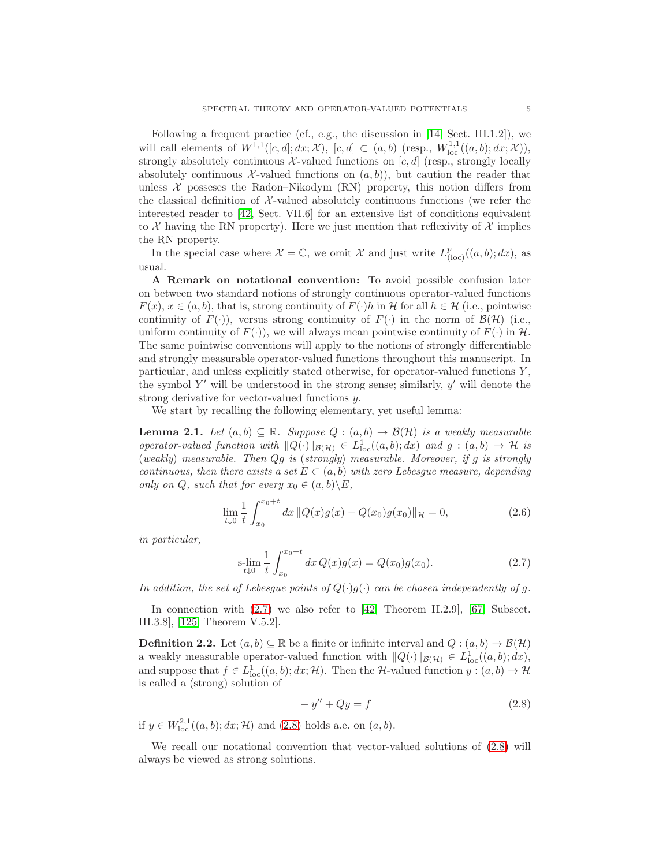Following a frequent practice (cf., e.g., the discussion in [\[14,](#page-43-11) Sect. III.1.2]), we will call elements of  $W^{1,1}([c,d]; dx; \mathcal{X})$ ,  $[c,d] \subset (a,b)$  (resp.,  $W^{1,1}_{loc}((a,b); dx; \mathcal{X})$ ), strongly absolutely continuous  $\mathcal{X}\text{-valued}$  functions on  $[c, d]$  (resp., strongly locally absolutely continuous X-valued functions on  $(a, b)$ ), but caution the reader that unless  $X$  possesses the Radon–Nikodym  $(RN)$  property, this notion differs from the classical definition of  $\mathcal{X}$ -valued absolutely continuous functions (we refer the interested reader to [\[42,](#page-44-4) Sect. VII.6] for an extensive list of conditions equivalent to  $\mathcal X$  having the RN property). Here we just mention that reflexivity of  $\mathcal X$  implies the RN property.

In the special case where  $\mathcal{X} = \mathbb{C}$ , we omit X and just write  $L^p_{(loc)}((a, b); dx)$ , as usual.

A Remark on notational convention: To avoid possible confusion later on between two standard notions of strongly continuous operator-valued functions  $F(x)$ ,  $x \in (a, b)$ , that is, strong continuity of  $F(\cdot)h$  in H for all  $h \in \mathcal{H}$  (i.e., pointwise continuity of  $F(\cdot)$ ), versus strong continuity of  $F(\cdot)$  in the norm of  $\mathcal{B}(\mathcal{H})$  (i.e., uniform continuity of  $F(\cdot)$ , we will always mean pointwise continuity of  $F(\cdot)$  in  $H$ . The same pointwise conventions will apply to the notions of strongly differentiable and strongly measurable operator-valued functions throughout this manuscript. In particular, and unless explicitly stated otherwise, for operator-valued functions  $Y$ , the symbol  $Y'$  will be understood in the strong sense; similarly,  $y'$  will denote the strong derivative for vector-valued functions y.

We start by recalling the following elementary, yet useful lemma:

**Lemma 2.1.** Let  $(a, b) \subseteq \mathbb{R}$ . Suppose  $Q : (a, b) \rightarrow \mathcal{B}(\mathcal{H})$  is a weakly measurable operator-valued function with  $||Q(\cdot)||_{\mathcal{B}(\mathcal{H})} \in L^1_{loc}((a, b); dx)$  and  $g : (a, b) \to \mathcal{H}$  is (weakly) measurable. Then Qg is (strongly) measurable. Moreover, if g is strongly continuous, then there exists a set  $E \subset (a, b)$  with zero Lebesgue measure, depending only on Q, such that for every  $x_0 \in (a, b) \backslash E$ ,

$$
\lim_{t \downarrow 0} \frac{1}{t} \int_{x_0}^{x_0 + t} dx \, \|Q(x)g(x) - Q(x_0)g(x_0)\|_{\mathcal{H}} = 0,\tag{2.6}
$$

in particular,

<span id="page-4-0"></span>
$$
s\text{-}\lim_{t\downarrow 0} \frac{1}{t} \int_{x_0}^{x_0+t} dx \, Q(x)g(x) = Q(x_0)g(x_0). \tag{2.7}
$$

In addition, the set of Lebesgue points of  $Q(\cdot)g(\cdot)$  can be chosen independently of g.

In connection with  $(2.7)$  we also refer to  $[42,$  Theorem II.2.9],  $[67,$  Subsect. III.3.8], [\[125,](#page-47-9) Theorem V.5.2].

<span id="page-4-2"></span>**Definition 2.2.** Let  $(a, b) \subseteq \mathbb{R}$  be a finite or infinite interval and  $Q : (a, b) \to B(\mathcal{H})$ a weakly measurable operator-valued function with  $||Q(\cdot)||_{\mathcal{B}(\mathcal{H})} \in L^1_{loc}((a, b); dx)$ , and suppose that  $f \in L^1_{loc}((a, b); dx; \mathcal{H})$ . Then the H-valued function  $y : (a, b) \to \mathcal{H}$ is called a (strong) solution of

<span id="page-4-1"></span>
$$
-y'' + Qy = f \tag{2.8}
$$

if  $y \in W^{2,1}_{loc}((a, b); dx; \mathcal{H})$  and  $(2.8)$  holds a.e. on  $(a, b)$ .

We recall our notational convention that vector-valued solutions of [\(2.8\)](#page-4-1) will always be viewed as strong solutions.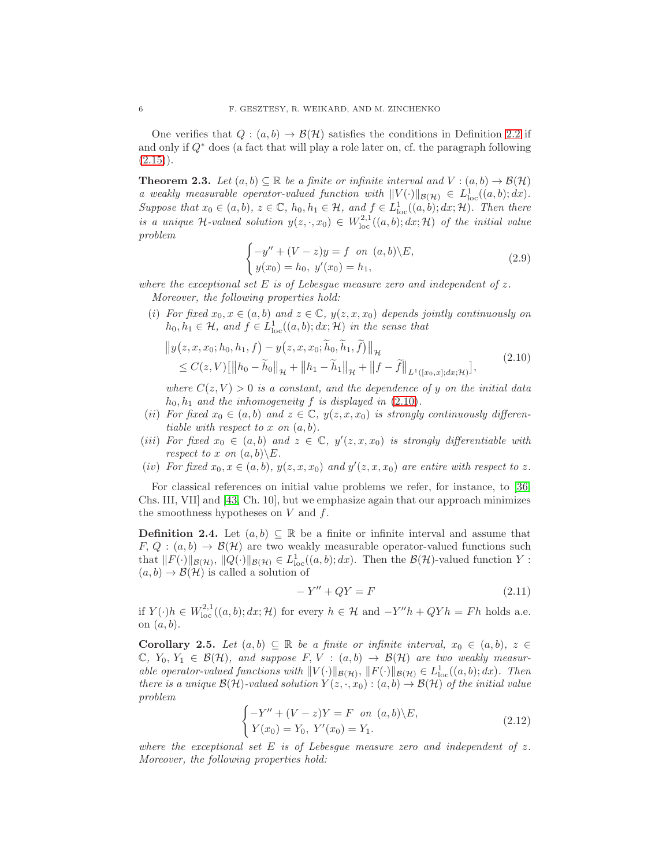One verifies that  $Q : (a, b) \to \mathcal{B}(\mathcal{H})$  satisfies the conditions in Definition [2.2](#page-4-2) if and only if  $Q^*$  does (a fact that will play a role later on, cf. the paragraph following  $(2.15)$ .

<span id="page-5-1"></span>**Theorem 2.3.** Let  $(a, b) \subseteq \mathbb{R}$  be a finite or infinite interval and  $V : (a, b) \to \mathcal{B}(\mathcal{H})$ a weakly measurable operator-valued function with  $||V(\cdot)||_{\mathcal{B}(\mathcal{H})} \in L^1_{loc}((a, b); dx)$ . Suppose that  $x_0 \in (a, b)$ ,  $z \in \mathbb{C}$ ,  $h_0, h_1 \in \mathcal{H}$ , and  $f \in L^1_{loc}((a, b); dx; \mathcal{H})$ . Then there is a unique H-valued solution  $y(z, \cdot, x_0) \in W^{2,1}_{loc}((a, b); dx; \mathcal{H})$  of the initial value problem

<span id="page-5-0"></span>
$$
\begin{cases}\n-y'' + (V - z)y = f \quad on \ (a, b) \setminus E, \\
y(x_0) = h_0, \ y'(x_0) = h_1,\n\end{cases}
$$
\n(2.9)

where the exceptional set E is of Lebesque measure zero and independent of z. Moreover, the following properties hold:

(i) For fixed  $x_0, x \in (a, b)$  and  $z \in \mathbb{C}$ ,  $y(z, x, x_0)$  depends jointly continuously on  $h_0, h_1 \in \mathcal{H}$ , and  $f \in L^1_{loc}((a, b); dx; \mathcal{H})$  in the sense that

$$
||y(z, x, x_0; h_0, h_1, f) - y(z, x, x_0; \widetilde{h}_0, \widetilde{h}_1, \widetilde{f})||_{\mathcal{H}}
$$
  
\n
$$
\leq C(z, V) [||h_0 - \widetilde{h}_0||_{\mathcal{H}} + ||h_1 - \widetilde{h}_1||_{\mathcal{H}} + ||f - \widetilde{f}||_{L^1([x_0, x]; dx; \mathcal{H})}],
$$
\n(2.10)

where  $C(z, V) > 0$  is a constant, and the dependence of y on the initial data  $h_0, h_1$  and the inhomogeneity f is displayed in  $(2.10)$ .

- (ii) For fixed  $x_0 \in (a, b)$  and  $z \in \mathbb{C}$ ,  $y(z, x, x_0)$  is strongly continuously differentiable with respect to x on  $(a, b)$ .
- (iii) For fixed  $x_0 \in (a, b)$  and  $z \in \mathbb{C}$ ,  $y'(z, x, x_0)$  is strongly differentiable with respect to x on  $(a, b) \setminus E$ .
- (iv) For fixed  $x_0, x \in (a, b), y(z, x, x_0)$  and  $y'(z, x, x_0)$  are entire with respect to z.

For classical references on initial value problems we refer, for instance, to [\[36,](#page-44-7) Chs. III, VII] and [\[43,](#page-44-8) Ch. 10], but we emphasize again that our approach minimizes the smoothness hypotheses on  $V$  and  $f$ .

<span id="page-5-3"></span>**Definition 2.4.** Let  $(a, b) \subseteq \mathbb{R}$  be a finite or infinite interval and assume that  $F, Q : (a, b) \rightarrow \mathcal{B}(\mathcal{H})$  are two weakly measurable operator-valued functions such that  $||F(\cdot)||_{\mathcal{B}(\mathcal{H})}, ||Q(\cdot)||_{\mathcal{B}(\mathcal{H})} \in L^1_{loc}((a, b); dx)$ . Then the  $\mathcal{B}(\mathcal{H})$ -valued function Y :  $(a, b) \rightarrow \mathcal{B}(\mathcal{H})$  is called a solution of

$$
-Y'' + QY = F \tag{2.11}
$$

if  $Y(\cdot)h \in W^{2,1}_{loc}((a,b); dx; \mathcal{H})$  for every  $h \in \mathcal{H}$  and  $-Y''h + QYh = Fh$  holds a.e. on  $(a, b)$ .

<span id="page-5-2"></span>Corollary 2.5. Let  $(a, b) \subseteq \mathbb{R}$  be a finite or infinite interval,  $x_0 \in (a, b)$ ,  $z \in$  $\mathbb{C}, Y_0, Y_1 \in \mathcal{B}(\mathcal{H}),$  and suppose  $F, V : (a, b) \to \mathcal{B}(\mathcal{H})$  are two weakly measurable operator-valued functions with  $||V(\cdot)||_{\mathcal{B}(\mathcal{H})}$ ,  $||F(\cdot)||_{\mathcal{B}(\mathcal{H})} \in L^1_{loc}((a, b); dx)$ . Then there is a unique  $\mathcal{B}(\mathcal{H})$ -valued solution  $Y(z, \cdot, x_0) : (a, b) \to \mathcal{B}(\mathcal{H})$  of the initial value problem

$$
\begin{cases}\n-Y'' + (V - z)Y = F \text{ on } (a, b) \setminus E, \\
Y(x_0) = Y_0, \ Y'(x_0) = Y_1.\n\end{cases}
$$
\n(2.12)

where the exceptional set E is of Lebesgue measure zero and independent of z. Moreover, the following properties hold: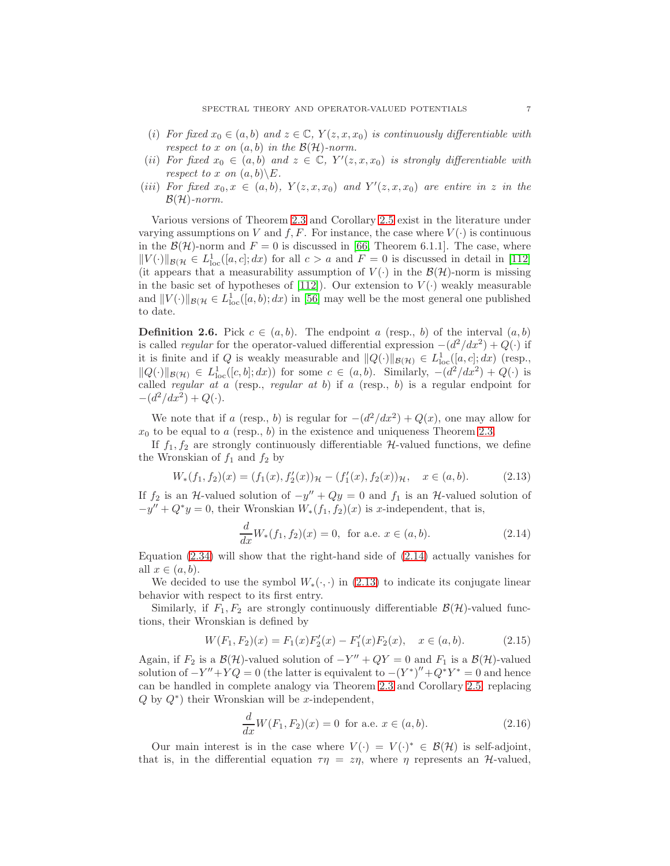- (i) For fixed  $x_0 \in (a, b)$  and  $z \in \mathbb{C}$ ,  $Y(z, x, x_0)$  is continuously differentiable with respect to x on  $(a, b)$  in the  $\mathcal{B}(\mathcal{H})$ -norm.
- (ii) For fixed  $x_0 \in (a, b)$  and  $z \in \mathbb{C}$ ,  $Y'(z, x, x_0)$  is strongly differentiable with respect to x on  $(a, b) \setminus E$ .
- (iii) For fixed  $x_0, x \in (a, b)$ ,  $Y(z, x, x_0)$  and  $Y'(z, x, x_0)$  are entire in z in the  $\mathcal{B}(\mathcal{H})$ -norm.

Various versions of Theorem [2.3](#page-5-1) and Corollary [2.5](#page-5-2) exist in the literature under varying assumptions on V and f, F. For instance, the case where  $V(\cdot)$  is continuous in the  $\mathcal{B}(\mathcal{H})$ -norm and  $F = 0$  is discussed in [\[66,](#page-45-12) Theorem 6.1.1]. The case, where  $||V(\cdot)||_{\mathcal{B}(\mathcal{H}} \in L^1_{loc}([a, c]; dx)$  for all  $c > a$  and  $F = 0$  is discussed in detail in [\[112\]](#page-47-2) (it appears that a measurability assumption of  $V(\cdot)$  in the  $\mathcal{B}(\mathcal{H})$ -norm is missing in the basic set of hypotheses of [\[112\]](#page-47-2)). Our extension to  $V(\cdot)$  weakly measurable and  $||V(\cdot)||_{\mathcal{B}(\mathcal{H})} \in L^1_{loc}([a, b); dx)$  in [\[56\]](#page-45-7) may well be the most general one published to date.

<span id="page-6-3"></span>**Definition 2.6.** Pick  $c \in (a, b)$ . The endpoint a (resp., b) of the interval  $(a, b)$ is called regular for the operator-valued differential expression  $-(d^2/dx^2) + Q(\cdot)$  if it is finite and if Q is weakly measurable and  $||Q(\cdot)||_{\mathcal{B}(\mathcal{H})} \in L^1_{loc}([a, c]; dx)$  (resp.,  $||Q(\cdot)||_{\mathcal{B}(\mathcal{H})} \in L^1_{loc}([c, b]; dx)$  for some  $c \in (a, b)$ . Similarly,  $-(d^2/dx^2) + Q(\cdot)$  is called regular at a (resp., regular at b) if a (resp., b) is a regular endpoint for  $-(d^2/dx^2) + Q(\cdot).$ 

We note that if a (resp., b) is regular for  $-(d^2/dx^2) + Q(x)$ , one may allow for  $x_0$  to be equal to a (resp., b) in the existence and uniqueness Theorem [2.3.](#page-5-1)

If  $f_1, f_2$  are strongly continuously differentiable  $H$ -valued functions, we define the Wronskian of  $f_1$  and  $f_2$  by

<span id="page-6-2"></span>
$$
W_*(f_1, f_2)(x) = (f_1(x), f_2'(x))_{\mathcal{H}} - (f_1'(x), f_2(x))_{\mathcal{H}}, \quad x \in (a, b).
$$
 (2.13)

If  $f_2$  is an H-valued solution of  $-y'' + Qy = 0$  and  $f_1$  is an H-valued solution of  $-y'' + Q^*y = 0$ , their Wronskian  $W_*(f_1, f_2)(x)$  is x-independent, that is,

<span id="page-6-1"></span>
$$
\frac{d}{dx}W_*(f_1, f_2)(x) = 0, \text{ for a.e. } x \in (a, b).
$$
 (2.14)

Equation  $(2.34)$  will show that the right-hand side of  $(2.14)$  actually vanishes for all  $x \in (a, b)$ .

We decided to use the symbol  $W_*(\cdot, \cdot)$  in [\(2.13\)](#page-6-2) to indicate its conjugate linear behavior with respect to its first entry.

Similarly, if  $F_1, F_2$  are strongly continuously differentiable  $\mathcal{B}(\mathcal{H})$ -valued functions, their Wronskian is defined by

<span id="page-6-0"></span>
$$
W(F_1, F_2)(x) = F_1(x)F'_2(x) - F'_1(x)F_2(x), \quad x \in (a, b).
$$
 (2.15)

Again, if  $F_2$  is a  $\mathcal{B}(\mathcal{H})$ -valued solution of  $-Y'' + QY = 0$  and  $F_1$  is a  $\mathcal{B}(\mathcal{H})$ -valued solution of  $-Y'' + YQ = 0$  (the latter is equivalent to  $-(Y^*)'' + Q^*Y^* = 0$  and hence can be handled in complete analogy via Theorem [2.3](#page-5-1) and Corollary [2.5,](#page-5-2) replacing  $Q$  by  $Q^*$ ) their Wronskian will be x-independent,

$$
\frac{d}{dx}W(F_1, F_2)(x) = 0 \text{ for a.e. } x \in (a, b).
$$
 (2.16)

Our main interest is in the case where  $V(\cdot) = V(\cdot)^* \in \mathcal{B}(\mathcal{H})$  is self-adjoint, that is, in the differential equation  $\tau \eta = z\eta$ , where  $\eta$  represents an H-valued,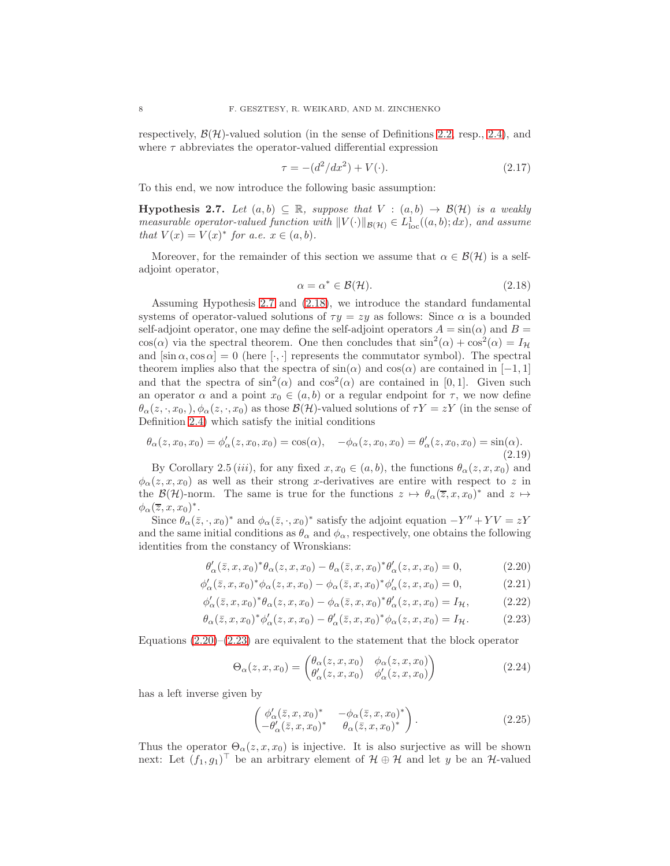respectively,  $\mathcal{B}(\mathcal{H})$ -valued solution (in the sense of Definitions [2.2,](#page-4-2) resp., [2.4\)](#page-5-3), and where  $\tau$  abbreviates the operator-valued differential expression

$$
\tau = -(d^2/dx^2) + V(\cdot). \tag{2.17}
$$

To this end, we now introduce the following basic assumption:

<span id="page-7-0"></span>**Hypothesis 2.7.** Let  $(a, b) \subseteq \mathbb{R}$ , suppose that  $V : (a, b) \rightarrow \mathcal{B}(\mathcal{H})$  is a weakly measurable operator-valued function with  $||V(\cdot)||_{\mathcal{B}(\mathcal{H})} \in L^1_{loc}((a, b); dx)$ , and assume that  $V(x) = V(x)^*$  for a.e.  $x \in (a, b)$ .

Moreover, for the remainder of this section we assume that  $\alpha \in \mathcal{B}(\mathcal{H})$  is a selfadjoint operator,

<span id="page-7-1"></span>
$$
\alpha = \alpha^* \in \mathcal{B}(\mathcal{H}).\tag{2.18}
$$

Assuming Hypothesis [2.7](#page-7-0) and [\(2.18\)](#page-7-1), we introduce the standard fundamental systems of operator-valued solutions of  $\tau y = zy$  as follows: Since  $\alpha$  is a bounded self-adjoint operator, one may define the self-adjoint operators  $A = \sin(\alpha)$  and  $B =$ cos( $\alpha$ ) via the spectral theorem. One then concludes that  $\sin^2(\alpha) + \cos^2(\alpha) = I_H$ and  $[\sin \alpha, \cos \alpha] = 0$  (here  $[\cdot, \cdot]$  represents the commutator symbol). The spectral theorem implies also that the spectra of  $sin(\alpha)$  and  $cos(\alpha)$  are contained in [−1, 1] and that the spectra of  $\sin^2(\alpha)$  and  $\cos^2(\alpha)$  are contained in [0,1]. Given such an operator  $\alpha$  and a point  $x_0 \in (a, b)$  or a regular endpoint for  $\tau$ , we now define  $\theta_{\alpha}(z,\cdot,x_0,), \phi_{\alpha}(z,\cdot,x_0)$  as those  $\mathcal{B}(\mathcal{H})$ -valued solutions of  $\tau Y = zY$  (in the sense of Definition [2.4\)](#page-5-3) which satisfy the initial conditions

<span id="page-7-4"></span>
$$
\theta_{\alpha}(z, x_0, x_0) = \phi'_{\alpha}(z, x_0, x_0) = \cos(\alpha), \quad -\phi_{\alpha}(z, x_0, x_0) = \theta'_{\alpha}(z, x_0, x_0) = \sin(\alpha). \tag{2.19}
$$

By Corollary 2.5 (iii), for any fixed  $x, x_0 \in (a, b)$ , the functions  $\theta_\alpha(z, x, x_0)$  and  $\phi_{\alpha}(z, x, x_0)$  as well as their strong x-derivatives are entire with respect to z in the  $\mathcal{B}(\mathcal{H})$ -norm. The same is true for the functions  $z \mapsto \theta_\alpha(\overline{z}, x, x_0)^*$  and  $z \mapsto$  $\phi_\alpha(\overline{z},x,x_0)^*.$ 

Since  $\theta_{\alpha}(\bar{z}, \cdot, x_0)^*$  and  $\phi_{\alpha}(\bar{z}, \cdot, x_0)^*$  satisfy the adjoint equation  $-Y'' + YV = zY$ and the same initial conditions as  $\theta_{\alpha}$  and  $\phi_{\alpha}$ , respectively, one obtains the following identities from the constancy of Wronskians:

$$
\theta'_{\alpha}(\bar{z},x,x_0)^*\theta_{\alpha}(z,x,x_0) - \theta_{\alpha}(\bar{z},x,x_0)^*\theta'_{\alpha}(z,x,x_0) = 0, \qquad (2.20)
$$

$$
\phi'_{\alpha}(\bar{z}, x, x_0)^* \phi_{\alpha}(z, x, x_0) - \phi_{\alpha}(\bar{z}, x, x_0)^* \phi'_{\alpha}(z, x, x_0) = 0, \qquad (2.21)
$$

$$
\phi'_{\alpha}(\bar{z},x,x_0)^*\theta_{\alpha}(z,x,x_0) - \phi_{\alpha}(\bar{z},x,x_0)^*\theta'_{\alpha}(z,x,x_0) = I_{\mathcal{H}},\tag{2.22}
$$

$$
\theta_{\alpha}(\bar{z},x,x_0)^* \phi_{\alpha}'(z,x,x_0) - \theta_{\alpha}'(\bar{z},x,x_0)^* \phi_{\alpha}(z,x,x_0) = I_{\mathcal{H}}.
$$
\n(2.23)

Equations  $(2.20)$ – $(2.23)$  are equivalent to the statement that the block operator

<span id="page-7-2"></span>
$$
\Theta_{\alpha}(z,x,x_0) = \begin{pmatrix} \theta_{\alpha}(z,x,x_0) & \phi_{\alpha}(z,x,x_0) \\ \theta'_{\alpha}(z,x,x_0) & \phi'_{\alpha}(z,x,x_0) \end{pmatrix}
$$
(2.24)

has a left inverse given by

<span id="page-7-5"></span><span id="page-7-3"></span>
$$
\begin{pmatrix} \phi'_{\alpha}(\bar{z}, x, x_0)^* & -\phi_{\alpha}(\bar{z}, x, x_0)^* \\ -\theta'_{\alpha}(\bar{z}, x, x_0)^* & \theta_{\alpha}(\bar{z}, x, x_0)^* \end{pmatrix}.
$$
 (2.25)

Thus the operator  $\Theta_{\alpha}(z, x, x_0)$  is injective. It is also surjective as will be shown next: Let  $(f_1, g_1)^\top$  be an arbitrary element of  $\mathcal{H} \oplus \mathcal{H}$  and let y be an  $\mathcal{H}$ -valued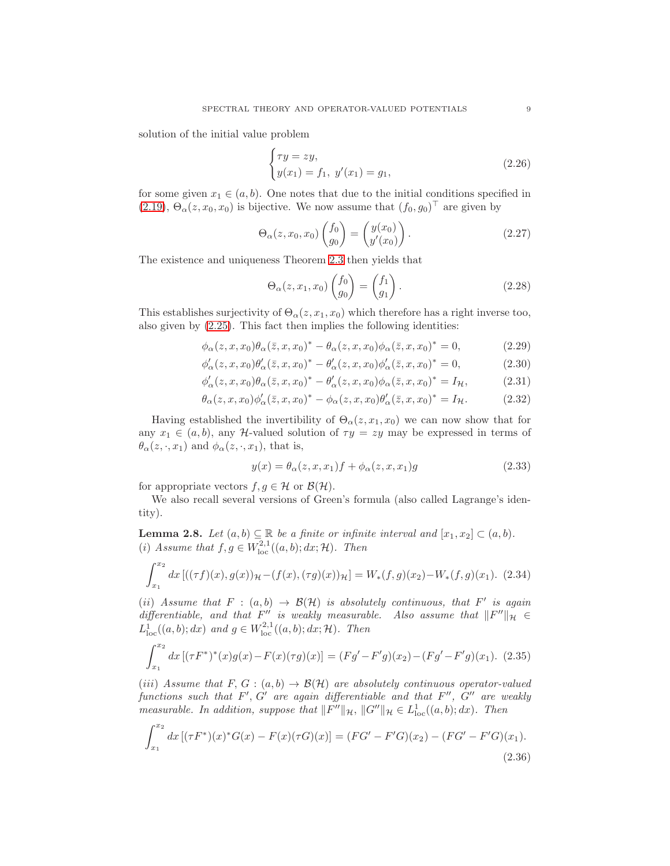solution of the initial value problem

$$
\begin{cases}\n\tau y = zy, \\
y(x_1) = f_1, \ y'(x_1) = g_1,\n\end{cases}
$$
\n(2.26)

for some given  $x_1 \in (a, b)$ . One notes that due to the initial conditions specified in  $(2.19), \Theta_{\alpha}(z, x_0, x_0)$  $(2.19), \Theta_{\alpha}(z, x_0, x_0)$  is bijective. We now assume that  $(f_0, g_0)^\top$  are given by

$$
\Theta_{\alpha}(z, x_0, x_0) \begin{pmatrix} f_0 \\ g_0 \end{pmatrix} = \begin{pmatrix} y(x_0) \\ y'(x_0) \end{pmatrix} . \tag{2.27}
$$

The existence and uniqueness Theorem [2.3](#page-5-1) then yields that

<span id="page-8-1"></span>
$$
\Theta_{\alpha}(z, x_1, x_0) \begin{pmatrix} f_0 \\ g_0 \end{pmatrix} = \begin{pmatrix} f_1 \\ g_1 \end{pmatrix} . \tag{2.28}
$$

This establishes surjectivity of  $\Theta_{\alpha}(z, x_1, x_0)$  which therefore has a right inverse too, also given by [\(2.25\)](#page-7-5). This fact then implies the following identities:

$$
\phi_{\alpha}(z,x,x_0)\theta_{\alpha}(\bar{z},x,x_0)^* - \theta_{\alpha}(z,x,x_0)\phi_{\alpha}(\bar{z},x,x_0)^* = 0, \qquad (2.29)
$$

$$
\phi'_{\alpha}(z,x,x_0)\theta'_{\alpha}(\bar{z},x,x_0)^* - \theta'_{\alpha}(z,x,x_0)\phi'_{\alpha}(\bar{z},x,x_0)^* = 0, \qquad (2.30)
$$

$$
\phi'_{\alpha}(z,x,x_0)\theta_{\alpha}(\bar{z},x,x_0)^* - \theta'_{\alpha}(z,x,x_0)\phi_{\alpha}(\bar{z},x,x_0)^* = I_{\mathcal{H}},\tag{2.31}
$$

$$
\theta_{\alpha}(z,x,x_0)\phi_{\alpha}'(\bar{z},x,x_0)^{*} - \phi_{\alpha}(z,x,x_0)\theta_{\alpha}'(\bar{z},x,x_0)^{*} = I_{\mathcal{H}}.\tag{2.32}
$$

Having established the invertibility of  $\Theta_{\alpha}(z, x_1, x_0)$  we can now show that for any  $x_1 \in (a, b)$ , any H-valued solution of  $\tau y = zy$  may be expressed in terms of  $\theta_{\alpha}(z,\cdot,x_1)$  and  $\phi_{\alpha}(z,\cdot,x_1)$ , that is,

$$
y(x) = \theta_{\alpha}(z, x, x_1)f + \phi_{\alpha}(z, x, x_1)g
$$
\n(2.33)

for appropriate vectors  $f, g \in \mathcal{H}$  or  $\mathcal{B}(\mathcal{H})$ .

We also recall several versions of Green's formula (also called Lagrange's identity).

**Lemma 2.8.** Let  $(a, b) \subseteq \mathbb{R}$  be a finite or infinite interval and  $[x_1, x_2] \subset (a, b)$ . (i) Assume that  $f, g \in W^{2,1}_{loc}((a, b); dx; \mathcal{H})$ . Then

<span id="page-8-0"></span>
$$
\int_{x_1}^{x_2} dx \left[ ((\tau f)(x), g(x))_{\mathcal{H}} - (f(x), (\tau g)(x))_{\mathcal{H}} \right] = W_*(f, g)(x_2) - W_*(f, g)(x_1). \tag{2.34}
$$

(ii) Assume that  $F : (a, b) \rightarrow \mathcal{B}(\mathcal{H})$  is absolutely continuous, that F' is again differentiable, and that F'' is weakly measurable. Also assume that  $||F''||_{\mathcal{H}} \in$  $L_{\text{loc}}^1((a, b); dx)$  and  $g \in W_{\text{loc}}^{2,1}((a, b); dx; \mathcal{H})$ . Then

$$
\int_{x_1}^{x_2} dx \left[ (\tau F^*)^*(x) g(x) - F(x) (\tau g)(x) \right] = (Fg' - F'g)(x_2) - (Fg' - F'g)(x_1). \tag{2.35}
$$

(iii) Assume that F, G :  $(a, b) \rightarrow \mathcal{B}(\mathcal{H})$  are absolutely continuous operator-valued functions such that  $F', G'$  are again differentiable and that  $F'', G''$  are weakly measurable. In addition, suppose that  $||F''||_{\mathcal{H}}$ ,  $||G''||_{\mathcal{H}} \in L^1_{loc}((a, b); dx)$ . Then

$$
\int_{x_1}^{x_2} dx \left[ (\tau F^*)(x)^* G(x) - F(x)(\tau G)(x) \right] = (FG' - F'G)(x_2) - (FG' - F'G)(x_1). \tag{2.36}
$$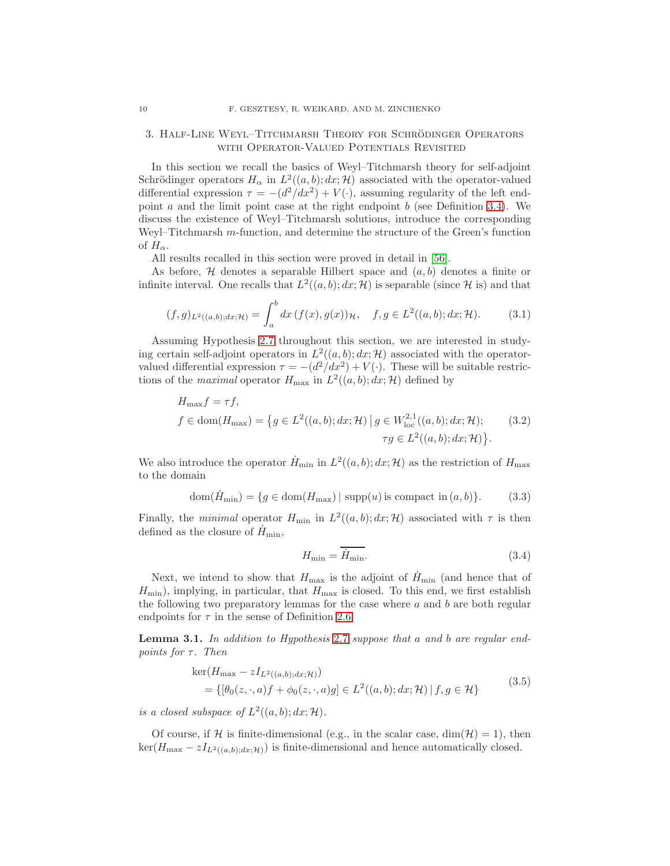## <span id="page-9-0"></span>3. Half-Line Weyl–Titchmarsh Theory for Schrodinger Operators ¨ WITH OPERATOR-VALUED POTENTIALS REVISITED

In this section we recall the basics of Weyl–Titchmarsh theory for self-adjoint Schrödinger operators  $H_{\alpha}$  in  $L^2((a, b); dx; \mathcal{H})$  associated with the operator-valued differential expression  $\tau = -(d^2/dx^2) + V(\cdot)$ , assuming regularity of the left endpoint a and the limit point case at the right endpoint  $b$  (see Definition [3.4\)](#page-10-0). We discuss the existence of Weyl–Titchmarsh solutions, introduce the corresponding Weyl–Titchmarsh m-function, and determine the structure of the Green's function of  $H_{\alpha}$ .

All results recalled in this section were proved in detail in [\[56\]](#page-45-7).

As before,  $H$  denotes a separable Hilbert space and  $(a, b)$  denotes a finite or infinite interval. One recalls that  $L^2((a, b); dx; \mathcal{H})$  is separable (since  $\mathcal{H}$  is) and that

$$
(f,g)_{L^2((a,b);dx; \mathcal{H})} = \int_a^b dx \, (f(x), g(x))_{\mathcal{H}}, \quad f, g \in L^2((a,b); dx; \mathcal{H}). \tag{3.1}
$$

Assuming Hypothesis [2.7](#page-7-0) throughout this section, we are interested in studying certain self-adjoint operators in  $L^2((a, b); dx; \mathcal{H})$  associated with the operatorvalued differential expression  $\tau = -(d^2/dx^2) + V(\cdot)$ . These will be suitable restrictions of the *maximal* operator  $H_{\text{max}}$  in  $L^2((a, b); dx; \mathcal{H})$  defined by

$$
H_{\text{max}}f = \tau f,
$$
  
\n
$$
f \in \text{dom}(H_{\text{max}}) = \{ g \in L^2((a, b); dx; \mathcal{H}) \mid g \in W_{\text{loc}}^{2,1}((a, b); dx; \mathcal{H});
$$
\n
$$
\tau g \in L^2((a, b); dx; \mathcal{H}) \}.
$$
\n(3.2)

We also introduce the operator  $\dot{H}_{\text{min}}$  in  $L^2((a, b); dx; \mathcal{H})$  as the restriction of  $H_{\text{max}}$ to the domain

$$
\text{dom}(\dot{H}_{\text{min}}) = \{ g \in \text{dom}(H_{\text{max}}) \mid \text{supp}(u) \text{ is compact in } (a, b) \}. \tag{3.3}
$$

Finally, the *minimal* operator  $H_{\min}$  in  $L^2((a, b); dx; \mathcal{H})$  associated with  $\tau$  is then defined as the closure of  $H_{\text{min}}$ ,

$$
H_{\min} = \overline{H_{\min}}.\tag{3.4}
$$

Next, we intend to show that  $H_{\text{max}}$  is the adjoint of  $H_{\text{min}}$  (and hence that of  $H_{\text{min}}$ ), implying, in particular, that  $H_{\text{max}}$  is closed. To this end, we first establish the following two preparatory lemmas for the case where  $a$  and  $b$  are both regular endpoints for  $\tau$  in the sense of Definition [2.6.](#page-6-3)

<span id="page-9-1"></span>**Lemma 3.1.** In addition to Hypothesis [2.7](#page-7-0) suppose that a and b are regular endpoints for  $\tau$ . Then

$$
\ker(H_{\max} - zI_{L^2((a,b);dx; \mathcal{H})})
$$
  
= { $\{[\theta_0(z, \cdot, a)f + \phi_0(z, \cdot, a)g] \in L^2((a,b); dx; \mathcal{H}) \mid f, g \in \mathcal{H}\}$  (3.5)

is a closed subspace of  $L^2((a, b); dx; \mathcal{H})$ .

Of course, if H is finite-dimensional (e.g., in the scalar case,  $\dim(\mathcal{H}) = 1$ ), then  $\ker(H_{\text{max}} - zI_{L^2((a,b);dx; \mathcal{H})})$  is finite-dimensional and hence automatically closed.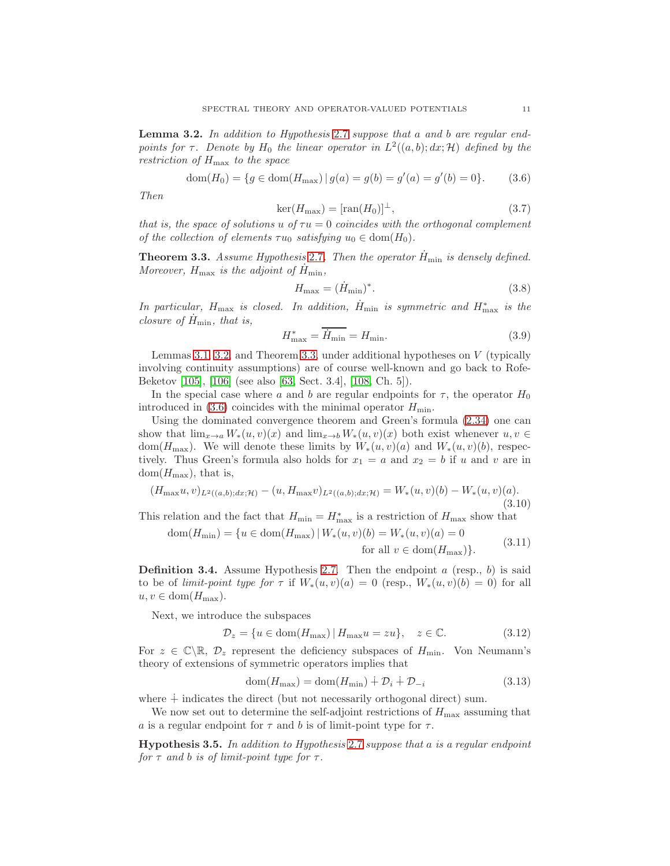<span id="page-10-1"></span>Lemma 3.2. In addition to Hypothesis [2.7](#page-7-0) suppose that a and b are regular endpoints for  $\tau$ . Denote by  $H_0$  the linear operator in  $L^2((a, b); dx; \mathcal{H})$  defined by the restriction of  $H_{\text{max}}$  to the space

<span id="page-10-3"></span>
$$
dom(H_0) = \{ g \in dom(H_{\text{max}}) \, | \, g(a) = g(b) = g'(a) = g'(b) = 0 \}. \tag{3.6}
$$

Then

$$
\ker(H_{\text{max}}) = [\text{ran}(H_0)]^{\perp},\tag{3.7}
$$

that is, the space of solutions u of  $\tau u = 0$  coincides with the orthogonal complement of the collection of elements  $\tau u_0$  satisfying  $u_0 \in \text{dom}(H_0)$ .

<span id="page-10-2"></span>**Theorem 3.3.** Assume Hypothesis [2.7](#page-7-0). Then the operator  $H_{\min}$  is densely defined. Moreover,  $H_{\text{max}}$  is the adjoint of  $H_{\text{min}}$ ,

$$
H_{\text{max}} = (\dot{H}_{\text{min}})^*.
$$
\n(3.8)

In particular,  $H_{\text{max}}$  is closed. In addition,  $\dot{H}_{\text{min}}$  is symmetric and  $H_{\text{max}}^*$  is the closure of  $H_{\text{min}}$ , that is,

$$
H_{\text{max}}^* = \overline{\dot{H}_{\text{min}}} = H_{\text{min}}.\tag{3.9}
$$

Lemmas [3.1,](#page-9-1) [3.2,](#page-10-1) and Theorem [3.3,](#page-10-2) under additional hypotheses on  $V$  (typically involving continuity assumptions) are of course well-known and go back to Rofe-Beketov [\[105\]](#page-47-11), [\[106\]](#page-47-12) (see also [\[63,](#page-45-1) Sect. 3.4], [\[108,](#page-47-0) Ch. 5]).

In the special case where a and b are regular endpoints for  $\tau$ , the operator  $H_0$ introduced in [\(3.6\)](#page-10-3) coincides with the minimal operator  $H_{\text{min}}$ .

Using the dominated convergence theorem and Green's formula [\(2.34\)](#page-8-0) one can show that  $\lim_{x\to a} W_*(u, v)(x)$  and  $\lim_{x\to b} W_*(u, v)(x)$  both exist whenever  $u, v \in$ dom( $H_{\text{max}}$ ). We will denote these limits by  $W_*(u, v)(a)$  and  $W_*(u, v)(b)$ , respectively. Thus Green's formula also holds for  $x_1 = a$  and  $x_2 = b$  if u and v are in  $dom(H_{\text{max}}),$  that is,

$$
(H_{\max}u, v)_{L^2((a,b);dx; \mathcal{H})} - (u, H_{\max}v)_{L^2((a,b);dx; \mathcal{H})} = W_*(u, v)(b) - W_*(u, v)(a).
$$
\n(3.10)

This relation and the fact that  $H_{\min} = H_{\max}^*$  is a restriction of  $H_{\max}$  show that

$$
dom(H_{\min}) = \{u \in dom(H_{\max}) | W_*(u, v)(b) = W_*(u, v)(a) = 0
$$
  
for all  $v \in dom(H_{\max})\}.$  (3.11)

<span id="page-10-0"></span>**Definition 3.4.** Assume Hypothesis [2.7.](#page-7-0) Then the endpoint a (resp., b) is said to be of limit-point type for  $\tau$  if  $W_*(u, v)(a) = 0$  (resp.,  $W_*(u, v)(b) = 0$ ) for all  $u, v \in \text{dom}(H_{\text{max}}).$ 

Next, we introduce the subspaces

$$
\mathcal{D}_z = \{ u \in \text{dom}(H_{\text{max}}) \, | \, H_{\text{max}}u = zu \}, \quad z \in \mathbb{C}.\tag{3.12}
$$

For  $z \in \mathbb{C} \backslash \mathbb{R}$ ,  $\mathcal{D}_z$  represent the deficiency subspaces of  $H_{\min}$ . Von Neumann's theory of extensions of symmetric operators implies that

$$
dom(H_{\text{max}}) = dom(H_{\text{min}}) \dotplus \mathcal{D}_i \dotplus \mathcal{D}_{-i}
$$
\n(3.13)

where  $\dagger$  indicates the direct (but not necessarily orthogonal direct) sum.

We now set out to determine the self-adjoint restrictions of  $H_{\text{max}}$  assuming that a is a regular endpoint for  $\tau$  and b is of limit-point type for  $\tau$ .

<span id="page-10-4"></span>**Hypothesis 3.5.** In addition to Hypothesis [2.7](#page-7-0) suppose that a is a regular endpoint for  $\tau$  and b is of limit-point type for  $\tau$ .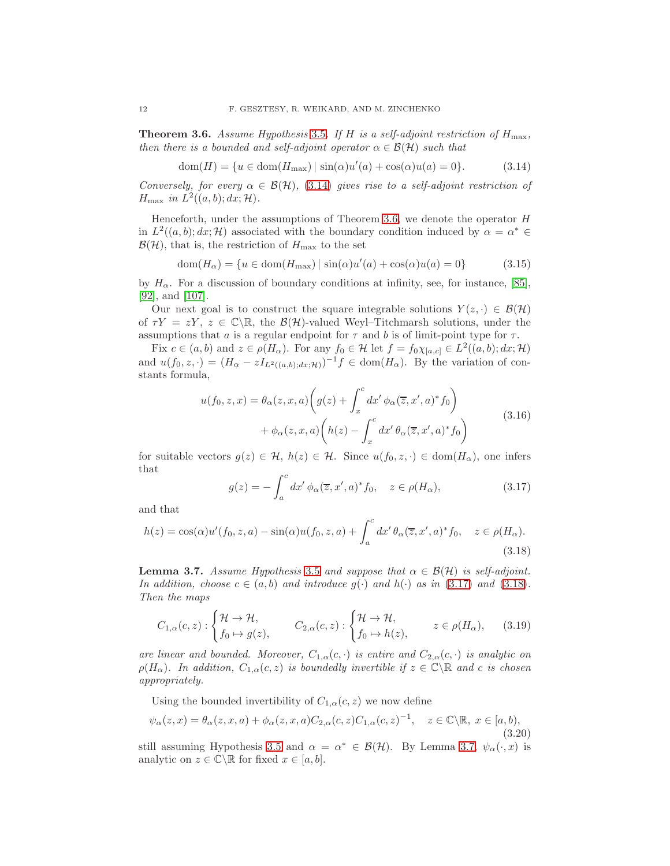<span id="page-11-1"></span>**Theorem 3.6.** Assume Hypothesis [3.5](#page-10-4). If H is a self-adjoint restriction of  $H_{\text{max}}$ , then there is a bounded and self-adjoint operator  $\alpha \in \mathcal{B}(\mathcal{H})$  such that

<span id="page-11-0"></span>
$$
dom(H) = \{u \in dom(H_{\max}) \mid \sin(\alpha)u'(a) + \cos(\alpha)u(a) = 0\}.
$$
 (3.14)

Conversely, for every  $\alpha \in \mathcal{B}(\mathcal{H})$ , [\(3.14\)](#page-11-0) gives rise to a self-adjoint restriction of  $H_{\text{max}}$  in  $L^2((a, b); dx; \mathcal{H})$ .

Henceforth, under the assumptions of Theorem [3.6,](#page-11-1) we denote the operator  $H$ in  $L^2((a, b); dx; \mathcal{H})$  associated with the boundary condition induced by  $\alpha = \alpha^* \in$  $\mathcal{B}(\mathcal{H})$ , that is, the restriction of  $H_{\text{max}}$  to the set

$$
\text{dom}(H_{\alpha}) = \{u \in \text{dom}(H_{\text{max}}) \mid \sin(\alpha)u'(a) + \cos(\alpha)u(a) = 0\}
$$
\n(3.15)

by  $H_{\alpha}$ . For a discussion of boundary conditions at infinity, see, for instance, [\[85\]](#page-46-11), [\[92\]](#page-46-12), and [\[107\]](#page-47-13).

Our next goal is to construct the square integrable solutions  $Y(z, \cdot) \in \mathcal{B}(\mathcal{H})$ of  $\tau Y = zY, z \in \mathbb{C} \setminus \mathbb{R}$ , the  $\mathcal{B}(\mathcal{H})$ -valued Weyl-Titchmarsh solutions, under the assumptions that a is a regular endpoint for  $\tau$  and b is of limit-point type for  $\tau$ .

Fix  $c \in (a, b)$  and  $z \in \rho(H_\alpha)$ . For any  $f_0 \in \mathcal{H}$  let  $f = f_0 \chi_{[a,c]} \in L^2((a,b); dx; \mathcal{H})$ and  $u(f_0, z, \cdot) = (H_\alpha - zI_{L^2((a,b);dx; \mathcal{H})})^{-1}f \in \text{dom}(H_\alpha)$ . By the variation of constants formula,

$$
u(f_0, z, x) = \theta_{\alpha}(z, x, a) \left( g(z) + \int_x^c dx' \phi_{\alpha}(\overline{z}, x', a)^* f_0 \right)
$$
  
+ 
$$
\phi_{\alpha}(z, x, a) \left( h(z) - \int_x^c dx' \theta_{\alpha}(\overline{z}, x', a)^* f_0 \right)
$$
(3.16)

for suitable vectors  $g(z) \in \mathcal{H}$ ,  $h(z) \in \mathcal{H}$ . Since  $u(f_0, z, \cdot) \in \text{dom}(H_\alpha)$ , one infers that

<span id="page-11-2"></span>
$$
g(z) = -\int_{a}^{c} dx' \phi_{\alpha}(\overline{z}, x', a)^{*} f_0, \quad z \in \rho(H_{\alpha}), \tag{3.17}
$$

and that

<span id="page-11-3"></span>
$$
h(z) = \cos(\alpha)u'(f_0, z, a) - \sin(\alpha)u(f_0, z, a) + \int_a^c dx' \theta_\alpha(\overline{z}, x', a)^* f_0, \quad z \in \rho(H_\alpha).
$$
\n(3.18)

<span id="page-11-4"></span>**Lemma 3.7.** Assume Hypothesis [3.5](#page-10-4) and suppose that  $\alpha \in \mathcal{B}(\mathcal{H})$  is self-adjoint. In addition, choose  $c \in (a, b)$  and introduce  $g(\cdot)$  and  $h(\cdot)$  as in [\(3.17\)](#page-11-2) and [\(3.18\)](#page-11-3). Then the maps

$$
C_{1,\alpha}(c,z) : \begin{cases} \mathcal{H} \to \mathcal{H}, \\ f_0 \mapsto g(z), \end{cases} \qquad C_{2,\alpha}(c,z) : \begin{cases} \mathcal{H} \to \mathcal{H}, \\ f_0 \mapsto h(z), \end{cases} z \in \rho(H_\alpha), \qquad (3.19)
$$

are linear and bounded. Moreover,  $C_{1,\alpha}(c, \cdot)$  is entire and  $C_{2,\alpha}(c, \cdot)$  is analytic on  $\rho(H_{\alpha})$ . In addition,  $C_{1,\alpha}(c, z)$  is boundedly invertible if  $z \in \mathbb{C} \backslash \mathbb{R}$  and c is chosen appropriately.

Using the bounded invertibility of  $C_{1,\alpha}(c, z)$  we now define

<span id="page-11-5"></span>
$$
\psi_{\alpha}(z,x) = \theta_{\alpha}(z,x,a) + \phi_{\alpha}(z,x,a)C_{2,\alpha}(c,z)C_{1,\alpha}(c,z)^{-1}, \quad z \in \mathbb{C} \backslash \mathbb{R}, x \in [a,b),
$$
\n(3.20)

still assuming Hypothesis [3.5](#page-10-4) and  $\alpha = \alpha^* \in \mathcal{B}(\mathcal{H})$ . By Lemma [3.7,](#page-11-4)  $\psi_\alpha(\cdot, x)$  is analytic on  $z \in \mathbb{C} \backslash \mathbb{R}$  for fixed  $x \in [a, b]$ .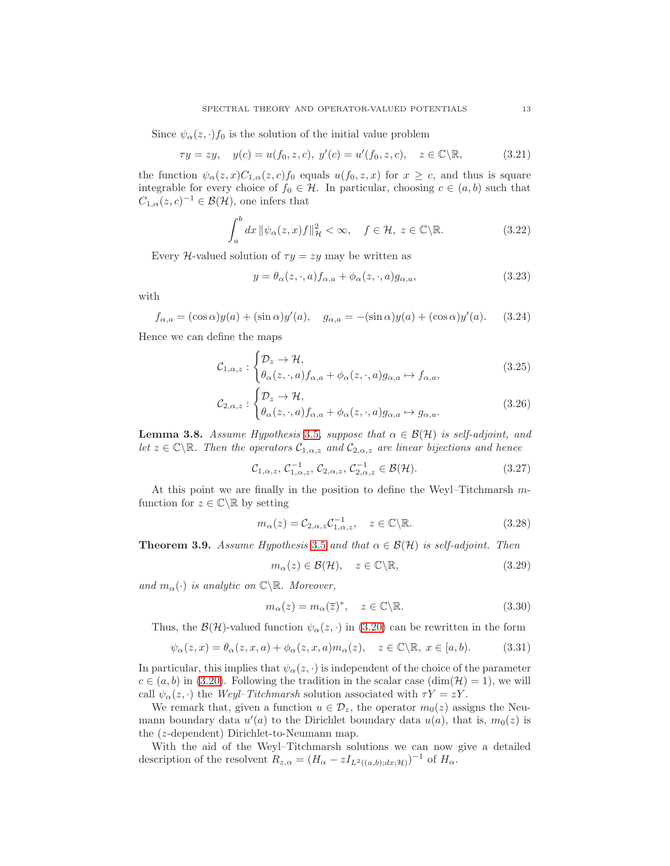Since  $\psi_{\alpha}(z, \cdot) f_0$  is the solution of the initial value problem

$$
\tau y = zy, \quad y(c) = u(f_0, z, c), \ y'(c) = u'(f_0, z, c), \quad z \in \mathbb{C} \setminus \mathbb{R},
$$
\n(3.21)

the function  $\psi_{\alpha}(z, x)C_{1,\alpha}(z, c)f_0$  equals  $u(f_0, z, x)$  for  $x \geq c$ , and thus is square integrable for every choice of  $f_0 \in \mathcal{H}$ . In particular, choosing  $c \in (a, b)$  such that  $C_{1,\alpha}(z,c)^{-1} \in \mathcal{B}(\mathcal{H})$ , one infers that

$$
\int_{a}^{b} dx \, \|\psi_{\alpha}(z, x)f\|_{\mathcal{H}}^{2} < \infty, \quad f \in \mathcal{H}, \ z \in \mathbb{C} \backslash \mathbb{R}.\tag{3.22}
$$

Every H-valued solution of  $\tau y = zy$  may be written as

$$
y = \theta_{\alpha}(z, \cdot, a) f_{\alpha, a} + \phi_{\alpha}(z, \cdot, a) g_{\alpha, a}, \qquad (3.23)
$$

with

$$
f_{\alpha,a} = (\cos \alpha)y(a) + (\sin \alpha)y'(a), \quad g_{\alpha,a} = -(\sin \alpha)y(a) + (\cos \alpha)y'(a). \tag{3.24}
$$

Hence we can define the maps

$$
\mathcal{C}_{1,\alpha,z}: \begin{cases} \mathcal{D}_z \to \mathcal{H}, \\ \theta_\alpha(z,\cdot,a) f_{\alpha,a} + \phi_\alpha(z,\cdot,a) g_{\alpha,a} \mapsto f_{\alpha,a}, \end{cases} \tag{3.25}
$$

$$
\mathcal{C}_{2,\alpha,z}: \begin{cases} \mathcal{D}_z \to \mathcal{H}, \\ \theta_\alpha(z,\cdot,a) f_{\alpha,a} + \phi_\alpha(z,\cdot,a) g_{\alpha,a} \mapsto g_{\alpha,a}. \end{cases} \tag{3.26}
$$

**Lemma 3.8.** Assume Hypothesis [3.5](#page-10-4), suppose that  $\alpha \in \mathcal{B}(\mathcal{H})$  is self-adjoint, and let  $z \in \mathbb{C} \backslash \mathbb{R}$ . Then the operators  $\mathcal{C}_{1,\alpha,z}$  and  $\mathcal{C}_{2,\alpha,z}$  are linear bijections and hence

$$
\mathcal{C}_{1,\alpha,z}, \mathcal{C}_{1,\alpha,z}^{-1}, \mathcal{C}_{2,\alpha,z}, \mathcal{C}_{2,\alpha,z}^{-1} \in \mathcal{B}(\mathcal{H}).
$$
\n(3.27)

At this point we are finally in the position to define the Weyl–Titchmarsh mfunction for  $z \in \mathbb{C} \setminus \mathbb{R}$  by setting

$$
m_{\alpha}(z) = C_{2,\alpha,z} C_{1,\alpha,z}^{-1}, \quad z \in \mathbb{C} \backslash \mathbb{R}.
$$
 (3.28)

<span id="page-12-1"></span>**Theorem 3.9.** Assume Hypothesis [3.5](#page-10-4) and that  $\alpha \in \mathcal{B}(\mathcal{H})$  is self-adjoint. Then

$$
m_{\alpha}(z) \in \mathcal{B}(\mathcal{H}), \quad z \in \mathbb{C} \backslash \mathbb{R}, \tag{3.29}
$$

and  $m_\alpha(\cdot)$  is analytic on  $\mathbb{C}\backslash\mathbb{R}$ . Moreover,

$$
m_{\alpha}(z) = m_{\alpha}(\overline{z})^*, \quad z \in \mathbb{C} \backslash \mathbb{R}.
$$
 (3.30)

Thus, the  $\mathcal{B}(\mathcal{H})$ -valued function  $\psi_{\alpha}(z, \cdot)$  in [\(3.20\)](#page-11-5) can be rewritten in the form

<span id="page-12-0"></span>
$$
\psi_{\alpha}(z,x) = \theta_{\alpha}(z,x,a) + \phi_{\alpha}(z,x,a)m_{\alpha}(z), \quad z \in \mathbb{C} \backslash \mathbb{R}, \ x \in [a,b). \tag{3.31}
$$

In particular, this implies that  $\psi_{\alpha}(z, \cdot)$  is independent of the choice of the parameter  $c \in (a, b)$  in [\(3.20\)](#page-11-5). Following the tradition in the scalar case  $(\dim(\mathcal{H}) = 1)$ , we will call  $\psi_{\alpha}(z, \cdot)$  the Weyl–Titchmarsh solution associated with  $\tau Y = zY$ .

We remark that, given a function  $u \in \mathcal{D}_z$ , the operator  $m_0(z)$  assigns the Neumann boundary data  $u'(a)$  to the Dirichlet boundary data  $u(a)$ , that is,  $m_0(z)$  is the (z-dependent) Dirichlet-to-Neumann map.

With the aid of the Weyl–Titchmarsh solutions we can now give a detailed description of the resolvent  $R_{z,\alpha} = (H_{\alpha} - zI_{L^2((a,b);dx; \mathcal{H})})^{-1}$  of  $H_{\alpha}$ .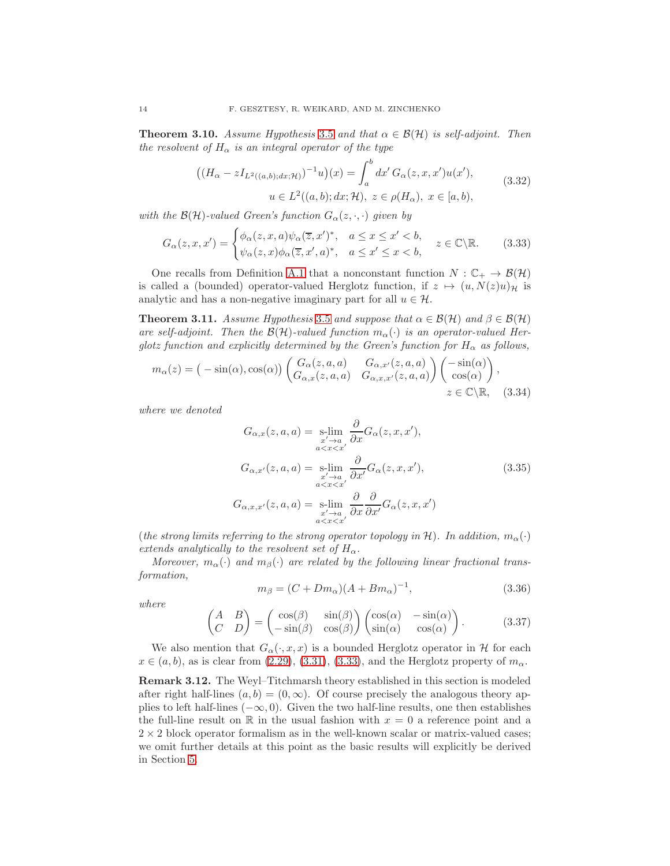**Theorem 3.10.** Assume Hypothesis [3.5](#page-10-4) and that  $\alpha \in \mathcal{B}(\mathcal{H})$  is self-adjoint. Then the resolvent of  $H_{\alpha}$  is an integral operator of the type

$$
\left( (H_{\alpha} - zI_{L^2((a,b);dx; \mathcal{H})})^{-1}u \right)(x) = \int_a^b dx' G_{\alpha}(z, x, x')u(x'),
$$
  
  $u \in L^2((a,b); dx; \mathcal{H}), z \in \rho(H_{\alpha}), x \in [a, b),$  (3.32)

with the  $\mathcal{B}(\mathcal{H})$ -valued Green's function  $G_{\alpha}(z, \cdot, \cdot)$  given by

<span id="page-13-0"></span>
$$
G_{\alpha}(z,x,x') = \begin{cases} \phi_{\alpha}(z,x,a)\psi_{\alpha}(\overline{z},x')^*, & a \leq x \leq x' < b, \\ \psi_{\alpha}(z,x)\phi_{\alpha}(\overline{z},x',a)^*, & a \leq x' \leq x < b, \end{cases} \quad z \in \mathbb{C} \backslash \mathbb{R}.
$$
 (3.33)

One recalls from Definition [A.1](#page-30-2) that a nonconstant function  $N : \mathbb{C}_+ \to \mathcal{B}(\mathcal{H})$ is called a (bounded) operator-valued Herglotz function, if  $z \mapsto (u, N(z)u)_{\mathcal{H}}$  is analytic and has a non-negative imaginary part for all  $u \in \mathcal{H}$ .

**Theorem 3.11.** Assume Hypothesis [3.5](#page-10-4) and suppose that  $\alpha \in \mathcal{B}(\mathcal{H})$  and  $\beta \in \mathcal{B}(\mathcal{H})$ are self-adjoint. Then the  $\mathcal{B}(\mathcal{H})$ -valued function  $m_{\alpha}(\cdot)$  is an operator-valued Herglotz function and explicitly determined by the Green's function for  $H_{\alpha}$  as follows,

$$
m_{\alpha}(z) = (-\sin(\alpha), \cos(\alpha)) \begin{pmatrix} G_{\alpha}(z, a, a) & G_{\alpha, x'}(z, a, a) \\ G_{\alpha, x}(z, a, a) & G_{\alpha, x, x'}(z, a, a) \end{pmatrix} {\begin{pmatrix} -\sin(\alpha) \\ \cos(\alpha) \end{pmatrix}},
$$
  
  $z \in \mathbb{C} \setminus \mathbb{R},$  (3.34)

where we denoted

$$
G_{\alpha,x}(z,a,a) = \underset{\substack{x'\to a\\a  

$$
G_{\alpha,x'}(z,a,a) = \underset{\substack{x'\to a\\a  

$$
G_{\alpha,x,x'}(z,a,a) = \underset{\substack{x'\to a\\a (3.35)
$$
$$
$$

(the strong limits referring to the strong operator topology in H). In addition,  $m_{\alpha}(\cdot)$ extends analytically to the resolvent set of  $H_{\alpha}$ .

Moreover,  $m_{\alpha}(\cdot)$  and  $m_{\beta}(\cdot)$  are related by the following linear fractional transformation,

$$
m_{\beta} = (C + Dm_{\alpha})(A + Bm_{\alpha})^{-1}, \qquad (3.36)
$$

where

$$
\begin{pmatrix} A & B \\ C & D \end{pmatrix} = \begin{pmatrix} \cos(\beta) & \sin(\beta) \\ -\sin(\beta) & \cos(\beta) \end{pmatrix} \begin{pmatrix} \cos(\alpha) & -\sin(\alpha) \\ \sin(\alpha) & \cos(\alpha) \end{pmatrix}.
$$
 (3.37)

We also mention that  $G_{\alpha}(\cdot, x, x)$  is a bounded Herglotz operator in H for each  $x \in (a, b)$ , as is clear from [\(2.29\)](#page-8-1), [\(3.31\)](#page-12-0), [\(3.33\)](#page-13-0), and the Herglotz property of  $m_{\alpha}$ .

Remark 3.12. The Weyl–Titchmarsh theory established in this section is modeled after right half-lines  $(a, b) = (0, \infty)$ . Of course precisely the analogous theory applies to left half-lines  $(-\infty, 0)$ . Given the two half-line results, one then establishes the full-line result on  $\mathbb R$  in the usual fashion with  $x = 0$  a reference point and a  $2 \times 2$  block operator formalism as in the well-known scalar or matrix-valued cases; we omit further details at this point as the basic results will explicitly be derived in Section [5.](#page-22-0)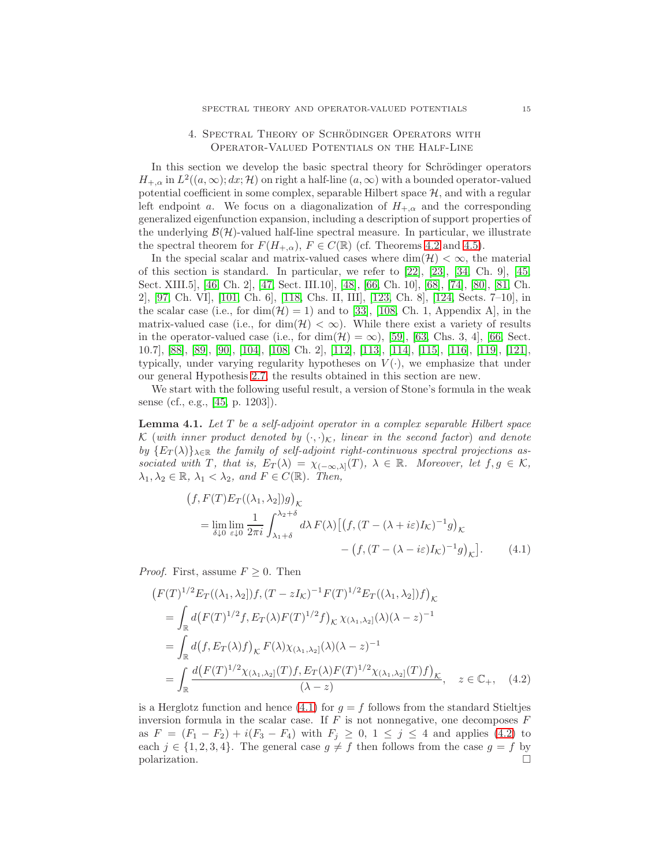## 4. SPECTRAL THEORY OF SCHRÖDINGER OPERATORS WITH Operator-Valued Potentials on the Half-Line

<span id="page-14-0"></span>In this section we develop the basic spectral theory for Schrödinger operators  $H_{+,\alpha}$  in  $L^2((a,\infty); dx; \mathcal{H})$  on right a half-line  $(a,\infty)$  with a bounded operator-valued potential coefficient in some complex, separable Hilbert space  $H$ , and with a regular left endpoint a. We focus on a diagonalization of  $H_{+,\alpha}$  and the corresponding generalized eigenfunction expansion, including a description of support properties of the underlying  $\mathcal{B}(\mathcal{H})$ -valued half-line spectral measure. In particular, we illustrate the spectral theorem for  $F(H_{+,\alpha}), F \in C(\mathbb{R})$  (cf. Theorems [4.2](#page-15-1) and [4.5\)](#page-21-0).

In the special scalar and matrix-valued cases where  $\dim(\mathcal{H}) < \infty$ , the material of this section is standard. In particular, we refer to [\[22\]](#page-44-9), [\[23\]](#page-44-10), [\[34,](#page-44-11) Ch. 9], [\[45,](#page-44-12) Sect. XIII.5], [\[46,](#page-45-13) Ch. 2], [\[47,](#page-45-14) Sect. III.10], [\[48\]](#page-45-15), [\[66,](#page-45-12) Ch. 10], [\[68\]](#page-45-16), [\[74\]](#page-46-13), [\[80\]](#page-46-14), [\[81,](#page-46-15) Ch. 2], [\[97,](#page-46-16) Ch. VI], [\[101,](#page-47-14) Ch. 6], [\[118,](#page-47-15) Chs. II, III], [\[123,](#page-47-16) Ch. 8], [\[124,](#page-47-17) Sects. 7–10], in the scalar case (i.e., for  $\dim(\mathcal{H}) = 1$ ) and to [\[33\]](#page-44-13), [\[108,](#page-47-0) Ch. 1, Appendix A], in the matrix-valued case (i.e., for dim( $\mathcal{H}$ ) <  $\infty$ ). While there exist a variety of results in the operator-valued case (i.e., for  $\dim(\mathcal{H}) = \infty$ ), [\[59\]](#page-45-2), [\[63,](#page-45-1) Chs. 3, 4], [\[66,](#page-45-12) Sect. 10.7], [\[88\]](#page-46-7), [\[89\]](#page-46-8), [\[90\]](#page-46-9), [\[104\]](#page-47-1), [\[108,](#page-47-0) Ch. 2], [\[112\]](#page-47-2), [\[113\]](#page-47-7), [\[114\]](#page-47-18), [\[115\]](#page-47-19), [\[116\]](#page-47-8), [\[119\]](#page-47-3), [\[121\]](#page-47-4), typically, under varying regularity hypotheses on  $V(\cdot)$ , we emphasize that under our general Hypothesis [2.7,](#page-7-0) the results obtained in this section are new.

We start with the following useful result, a version of Stone's formula in the weak sense (cf., e.g., [\[45,](#page-44-12) p. 1203]).

**Lemma 4.1.** Let  $T$  be a self-adjoint operator in a complex separable Hilbert space K (with inner product denoted by  $(\cdot, \cdot)_{\mathcal{K}}$ , linear in the second factor) and denote by  ${E_T(\lambda)}_{\lambda \in \mathbb{R}}$  the family of self-adjoint right-continuous spectral projections associated with T, that is,  $E_T(\lambda) = \chi_{(-\infty,\lambda]}(T)$ ,  $\lambda \in \mathbb{R}$ . Moreover, let  $f, g \in \mathcal{K}$ ,  $\lambda_1, \lambda_2 \in \mathbb{R}, \lambda_1 < \lambda_2, \text{ and } F \in C(\mathbb{R}).$  Then,

<span id="page-14-2"></span><span id="page-14-1"></span>
$$
(f, F(T)E_T((\lambda_1, \lambda_2))g)_{\mathcal{K}}
$$
  
= 
$$
\lim_{\delta \downarrow 0} \lim_{\varepsilon \downarrow 0} \frac{1}{2\pi i} \int_{\lambda_1 + \delta}^{\lambda_2 + \delta} d\lambda F(\lambda) \left[ \left( f, (T - (\lambda + i\varepsilon)I_{\mathcal{K}})^{-1}g \right)_{\mathcal{K}} - \left( f, (T - (\lambda - i\varepsilon)I_{\mathcal{K}})^{-1}g \right)_{\mathcal{K}} \right].
$$
 (4.1)

*Proof.* First, assume  $F \geq 0$ . Then

$$
(F(T)^{1/2}E_T((\lambda_1, \lambda_2))f, (T - zI_K)^{-1}F(T)^{1/2}E_T((\lambda_1, \lambda_2))f)_{\mathcal{K}}
$$
  
= 
$$
\int_{\mathbb{R}} d(F(T)^{1/2}f, E_T(\lambda)F(T)^{1/2}f)_{\mathcal{K}} \chi_{(\lambda_1, \lambda_2]}(\lambda)(\lambda - z)^{-1}
$$
  
= 
$$
\int_{\mathbb{R}} d(f, E_T(\lambda)f)_{\mathcal{K}} F(\lambda) \chi_{(\lambda_1, \lambda_2]}(\lambda)(\lambda - z)^{-1}
$$
  
= 
$$
\int_{\mathbb{R}} \frac{d(F(T)^{1/2}\chi_{(\lambda_1, \lambda_2]}(T)f, E_T(\lambda)F(T)^{1/2}\chi_{(\lambda_1, \lambda_2]}(T)f)_{\mathcal{K}}}{(\lambda - z)}, \quad z \in \mathbb{C}_+, \quad (4.2)
$$

is a Herglotz function and hence [\(4.1\)](#page-14-1) for  $g = f$  follows from the standard Stieltjes inversion formula in the scalar case. If  $F$  is not nonnegative, one decomposes  $F$ as  $F = (F_1 - F_2) + i(F_3 - F_4)$  with  $F_j \ge 0, 1 \le j \le 4$  and applies [\(4.2\)](#page-14-2) to each  $j \in \{1, 2, 3, 4\}$ . The general case  $g \neq f$  then follows from the case  $g = f$  by polarization.  $\Box$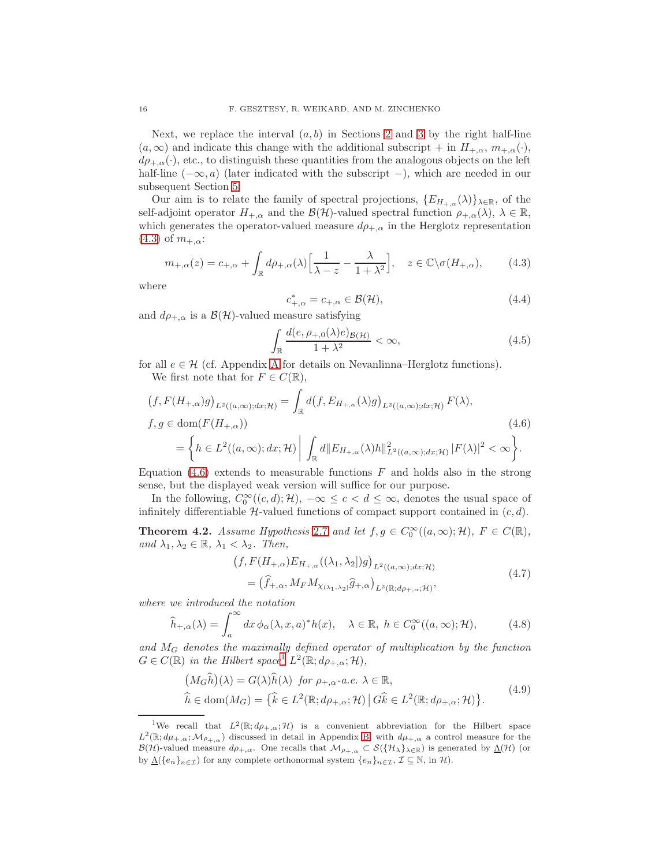Next, we replace the interval  $(a, b)$  in Sections [2](#page-2-0) and [3](#page-9-0) by the right half-line  $(a, \infty)$  and indicate this change with the additional subscript + in  $H_{+,\alpha}$ ,  $m_{+,\alpha}(\cdot)$ ,  $d\rho_{+\alpha}(\cdot)$ , etc., to distinguish these quantities from the analogous objects on the left half-line  $(-\infty, a)$  (later indicated with the subscript –), which are needed in our subsequent Section [5.](#page-22-0)

Our aim is to relate the family of spectral projections,  $\{E_{H_{+,\alpha}}(\lambda)\}_{\lambda\in\mathbb{R}}$ , of the self-adjoint operator  $H_{+,\alpha}$  and the  $\mathcal{B}(\mathcal{H})$ -valued spectral function  $\rho_{+,\alpha}(\lambda), \lambda \in \mathbb{R}$ , which generates the operator-valued measure  $d\rho_{+,\alpha}$  in the Herglotz representation  $(4.3)$  of  $m_{+,\alpha}$ :

<span id="page-15-2"></span>
$$
m_{+,\alpha}(z) = c_{+,\alpha} + \int_{\mathbb{R}} d\rho_{+,\alpha}(\lambda) \left[ \frac{1}{\lambda - z} - \frac{\lambda}{1 + \lambda^2} \right], \quad z \in \mathbb{C} \setminus \sigma(H_{+,\alpha}), \tag{4.3}
$$

where

<span id="page-15-3"></span>
$$
c_{+,\alpha}^* = c_{+,\alpha} \in \mathcal{B}(\mathcal{H}),\tag{4.4}
$$

and  $d\rho_{+,\alpha}$  is a  $\mathcal{B}(\mathcal{H})$ -valued measure satisfying

$$
\int_{\mathbb{R}} \frac{d(e, \rho_{+,0}(\lambda)e)_{\mathcal{B}(\mathcal{H})}}{1+\lambda^2} < \infty,\tag{4.5}
$$

for all  $e \in \mathcal{H}$  (cf. [A](#page-30-1)ppendix A for details on Nevanlinna–Herglotz functions). We first note that for  $F \in C(\mathbb{R}),$ 

$$
(f, F(H_{+,\alpha})g)_{L^2((a,\infty);dx;H)} = \int_{\mathbb{R}} d(f, E_{H_{+,\alpha}}(\lambda)g)_{L^2((a,\infty);dx;H)} F(\lambda),
$$
  
\n
$$
f, g \in \text{dom}(F(H_{+,\alpha}))
$$
\n
$$
= \left\{ h \in L^2((a,\infty);dx;H) \middle| \int_{\mathbb{R}} d||E_{H_{+,\alpha}}(\lambda)h||_{L^2((a,\infty);dx;H)}^2 |F(\lambda)|^2 < \infty \right\}.
$$
\n(4.6)

Equation  $(4.6)$  extends to measurable functions F and holds also in the strong sense, but the displayed weak version will suffice for our purpose.

In the following,  $C_0^{\infty}((c, d); \mathcal{H})$ ,  $-\infty \leq c < d \leq \infty$ , denotes the usual space of infinitely differentiable  $H$ -valued functions of compact support contained in  $(c, d)$ .

<span id="page-15-1"></span>**Theorem 4.2.** Assume Hypothesis [2.7](#page-7-0) and let  $f, g \in C_0^{\infty}((a, \infty); \mathcal{H})$ ,  $F \in C(\mathbb{R})$ , and  $\lambda_1, \lambda_2 \in \mathbb{R}, \lambda_1 < \lambda_2$ . Then,

<span id="page-15-6"></span><span id="page-15-0"></span>
$$
\begin{aligned} \left(f, F(H_{+,\alpha})E_{H_{+,\alpha}}((\lambda_1,\lambda_2])g\right)_{L^2((a,\infty);dx;\mathcal{H})} \\ &= \left(\widehat{f}_{+,\alpha}, M_F M_{\chi(\lambda_1,\lambda_2)}\widehat{g}_{+,\alpha}\right)_{L^2(\mathbb{R};d\rho_{+,\alpha};\mathcal{H})}, \end{aligned} \tag{4.7}
$$

where we introduced the notation

<span id="page-15-5"></span>
$$
\widehat{h}_{+,\alpha}(\lambda) = \int_{a}^{\infty} dx \, \phi_{\alpha}(\lambda, x, a)^{*} h(x), \quad \lambda \in \mathbb{R}, \ h \in C_{0}^{\infty}((a, \infty); \mathcal{H}), \tag{4.8}
$$

and M<sup>G</sup> denotes the maximally defined operator of multiplication by the function  $G \in C(\mathbb{R})$  in the Hilbert space<sup>[1](#page-15-4)</sup>  $L^2(\mathbb{R}; d\rho_{+,\alpha}; \mathcal{H}),$ 

$$
(M_G \hat{h})(\lambda) = G(\lambda)\hat{h}(\lambda) \text{ for } \rho_{+,\alpha}.a.e. \lambda \in \mathbb{R},
$$
  

$$
\hat{h} \in \text{dom}(M_G) = \{\hat{k} \in L^2(\mathbb{R}; d\rho_{+,\alpha}; \mathcal{H}) \mid G\hat{k} \in L^2(\mathbb{R}; d\rho_{+,\alpha}; \mathcal{H})\}.
$$
  
(4.9)

<span id="page-15-4"></span><sup>&</sup>lt;sup>1</sup>We recall that  $L^2(\mathbb{R}; d\rho_{+,\alpha}; \mathcal{H})$  is a convenient abbreviation for the Hilbert space  $L^2(\mathbb{R}; d\mu_{+,\alpha}; \mathcal{M}_{\rho_{+,\alpha}})$  discussed in detail in Appendix [B,](#page-33-0) with  $d\mu_{+,\alpha}$  a control measure for the  $\mathcal{B}(\mathcal{H})$ -valued measure  $d\rho_{+,\alpha}$ . One recalls that  $\mathcal{M}_{\rho_{+,\alpha}} \subset \mathcal{S}(\{\mathcal{H}_{\lambda}\}_{\lambda\in\mathbb{R}})$  is generated by  $\underline{\Lambda}(\mathcal{H})$  (or by  $\underline{\Lambda}(\{e_n\}_{n\in\mathcal{I}})$  for any complete orthonormal system  $\{e_n\}_{n\in\mathcal{I}},\mathcal{I}\subseteq\mathbb{N}$ , in  $\mathcal{H}$ ).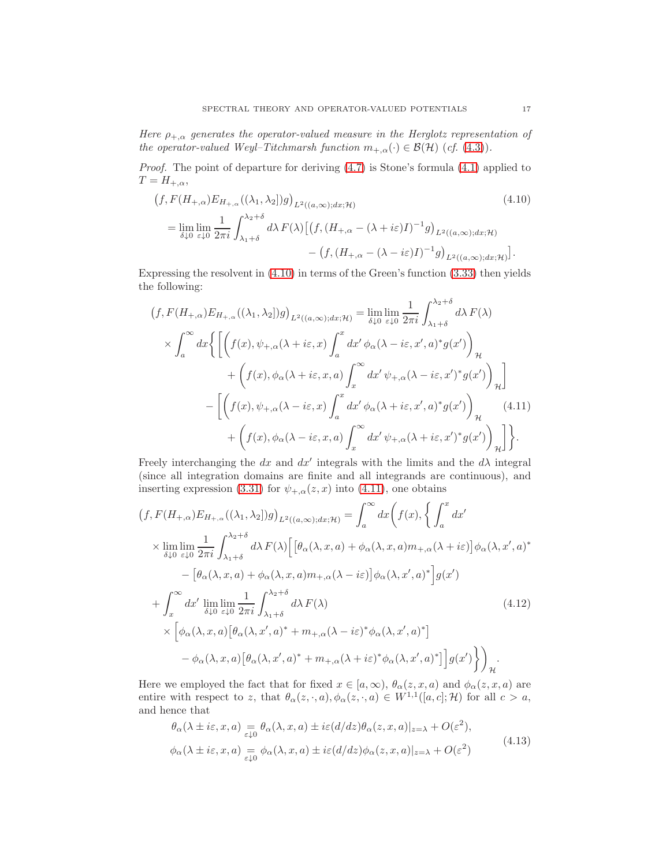Here  $\rho_{+,\alpha}$  generates the operator-valued measure in the Herglotz representation of the operator-valued Weyl–Titchmarsh function  $m_{+,\alpha}(\cdot) \in \mathcal{B}(\mathcal{H})$  (cf. [\(4.3\)](#page-15-2)).

Proof. The point of departure for deriving [\(4.7\)](#page-15-0) is Stone's formula [\(4.1\)](#page-14-1) applied to  $T = H_{+,\alpha}$ ,

<span id="page-16-1"></span>
$$
(f, F(H_{+,\alpha})E_{H_{+,\alpha}}((\lambda_1, \lambda_2))g)_{L^2((a,\infty);dx;\mathcal{H})}
$$
\n
$$
= \lim_{\delta \downarrow 0} \lim_{\varepsilon \downarrow 0} \frac{1}{2\pi i} \int_{\lambda_1+\delta}^{\lambda_2+\delta} d\lambda F(\lambda) \left[ \left( f, (H_{+,\alpha} - (\lambda + i\varepsilon)I)^{-1} g \right)_{L^2((a,\infty);dx;\mathcal{H})} - \left( f, (H_{+,\alpha} - (\lambda - i\varepsilon)I)^{-1} g \right)_{L^2((a,\infty);dx;\mathcal{H})} \right].
$$
\n(4.10)

Expressing the resolvent in [\(4.10\)](#page-16-1) in terms of the Green's function [\(3.33\)](#page-13-0) then yields the following:

<span id="page-16-0"></span>
$$
(f, F(H_{+,\alpha})E_{H_{+,\alpha}}((\lambda_1, \lambda_2))g)_{L^2((a,\infty);dx;\mathcal{H})} = \lim_{\delta \downarrow 0} \lim_{\varepsilon \downarrow 0} \frac{1}{2\pi i} \int_{\lambda_1+\delta}^{\lambda_2+\delta} d\lambda F(\lambda)
$$

$$
\times \int_a^\infty dx \Biggl\{ \Biggl[ \Biggl( f(x), \psi_{+,\alpha}(\lambda + i\varepsilon, x) \int_a^x dx' \phi_\alpha(\lambda - i\varepsilon, x', a)^* g(x') \Biggr)_{\mathcal{H}} + \Biggl( f(x), \phi_\alpha(\lambda + i\varepsilon, x, a) \int_x^\infty dx' \psi_{+,\alpha}(\lambda - i\varepsilon, x')^* g(x') \Biggr)_{\mathcal{H}} \Biggr] - \Biggl[ \Biggl( f(x), \psi_{+,\alpha}(\lambda - i\varepsilon, x) \int_a^x dx' \phi_\alpha(\lambda + i\varepsilon, x', a)^* g(x') \Biggr)_{\mathcal{H}} + \Biggl( f(x), \phi_\alpha(\lambda - i\varepsilon, x, a) \int_x^\infty dx' \psi_{+,\alpha}(\lambda + i\varepsilon, x')^* g(x') \Biggr)_{\mathcal{H}} \Biggr] \Biggr\}.
$$
 (4.11)

Freely interchanging the dx and  $dx'$  integrals with the limits and the  $d\lambda$  integral (since all integration domains are finite and all integrands are continuous), and inserting expression [\(3.31\)](#page-12-0) for  $\psi_{+,\alpha}(z, x)$  into [\(4.11\)](#page-16-0), one obtains

$$
(f, F(H_{+,\alpha})E_{H_{+,\alpha}}((\lambda_1, \lambda_2))g)_{L^2((a,\infty);dx;\mathcal{H})} = \int_a^\infty dx \Big(f(x), \Big\{\int_a^x dx' \Big\}
$$
  
\n
$$
\times \lim_{\delta \downarrow 0} \lim_{\varepsilon \downarrow 0} \frac{1}{2\pi i} \int_{\lambda_1+\delta}^{\lambda_2+\delta} d\lambda F(\lambda) \Big[ \Big[\theta_\alpha(\lambda, x, a) + \phi_\alpha(\lambda, x, a)m_{+,\alpha}(\lambda + i\varepsilon) \Big] \phi_\alpha(\lambda, x', a)^* - \Big[\theta_\alpha(\lambda, x, a) + \phi_\alpha(\lambda, x, a)m_{+,\alpha}(\lambda - i\varepsilon) \Big] \phi_\alpha(\lambda, x', a)^* \Big] g(x')
$$
  
\n
$$
+ \int_x^\infty dx' \lim_{\delta \downarrow 0} \lim_{\varepsilon \downarrow 0} \frac{1}{2\pi i} \int_{\lambda_1+\delta}^{\lambda_2+\delta} d\lambda F(\lambda) \Big[ \phi_\alpha(\lambda, x', a)^* + m_{+,\alpha}(\lambda - i\varepsilon)^* \phi_\alpha(\lambda, x', a)^* \Big]
$$
  
\n
$$
- \phi_\alpha(\lambda, x, a) \Big[ \theta_\alpha(\lambda, x', a)^* + m_{+,\alpha}(\lambda + i\varepsilon)^* \phi_\alpha(\lambda, x', a)^* \Big] g(x') \Big\} \Big)_{\mathcal{H}}.
$$
  
\n(4.12)

Here we employed the fact that for fixed  $x \in [a, \infty)$ ,  $\theta_{\alpha}(z, x, a)$  and  $\phi_{\alpha}(z, x, a)$  are entire with respect to z, that  $\theta_{\alpha}(z, \cdot, a), \phi_{\alpha}(z, \cdot, a) \in W^{1,1}([a, c]; \mathcal{H})$  for all  $c > a$ , and hence that

<span id="page-16-3"></span><span id="page-16-2"></span>
$$
\theta_{\alpha}(\lambda \pm i\varepsilon, x, a) = \theta_{\alpha}(\lambda, x, a) \pm i\varepsilon (d/dz) \theta_{\alpha}(z, x, a)|_{z=\lambda} + O(\varepsilon^2),
$$
  

$$
\phi_{\alpha}(\lambda \pm i\varepsilon, x, a) = \phi_{\alpha}(\lambda, x, a) \pm i\varepsilon (d/dz) \phi_{\alpha}(z, x, a)|_{z=\lambda} + O(\varepsilon^2)
$$
(4.13)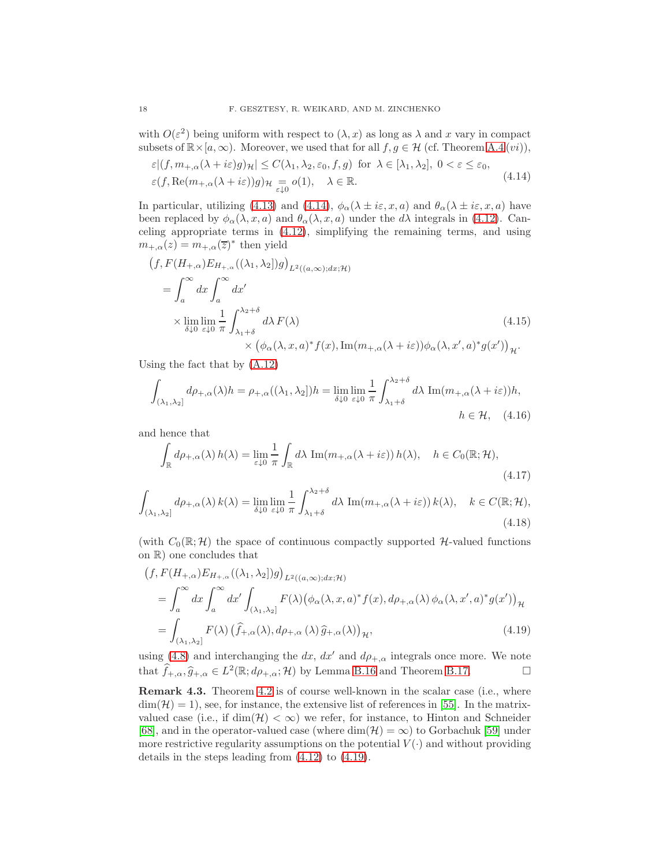with  $O(\varepsilon^2)$  being uniform with respect to  $(\lambda, x)$  as long as  $\lambda$  and x vary in compact subsets of  $\mathbb{R} \times [a, \infty)$ . Moreover, we used that for all  $f, g \in \mathcal{H}$  (cf. Theorem [A.4](#page-32-0)  $(vi)$ ),

<span id="page-17-1"></span>
$$
\varepsilon | (f, m_{+,\alpha}(\lambda + i\varepsilon)g)_{\mathcal{H}}| \leq C(\lambda_1, \lambda_2, \varepsilon_0, f, g) \text{ for } \lambda \in [\lambda_1, \lambda_2], 0 < \varepsilon \leq \varepsilon_0,
$$
  

$$
\varepsilon (f, \text{Re}(m_{+,\alpha}(\lambda + i\varepsilon))g)_{\mathcal{H}} \underset{\varepsilon \downarrow 0}{=} o(1), \quad \lambda \in \mathbb{R}.
$$
 (4.14)

In particular, utilizing [\(4.13\)](#page-16-2) and [\(4.14\)](#page-17-1),  $\phi_{\alpha}(\lambda \pm i\varepsilon, x, a)$  and  $\theta_{\alpha}(\lambda \pm i\varepsilon, x, a)$  have been replaced by  $\phi_{\alpha}(\lambda, x, a)$  and  $\theta_{\alpha}(\lambda, x, a)$  under the  $d\lambda$  integrals in [\(4.12\)](#page-16-3). Canceling appropriate terms in [\(4.12\)](#page-16-3), simplifying the remaining terms, and using  $m_{+,\alpha}(z) = m_{+,\alpha}(\overline{z})^*$  then yield

$$
(f, F(H_{+,\alpha})E_{H_{+,\alpha}}((\lambda_1, \lambda_2))g)_{L^2((a,\infty);dx;\mathcal{H})}
$$
  
=  $\int_a^{\infty} dx \int_a^{\infty} dx'$   
 $\times \lim_{\delta \downarrow 0} \lim_{\varepsilon \downarrow 0} \frac{1}{\pi} \int_{\lambda_1 + \delta}^{\lambda_2 + \delta} d\lambda F(\lambda)$  (4.15)  
 $\times (\phi_\alpha(\lambda, x, a)^* f(x), \text{Im}(m_{+,\alpha}(\lambda + i\varepsilon))\phi_\alpha(\lambda, x', a)^* g(x'))_{\mathcal{H}}.$ 

Using the fact that by [\(A.12\)](#page-32-1)

$$
\int_{(\lambda_1,\lambda_2]} d\rho_{+,\alpha}(\lambda)h = \rho_{+,\alpha}((\lambda_1,\lambda_2])h = \lim_{\delta \downarrow 0} \lim_{\varepsilon \downarrow 0} \frac{1}{\pi} \int_{\lambda_1+\delta}^{\lambda_2+\delta} d\lambda \operatorname{Im}(m_{+,\alpha}(\lambda + i\varepsilon))h,
$$
  
\n
$$
h \in \mathcal{H}, \quad (4.16)
$$

and hence that

$$
\int_{\mathbb{R}} d\rho_{+,\alpha}(\lambda) h(\lambda) = \lim_{\varepsilon \downarrow 0} \frac{1}{\pi} \int_{\mathbb{R}} d\lambda \, \text{Im}(m_{+,\alpha}(\lambda + i\varepsilon)) h(\lambda), \quad h \in C_0(\mathbb{R}; \mathcal{H}),
$$
\n(4.17)

$$
\int_{(\lambda_1,\lambda_2]} d\rho_{+,\alpha}(\lambda) k(\lambda) = \lim_{\delta \downarrow 0} \lim_{\varepsilon \downarrow 0} \frac{1}{\pi} \int_{\lambda_1 + \delta}^{\lambda_2 + \delta} d\lambda \, \operatorname{Im}(m_{+,\alpha}(\lambda + i\varepsilon)) k(\lambda), \quad k \in C(\mathbb{R}; \mathcal{H}),
$$
\n(4.18)

(with  $C_0(\mathbb{R}; \mathcal{H})$  the space of continuous compactly supported  $\mathcal{H}$ -valued functions on R) one concludes that

<span id="page-17-0"></span>
$$
(f, F(H_{+,\alpha})E_{H_{+,\alpha}}((\lambda_1, \lambda_2])g)_{L^2((a,\infty);dx; \mathcal{H})}
$$
  
= 
$$
\int_a^{\infty} dx \int_a^{\infty} dx' \int_{(\lambda_1, \lambda_2]} F(\lambda) (\phi_{\alpha}(\lambda, x, a)^* f(x), d\rho_{+,\alpha}(\lambda) \phi_{\alpha}(\lambda, x', a)^* g(x'))_{\mathcal{H}}
$$
  
= 
$$
\int_{(\lambda_1, \lambda_2]} F(\lambda) (\widehat{f}_{+,\alpha}(\lambda), d\rho_{+,\alpha}(\lambda) \widehat{g}_{+,\alpha}(\lambda))_{\mathcal{H}},
$$
(4.19)

using [\(4.8\)](#page-15-5) and interchanging the dx,  $dx'$  and  $d\rho_{+,\alpha}$  integrals once more. We note that  $\widehat{f}_{+,\alpha}, \widehat{g}_{+,\alpha} \in L^2(\mathbb{R}; d\rho_{+,\alpha}; \mathcal{H})$  by Lemma [B.16](#page-42-0) and Theorem [B.17.](#page-42-1)

Remark 4.3. Theorem [4.2](#page-15-1) is of course well-known in the scalar case (i.e., where  $\dim(\mathcal{H}) = 1$ , see, for instance, the extensive list of references in [\[55\]](#page-45-17). In the matrixvalued case (i.e., if  $\dim(\mathcal{H}) < \infty$ ) we refer, for instance, to Hinton and Schneider [\[68\]](#page-45-16), and in the operator-valued case (where  $\dim(\mathcal{H}) = \infty$ ) to Gorbachuk [\[59\]](#page-45-2) under more restrictive regularity assumptions on the potential  $V(\cdot)$  and without providing details in the steps leading from [\(4.12\)](#page-16-3) to [\(4.19\)](#page-17-0).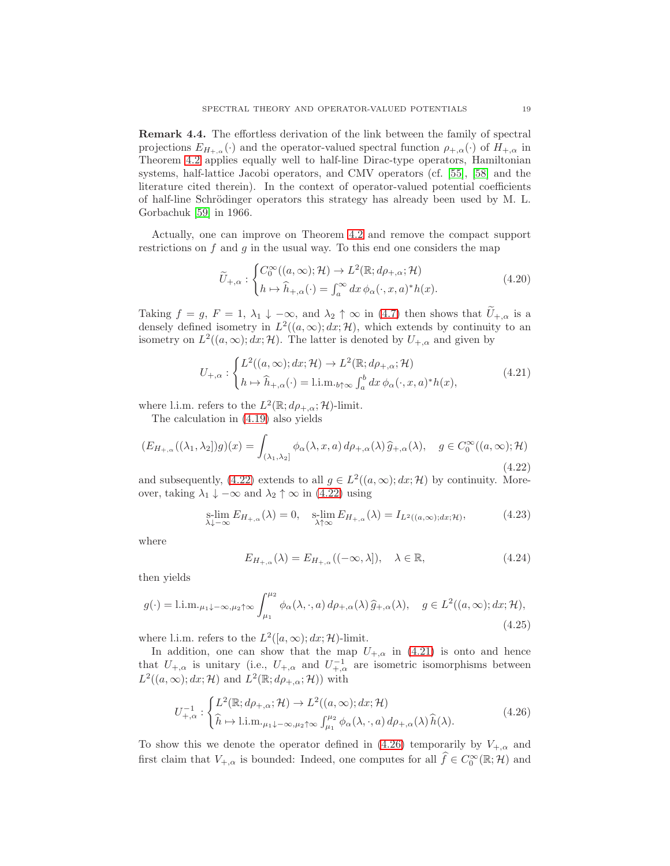<span id="page-18-4"></span>Remark 4.4. The effortless derivation of the link between the family of spectral projections  $E_{H_{\pm,\alpha}}(\cdot)$  and the operator-valued spectral function  $\rho_{\pm,\alpha}(\cdot)$  of  $H_{\pm,\alpha}$  in Theorem [4.2](#page-15-1) applies equally well to half-line Dirac-type operators, Hamiltonian systems, half-lattice Jacobi operators, and CMV operators (cf. [\[55\]](#page-45-17), [\[58\]](#page-45-18) and the literature cited therein). In the context of operator-valued potential coefficients of half-line Schrödinger operators this strategy has already been used by M. L. Gorbachuk [\[59\]](#page-45-2) in 1966.

Actually, one can improve on Theorem [4.2](#page-15-1) and remove the compact support restrictions on  $f$  and  $g$  in the usual way. To this end one considers the map

$$
\widetilde{U}_{+,\alpha}: \begin{cases}\nC_0^{\infty}((a,\infty);\mathcal{H}) \to L^2(\mathbb{R}; d\rho_{+,\alpha}; \mathcal{H}) \\
h \mapsto \widehat{h}_{+,\alpha}(\cdot) = \int_a^{\infty} dx \,\phi_{\alpha}(\cdot, x, a)^* h(x).\n\end{cases} \tag{4.20}
$$

Taking  $f = g$ ,  $F = 1$ ,  $\lambda_1 \downarrow -\infty$ , and  $\lambda_2 \uparrow \infty$  in [\(4.7\)](#page-15-0) then shows that  $\widetilde{U}_{+,\alpha}$  is a densely defined isometry in  $L^2((a,\infty); dx; \mathcal{H})$ , which extends by continuity to an isometry on  $L^2((a,\infty); dx; \mathcal{H})$ . The latter is denoted by  $U_{+,\alpha}$  and given by

<span id="page-18-1"></span>
$$
U_{+,\alpha}: \begin{cases} L^2((a,\infty); dx; \mathcal{H}) \to L^2(\mathbb{R}; d\rho_{+,\alpha}; \mathcal{H}) \\ h \mapsto \widehat{h}_{+,\alpha}(\cdot) = 1 \text{.i.m.}_{b\uparrow\infty} \int_a^b dx \, \phi_\alpha(\cdot, x, a)^* h(x), \end{cases} \tag{4.21}
$$

where l.i.m. refers to the  $L^2(\mathbb{R}; d\rho_{+,\alpha}; \mathcal{H})$ -limit.

The calculation in [\(4.19\)](#page-17-0) also yields

<span id="page-18-0"></span>
$$
(E_{H_{+,\alpha}}((\lambda_1,\lambda_2])g)(x) = \int_{(\lambda_1,\lambda_2]} \phi_{\alpha}(\lambda,x,a) d\rho_{+,\alpha}(\lambda) \,\widehat{g}_{+,\alpha}(\lambda), \quad g \in C_0^{\infty}((a,\infty); \mathcal{H})
$$
\n(4.22)

and subsequently, [\(4.22\)](#page-18-0) extends to all  $g \in L^2((a,\infty); dx; \mathcal{H})$  by continuity. Moreover, taking  $\lambda_1 \downarrow -\infty$  and  $\lambda_2 \uparrow \infty$  in [\(4.22\)](#page-18-0) using

$$
\underset{\lambda \downarrow -\infty}{\text{s-lim}} E_{H_{+,\alpha}}(\lambda) = 0, \quad \underset{\lambda \uparrow \infty}{\text{s-lim}} E_{H_{+,\alpha}}(\lambda) = I_{L^2((a,\infty);dx; \mathcal{H})},\tag{4.23}
$$

where

$$
E_{H_{+,\alpha}}(\lambda) = E_{H_{+,\alpha}}((-\infty,\lambda]), \quad \lambda \in \mathbb{R}, \tag{4.24}
$$

then yields

<span id="page-18-3"></span>
$$
g(\cdot) = \text{l.i.m.}_{\mu_1 \downarrow -\infty, \mu_2 \uparrow \infty} \int_{\mu_1}^{\mu_2} \phi_\alpha(\lambda, \cdot, a) \, d\rho_{+,\alpha}(\lambda) \, \widehat{g}_{+,\alpha}(\lambda), \quad g \in L^2((a, \infty); dx; \mathcal{H}),
$$
\n(4.25)

where l.i.m. refers to the  $L^2([a,\infty);dx;\mathcal{H})$ -limit.

In addition, one can show that the map  $U_{+,\alpha}$  in [\(4.21\)](#page-18-1) is onto and hence that  $U_{+,\alpha}$  is unitary (i.e.,  $U_{+,\alpha}$  and  $U_{+,\alpha}^{-1}$  are isometric isomorphisms between  $L^2((a,\infty);dx;\mathcal{H})$  and  $L^2(\mathbb{R};d\rho_{+,\alpha};\mathcal{H}))$  with

<span id="page-18-2"></span>
$$
U_{+,\alpha}^{-1}: \begin{cases} L^{2}(\mathbb{R}; d\rho_{+,\alpha}; \mathcal{H}) \to L^{2}((a,\infty); dx; \mathcal{H}) \\ \widehat{h} \mapsto \text{l.i.m.}_{\mu_{1}\downarrow -\infty, \mu_{2}\uparrow\infty} \int_{\mu_{1}}^{\mu_{2}} \phi_{\alpha}(\lambda, \cdot, a) d\rho_{+,\alpha}(\lambda) \widehat{h}(\lambda). \end{cases} (4.26)
$$

To show this we denote the operator defined in [\(4.26\)](#page-18-2) temporarily by  $V_{+,\alpha}$  and first claim that  $V_{+,\alpha}$  is bounded: Indeed, one computes for all  $\hat{f} \in C_0^{\infty}(\mathbb{R}; H)$  and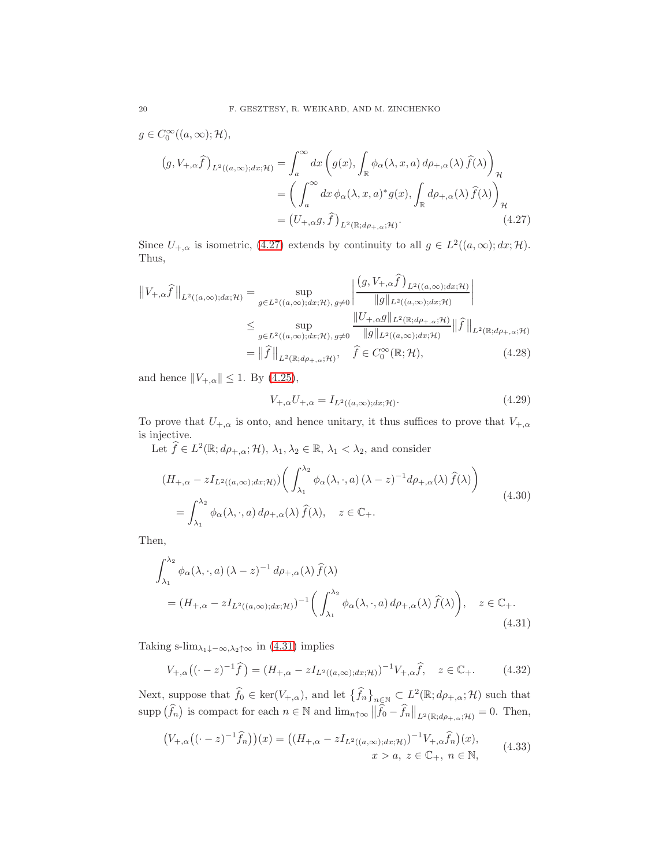$$
g \in C_0^{\infty}((a,\infty); \mathcal{H}),
$$
  
\n
$$
(g, V_{+,\alpha}\hat{f})_{L^2((a,\infty);dx;\mathcal{H})} = \int_a^{\infty} dx \left( g(x), \int_{\mathbb{R}} \phi_{\alpha}(\lambda, x, a) d\rho_{+,\alpha}(\lambda) \hat{f}(\lambda) \right)_{\mathcal{H}}
$$
  
\n
$$
= \left( \int_a^{\infty} dx \, \phi_{\alpha}(\lambda, x, a)^* g(x), \int_{\mathbb{R}} d\rho_{+,\alpha}(\lambda) \hat{f}(\lambda) \right)_{\mathcal{H}}
$$
  
\n
$$
= (U_{+,\alpha}g, \hat{f})_{L^2(\mathbb{R}; d\rho_{+,\alpha}; \mathcal{H})}. \tag{4.27}
$$

Since  $U_{+,\alpha}$  is isometric, [\(4.27\)](#page-19-0) extends by continuity to all  $g \in L^2((a,\infty); dx; \mathcal{H})$ . Thus,

$$
||V_{+,\alpha}\widehat{f}||_{L^{2}((a,\infty);dx;\mathcal{H})} = \sup_{g\in L^{2}((a,\infty);dx;\mathcal{H}), g\neq 0} \left| \frac{(g,V_{+,\alpha}\widehat{f})_{L^{2}((a,\infty);dx;\mathcal{H})}}{||g||_{L^{2}((a,\infty);dx;\mathcal{H})}} \right|
$$
  
\n
$$
\leq \sup_{g\in L^{2}((a,\infty);dx;\mathcal{H}), g\neq 0} \frac{||U_{+,\alpha}g||_{L^{2}(\mathbb{R};d\rho_{+,\alpha};\mathcal{H})}}{||g||_{L^{2}((a,\infty);dx;\mathcal{H})}} ||\widehat{f}||_{L^{2}(\mathbb{R};d\rho_{+,\alpha};\mathcal{H})}
$$
  
\n
$$
= ||\widehat{f}||_{L^{2}(\mathbb{R};d\rho_{+,\alpha};\mathcal{H})}, \quad \widehat{f} \in C_{0}^{\infty}(\mathbb{R};\mathcal{H}), \qquad (4.28)
$$

and hence  $||V_{+,\alpha}|| \leq 1$ . By [\(4.25\)](#page-18-3),

<span id="page-19-1"></span><span id="page-19-0"></span>
$$
V_{+,\alpha}U_{+,\alpha} = I_{L^2((a,\infty);dx; \mathcal{H})}.
$$
\n(4.29)

To prove that  $U_{+,\alpha}$  is onto, and hence unitary, it thus suffices to prove that  $V_{+,\alpha}$ is injective.

Let  $\widehat{f} \in L^2(\mathbb{R}; d\rho_{+,\alpha}; \mathcal{H}), \lambda_1, \lambda_2 \in \mathbb{R}, \lambda_1 < \lambda_2$ , and consider

$$
(H_{+,\alpha} - zI_{L^2((a,\infty);dx;\mathcal{H})}) \left( \int_{\lambda_1}^{\lambda_2} \phi_\alpha(\lambda,\cdot,a) (\lambda - z)^{-1} d\rho_{+,\alpha}(\lambda) \hat{f}(\lambda) \right)
$$
  
= 
$$
\int_{\lambda_1}^{\lambda_2} \phi_\alpha(\lambda,\cdot,a) d\rho_{+,\alpha}(\lambda) \hat{f}(\lambda), \quad z \in \mathbb{C}_+.
$$
 (4.30)

Then,

$$
\int_{\lambda_1}^{\lambda_2} \phi_{\alpha}(\lambda, \cdot, a) (\lambda - z)^{-1} d\rho_{+,\alpha}(\lambda) \widehat{f}(\lambda)
$$
  
=  $(H_{+,\alpha} - zI_{L^2((a,\infty);dx;H)})^{-1} \bigg( \int_{\lambda_1}^{\lambda_2} \phi_{\alpha}(\lambda, \cdot, a) d\rho_{+,\alpha}(\lambda) \widehat{f}(\lambda) \bigg), \quad z \in \mathbb{C}_+.$  (4.31)

Taking s-lim<sub> $\lambda_1\downarrow-\infty, \lambda_2\uparrow\infty$  in [\(4.31\)](#page-19-1) implies</sub>

$$
V_{+,\alpha}\left((\cdot - z)^{-1}\hat{f}\right) = (H_{+,\alpha} - zI_{L^2((a,\infty);dx;\mathcal{H})})^{-1}V_{+,\alpha}\hat{f}, \quad z \in \mathbb{C}_+.\tag{4.32}
$$

Next, suppose that  $\widehat{f}_0 \in \text{ker}(V_{+,\alpha})$ , and let  $\{\widehat{f}_n\}_{n \in \mathbb{N}} \subset L^2(\mathbb{R}; d\rho_{+,\alpha}; \mathcal{H})$  such that supp  $(\widehat{f}_n)$  is compact for each  $n \in \mathbb{N}$  and  $\lim_{n \uparrow \infty} ||\widehat{f}_0 - \widehat{f}_n||_{L^2(\mathbb{R}; d\rho_{+, \alpha}; \mathcal{H})} = 0$ . Then,

$$
(V_{+,\alpha}((\cdot - z)^{-1}\hat{f}_n))(x) = ((H_{+,\alpha} - zI_{L^2((a,\infty);dx;\mathcal{H})})^{-1}V_{+,\alpha}\hat{f}_n)(x),
$$
  

$$
x > a, z \in \mathbb{C}_+, n \in \mathbb{N},
$$
 (4.33)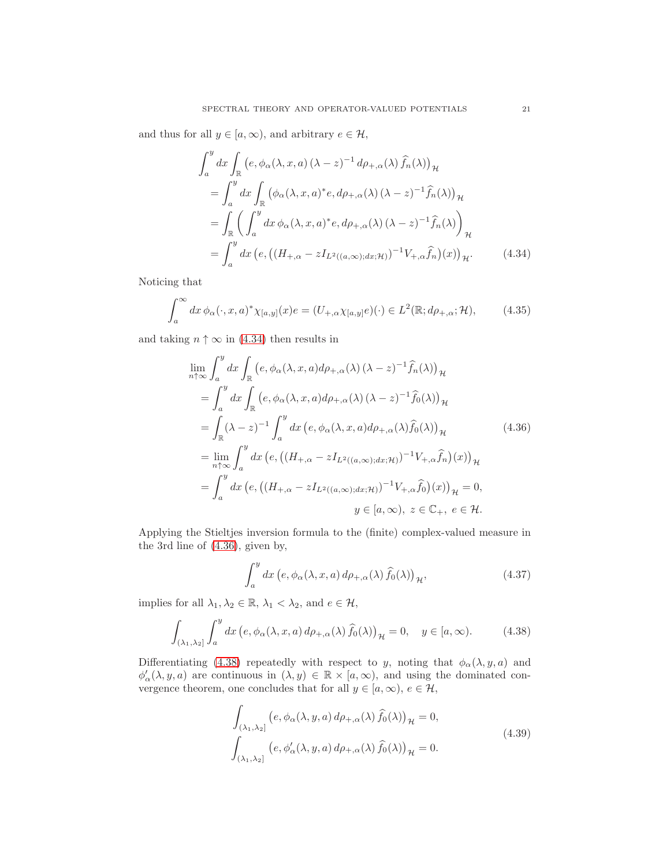and thus for all  $y \in [a, \infty)$ , and arbitrary  $e \in \mathcal{H}$ ,

<span id="page-20-0"></span>
$$
\int_{a}^{y} dx \int_{\mathbb{R}} \left( e, \phi_{\alpha}(\lambda, x, a) (\lambda - z)^{-1} d\rho_{+,\alpha}(\lambda) \widehat{f}_{n}(\lambda) \right)_{\mathcal{H}}
$$
  
\n
$$
= \int_{a}^{y} dx \int_{\mathbb{R}} \left( \phi_{\alpha}(\lambda, x, a)^{*} e, d\rho_{+,\alpha}(\lambda) (\lambda - z)^{-1} \widehat{f}_{n}(\lambda) \right)_{\mathcal{H}}
$$
  
\n
$$
= \int_{\mathbb{R}} \left( \int_{a}^{y} dx \, \phi_{\alpha}(\lambda, x, a)^{*} e, d\rho_{+,\alpha}(\lambda) (\lambda - z)^{-1} \widehat{f}_{n}(\lambda) \right)_{\mathcal{H}}
$$
  
\n
$$
= \int_{a}^{y} dx \left( e, \left( (H_{+,\alpha} - z I_{L^{2}((a,\infty);dx; \mathcal{H})})^{-1} V_{+,\alpha} \widehat{f}_{n} \right) (x) \right)_{\mathcal{H}}.
$$
(4.34)

Noticing that

$$
\int_{a}^{\infty} dx \, \phi_{\alpha}(\cdot, x, a)^{*} \chi_{[a,y]}(x) e = (U_{+,\alpha} \chi_{[a,y]} e)(\cdot) \in L^{2}(\mathbb{R}; d\rho_{+,\alpha}; \mathcal{H}), \tag{4.35}
$$

and taking  $n \uparrow \infty$  in [\(4.34\)](#page-20-0) then results in

$$
\lim_{n\uparrow\infty} \int_{a}^{y} dx \int_{\mathbb{R}} \left( e, \phi_{\alpha}(\lambda, x, a) d\rho_{+,\alpha}(\lambda) (\lambda - z)^{-1} \hat{f}_{n}(\lambda) \right)_{\mathcal{H}}
$$
\n
$$
= \int_{a}^{y} dx \int_{\mathbb{R}} \left( e, \phi_{\alpha}(\lambda, x, a) d\rho_{+,\alpha}(\lambda) (\lambda - z)^{-1} \hat{f}_{0}(\lambda) \right)_{\mathcal{H}}
$$
\n
$$
= \int_{\mathbb{R}} (\lambda - z)^{-1} \int_{a}^{y} dx \left( e, \phi_{\alpha}(\lambda, x, a) d\rho_{+,\alpha}(\lambda) \hat{f}_{0}(\lambda) \right)_{\mathcal{H}}
$$
\n
$$
= \lim_{n\uparrow\infty} \int_{a}^{y} dx \left( e, \left( (H_{+,\alpha} - z I_{L^{2}((a,\infty);dx;\mathcal{H})})^{-1} V_{+,\alpha} \hat{f}_{n} \right) (x) \right)_{\mathcal{H}}
$$
\n
$$
= \int_{a}^{y} dx \left( e, \left( (H_{+,\alpha} - z I_{L^{2}((a,\infty);dx;\mathcal{H})})^{-1} V_{+,\alpha} \hat{f}_{0} \right) (x) \right)_{\mathcal{H}} = 0,
$$
\n
$$
y \in [a,\infty), z \in \mathbb{C}_{+}, e \in \mathcal{H}.
$$

Applying the Stieltjes inversion formula to the (finite) complex-valued measure in the 3rd line of [\(4.36\)](#page-20-1), given by,

<span id="page-20-1"></span>
$$
\int_{a}^{y} dx \left(e, \phi_{\alpha}(\lambda, x, a) d\rho_{+,\alpha}(\lambda) \hat{f}_{0}(\lambda)\right)_{\mathcal{H}},
$$
\n(4.37)

implies for all  $\lambda_1, \lambda_2 \in \mathbb{R}$ ,  $\lambda_1 < \lambda_2$ , and  $e \in \mathcal{H}$ ,

<span id="page-20-2"></span>
$$
\int_{(\lambda_1,\lambda_2]} \int_a^y dx \, \big(e,\phi_\alpha(\lambda,x,a) \, d\rho_{+,\alpha}(\lambda) \, \widehat{f}_0(\lambda)\big)_\mathcal{H} = 0, \quad y \in [a,\infty). \tag{4.38}
$$

Differentiating [\(4.38\)](#page-20-2) repeatedly with respect to y, noting that  $\phi_{\alpha}(\lambda, y, a)$  and  $\phi'_{\alpha}(\lambda, y, a)$  are continuous in  $(\lambda, y) \in \mathbb{R} \times [a, \infty)$ , and using the dominated convergence theorem, one concludes that for all  $y \in [a, \infty)$ ,  $e \in \mathcal{H}$ ,

$$
\int_{(\lambda_1,\lambda_2]} (e, \phi_\alpha(\lambda, y, a) d\rho_{+,\alpha}(\lambda) \hat{f}_0(\lambda))_{\mathcal{H}} = 0,
$$
\n
$$
\int_{(\lambda_1,\lambda_2]} (e, \phi_\alpha'(\lambda, y, a) d\rho_{+,\alpha}(\lambda) \hat{f}_0(\lambda))_{\mathcal{H}} = 0.
$$
\n(4.39)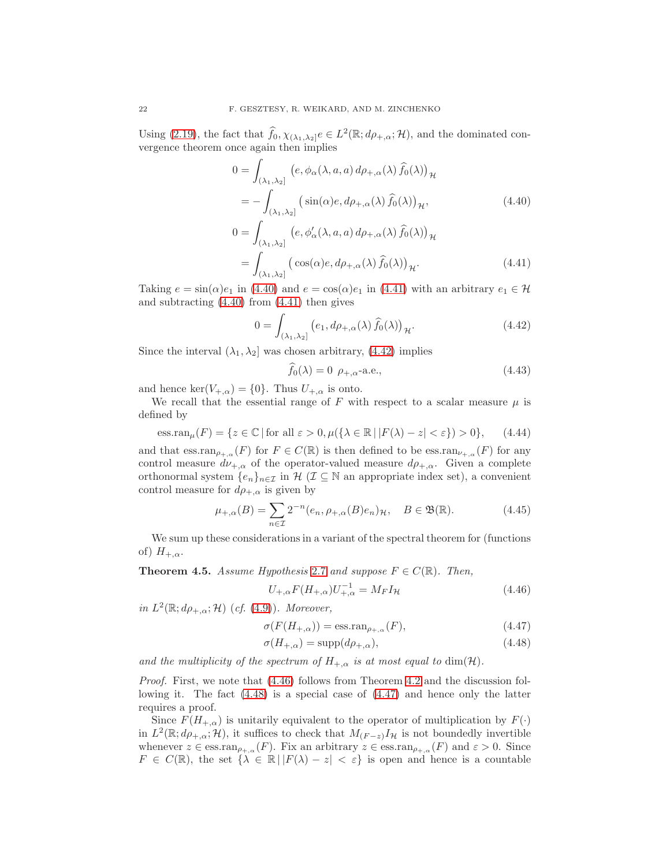Using [\(2.19\)](#page-7-4), the fact that  $\hat{f}_0, \chi_{(\lambda_1,\lambda_2]}e \in L^2(\mathbb{R}; d\rho_{+,\alpha}; \mathcal{H})$ , and the dominated convergence theorem once again then implies

<span id="page-21-1"></span>
$$
0 = \int_{(\lambda_1, \lambda_2]} (e, \phi_\alpha(\lambda, a, a) d\rho_{+,\alpha}(\lambda) \hat{f}_0(\lambda))_{\mathcal{H}}
$$
  
\n
$$
= - \int_{(\lambda_1, \lambda_2]} (sin(\alpha)e, d\rho_{+,\alpha}(\lambda) \hat{f}_0(\lambda))_{\mathcal{H}},
$$
  
\n
$$
0 = \int_{(\lambda_1, \lambda_2]} (e, \phi'_\alpha(\lambda, a, a) d\rho_{+,\alpha}(\lambda) \hat{f}_0(\lambda))_{\mathcal{H}}
$$
  
\n
$$
= \int_{(\lambda_1, \lambda_2]} (cos(\alpha)e, d\rho_{+,\alpha}(\lambda) \hat{f}_0(\lambda))_{\mathcal{H}}.
$$
\n(4.41)

Taking  $e = \sin(\alpha)e_1$  in [\(4.40\)](#page-21-1) and  $e = \cos(\alpha)e_1$  in [\(4.41\)](#page-21-2) with an arbitrary  $e_1 \in \mathcal{H}$ and subtracting [\(4.40\)](#page-21-1) from [\(4.41\)](#page-21-2) then gives

$$
0 = \int_{(\lambda_1, \lambda_2]} \left( e_1, d\rho_{+, \alpha}(\lambda) \hat{f}_0(\lambda) \right)_{\mathcal{H}}.
$$
 (4.42)

Since the interval  $(\lambda_1, \lambda_2]$  was chosen arbitrary, [\(4.42\)](#page-21-3) implies

<span id="page-21-3"></span><span id="page-21-2"></span>
$$
f_0(\lambda) = 0 \ \rho_{+,\alpha} \text{-a.e.,}
$$
\n
$$
(4.43)
$$

and hence  $\ker(V_{+,\alpha}) = \{0\}$ . Thus  $U_{+,\alpha}$  is onto.

We recall that the essential range of F with respect to a scalar measure  $\mu$  is defined by

<span id="page-21-7"></span>
$$
\text{ess.ran}_{\mu}(F) = \{ z \in \mathbb{C} \mid \text{for all } \varepsilon > 0, \mu(\{ \lambda \in \mathbb{R} \mid |F(\lambda) - z| < \varepsilon \}) > 0 \},\tag{4.44}
$$

and that  $\text{ess.ran}_{\rho_{+\alpha}}(F)$  for  $F \in C(\mathbb{R})$  is then defined to be  $\text{ess.ran}_{\nu_{+\alpha}}(F)$  for any control measure  $d\nu_{+,\alpha}$  of the operator-valued measure  $d\rho_{+,\alpha}$ . Given a complete orthonormal system  $\{e_n\}_{n\in\mathcal{I}}$  in  $\mathcal{H}(\mathcal{I}\subseteq\mathbb{N}$  an appropriate index set), a convenient control measure for  $d\rho_{+,\alpha}$  is given by

<span id="page-21-8"></span>
$$
\mu_{+,\alpha}(B) = \sum_{n \in \mathcal{I}} 2^{-n} (e_n, \rho_{+,\alpha}(B)e_n)_{\mathcal{H}}, \quad B \in \mathfrak{B}(\mathbb{R}). \tag{4.45}
$$

We sum up these considerations in a variant of the spectral theorem for (functions of)  $H_{+,\alpha}$ .

<span id="page-21-0"></span>**Theorem 4.5.** Assume Hypothesis [2.7](#page-7-0) and suppose  $F \in C(\mathbb{R})$ . Then,

<span id="page-21-6"></span><span id="page-21-4"></span>
$$
U_{+,\alpha}F(H_{+,\alpha})U_{+,\alpha}^{-1} = M_F I_{\mathcal{H}}
$$
\n(4.46)

in  $L^2(\mathbb{R}; d\rho_{+,\alpha}; \mathcal{H})$  (cf. [\(4.9\)](#page-15-6)). Moreover,

$$
\sigma(F(H_{+,\alpha})) = \text{essran}_{\rho_{+,\alpha}}(F),\tag{4.47}
$$

<span id="page-21-5"></span>
$$
\sigma(H_{+,\alpha}) = \text{supp}(d\rho_{+,\alpha}),\tag{4.48}
$$

and the multiplicity of the spectrum of  $H_{+,\alpha}$  is at most equal to dim(H).

Proof. First, we note that  $(4.46)$  follows from Theorem [4.2](#page-15-1) and the discussion following it. The fact [\(4.48\)](#page-21-5) is a special case of [\(4.47\)](#page-21-6) and hence only the latter requires a proof.

Since  $F(H_{+,\alpha})$  is unitarily equivalent to the operator of multiplication by  $F(\cdot)$ in  $L^2(\mathbb{R}; d\rho_{+,\alpha}; \mathcal{H})$ , it suffices to check that  $M_{(F-z)}I_{\mathcal{H}}$  is not boundedly invertible whenever  $z \in \text{ess.ran}_{\rho_{+\alpha}}(F)$ . Fix an arbitrary  $z \in \text{ess.ran}_{\rho_{+\alpha}}(F)$  and  $\varepsilon > 0$ . Since  $F \in C(\mathbb{R})$ , the set  $\{\lambda \in \mathbb{R} \mid |F(\lambda) - z| < \varepsilon\}$  is open and hence is a countable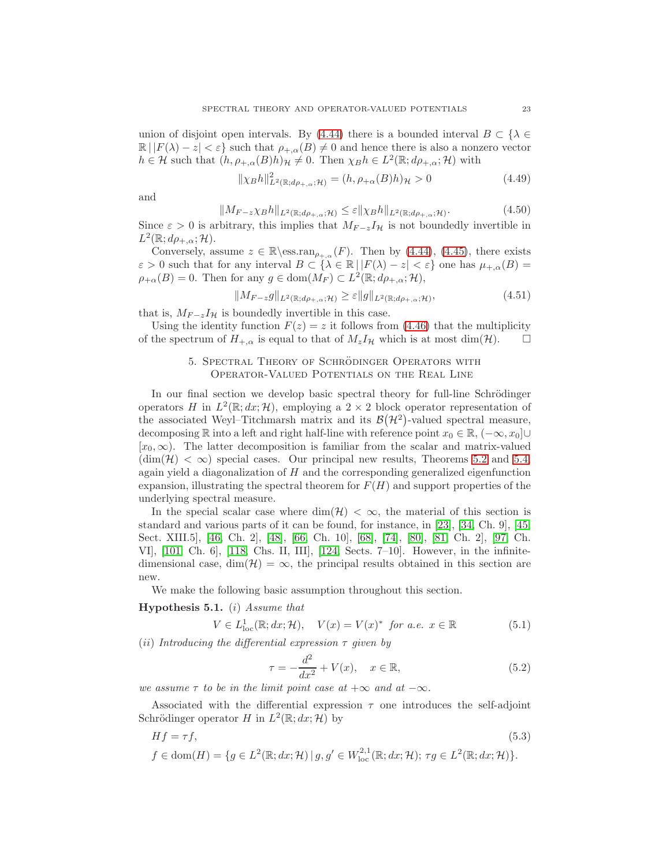union of disjoint open intervals. By [\(4.44\)](#page-21-7) there is a bounded interval  $B \subset \{\lambda \in$  $\mathbb{R} | |F(\lambda) - z| < \varepsilon$  such that  $\rho_{+,\alpha}(B) \neq 0$  and hence there is also a nonzero vector  $h \in \mathcal{H}$  such that  $(h, \rho_{+,\alpha}(B)h)_{\mathcal{H}} \neq 0$ . Then  $\chi_B h \in L^2(\mathbb{R}; d\rho_{+,\alpha}; \mathcal{H})$  with

$$
\|\chi_B h\|_{L^2(\mathbb{R}; d\rho_{+,\alpha}; \mathcal{H})}^2 = (h, \rho_{+\alpha}(B)h)_{\mathcal{H}} > 0
$$
\n(4.49)

and

$$
||M_{F-z}\chi_B h||_{L^2(\mathbb{R};d\rho_{+,\alpha};\mathcal{H})} \leq \varepsilon ||\chi_B h||_{L^2(\mathbb{R};d\rho_{+,\alpha};\mathcal{H})}.
$$
\n(4.50)

Since  $\varepsilon > 0$  is arbitrary, this implies that  $M_{F-z}I_{\mathcal{H}}$  is not boundedly invertible in  $L^2(\mathbb{R}; d\rho_{+,\alpha}; \mathcal{H}).$ 

Conversely, assume  $z \in \mathbb{R} \setminus \mathrm{ess} \cdot \mathrm{ran}_{\rho_{+, \alpha}}(F)$ . Then by [\(4.44\)](#page-21-7), [\(4.45\)](#page-21-8), there exists  $\varepsilon > 0$  such that for any interval  $B \subset {\lambda \in \mathbb{R} \, | \, |F(\lambda) - z| < \varepsilon}$  one has  $\mu_{+,\alpha}(B) =$  $\rho_{+\alpha}(B) = 0$ . Then for any  $g \in \text{dom}(M_F) \subset L^2(\mathbb{R}; d\rho_{+,\alpha}; \mathcal{H}),$ 

$$
||M_{F-z}g||_{L^{2}(\mathbb{R};d\rho_{+,\alpha};\mathcal{H})} \geq \varepsilon ||g||_{L^{2}(\mathbb{R};d\rho_{+,\alpha};\mathcal{H})},\tag{4.51}
$$

that is,  $M_{F-z}I_{\mathcal{H}}$  is boundedly invertible in this case.

<span id="page-22-0"></span>Using the identity function  $F(z) = z$  it follows from [\(4.46\)](#page-21-4) that the multiplicity of the spectrum of  $H_{+,\alpha}$  is equal to that of  $M_zI_{\mathcal{H}}$  which is at most dim( $\mathcal{H}$ ).  $\Box$ 

## 5. SPECTRAL THEORY OF SCHRÖDINGER OPERATORS WITH Operator-Valued Potentials on the Real Line

In our final section we develop basic spectral theory for full-line Schrödinger operators H in  $L^2(\mathbb{R}; dx; \mathcal{H})$ , employing a  $2 \times 2$  block operator representation of the associated Weyl-Titchmarsh matrix and its  $\mathcal{B}(\mathcal{H}^2)$ -valued spectral measure, decomposing R into a left and right half-line with reference point  $x_0 \in \mathbb{R}$ ,  $(-\infty, x_0] \cup$  $[x_0, \infty)$ . The latter decomposition is familiar from the scalar and matrix-valued  $(\dim(\mathcal{H}) < \infty)$  special cases. Our principal new results, Theorems [5.2](#page-25-0) and [5.4,](#page-30-0) again yield a diagonalization of  $H$  and the corresponding generalized eigenfunction expansion, illustrating the spectral theorem for  $F(H)$  and support properties of the underlying spectral measure.

In the special scalar case where  $\dim(\mathcal{H}) < \infty$ , the material of this section is standard and various parts of it can be found, for instance, in [\[23\]](#page-44-10), [\[34,](#page-44-11) Ch. 9], [\[45,](#page-44-12) Sect. XIII.5], [\[46,](#page-45-13) Ch. 2], [\[48\]](#page-45-15), [\[66,](#page-45-12) Ch. 10], [\[68\]](#page-45-16), [\[74\]](#page-46-13), [\[80\]](#page-46-14), [\[81,](#page-46-15) Ch. 2], [\[97,](#page-46-16) Ch. VI], [\[101,](#page-47-14) Ch. 6], [\[118,](#page-47-15) Chs. II, III], [\[124,](#page-47-17) Sects. 7–10]. However, in the infinitedimensional case, dim( $\mathcal{H}$ ) =  $\infty$ , the principal results obtained in this section are new.

We make the following basic assumption throughout this section.

### **Hypothesis 5.1.** (i) Assume that

$$
V \in L_{loc}^1(\mathbb{R}; dx; \mathcal{H}), \quad V(x) = V(x)^* \text{ for a.e. } x \in \mathbb{R}
$$
 (5.1)

(ii) Introducing the differential expression  $\tau$  given by

$$
\tau = -\frac{d^2}{dx^2} + V(x), \quad x \in \mathbb{R}, \tag{5.2}
$$

we assume  $\tau$  to be in the limit point case at  $+\infty$  and at  $-\infty$ .

Associated with the differential expression  $\tau$  one introduces the self-adjoint Schrödinger operator H in  $L^2(\mathbb{R}; dx; \mathcal{H})$  by

$$
Hf = \tau f,
$$
\n
$$
f \in \text{dom}(H) = \{ g \in L^2(\mathbb{R}; dx; \mathcal{H}) \mid g, g' \in W_{\text{loc}}^{2,1}(\mathbb{R}; dx; \mathcal{H}); \ \tau g \in L^2(\mathbb{R}; dx; \mathcal{H}) \}.
$$
\n
$$
(5.3)
$$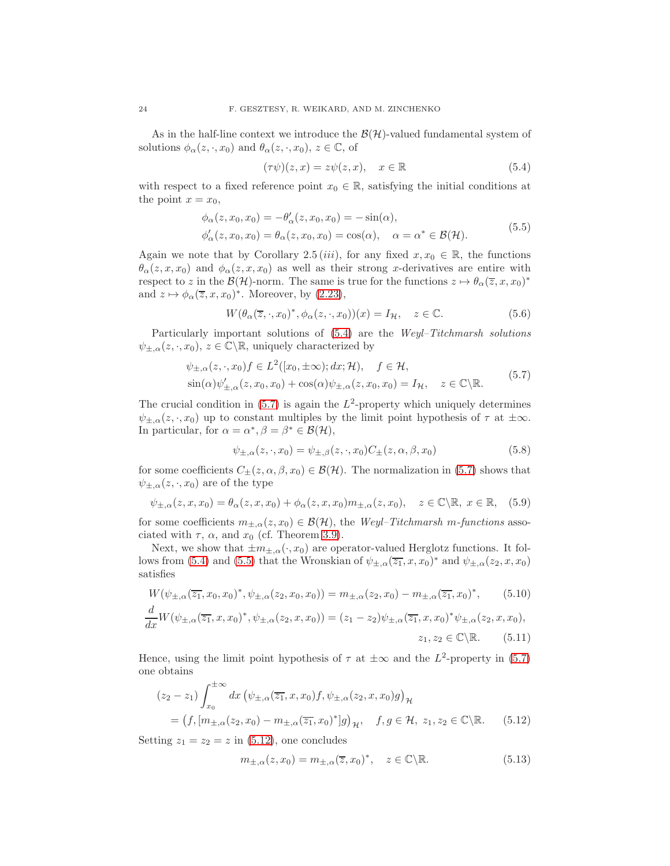As in the half-line context we introduce the  $\mathcal{B}(\mathcal{H})$ -valued fundamental system of solutions  $\phi_{\alpha}(z, \cdot, x_0)$  and  $\theta_{\alpha}(z, \cdot, x_0)$ ,  $z \in \mathbb{C}$ , of

<span id="page-23-2"></span><span id="page-23-0"></span>
$$
(\tau \psi)(z, x) = z\psi(z, x), \quad x \in \mathbb{R}
$$
\n
$$
(5.4)
$$

with respect to a fixed reference point  $x_0 \in \mathbb{R}$ , satisfying the initial conditions at the point  $x = x_0$ ,

$$
\begin{aligned}\n\phi_{\alpha}(z, x_0, x_0) &= -\theta_{\alpha}'(z, x_0, x_0) = -\sin(\alpha), \\
\phi_{\alpha}'(z, x_0, x_0) &= \theta_{\alpha}(z, x_0, x_0) = \cos(\alpha), \quad \alpha = \alpha^* \in \mathcal{B}(\mathcal{H}).\n\end{aligned} \tag{5.5}
$$

Again we note that by Corollary 2.5 (iii), for any fixed  $x, x_0 \in \mathbb{R}$ , the functions  $\theta_{\alpha}(z, x, x_0)$  and  $\phi_{\alpha}(z, x, x_0)$  as well as their strong x-derivatives are entire with respect to z in the  $\mathcal{B}(\mathcal{H})$ -norm. The same is true for the functions  $z \mapsto \theta_\alpha(\overline{z}, x, x_0)^*$ and  $z \mapsto \phi_\alpha(\overline{z}, x, x_0)^*$ . Moreover, by  $(2.23)$ ,

$$
W(\theta_{\alpha}(\overline{z}, \cdot, x_0)^*, \phi_{\alpha}(z, \cdot, x_0))(x) = I_{\mathcal{H}}, \quad z \in \mathbb{C}.
$$
 (5.6)

Particularly important solutions of [\(5.4\)](#page-23-0) are the Weyl–Titchmarsh solutions  $\psi_{\pm,\alpha}(z,\cdot,x_0),\,z\in\mathbb{C}\backslash\mathbb{R}$ , uniquely characterized by

$$
\psi_{\pm,\alpha}(z,\cdot,x_0)f \in L^2([x_0,\pm\infty);dx;\mathcal{H}), \quad f \in \mathcal{H},
$$
  
\n
$$
\sin(\alpha)\psi'_{\pm,\alpha}(z,x_0,x_0) + \cos(\alpha)\psi_{\pm,\alpha}(z,x_0,x_0) = I_{\mathcal{H}}, \quad z \in \mathbb{C}\backslash\mathbb{R}.
$$
\n(5.7)

The crucial condition in  $(5.7)$  is again the  $L^2$ -property which uniquely determines  $\psi_{\pm,\alpha}(z,\cdot,x_0)$  up to constant multiples by the limit point hypothesis of  $\tau$  at  $\pm\infty$ . In particular, for  $\alpha = \alpha^*, \beta = \beta^* \in \mathcal{B}(\mathcal{H}),$ 

<span id="page-23-1"></span>
$$
\psi_{\pm,\alpha}(z,\cdot,x_0) = \psi_{\pm,\beta}(z,\cdot,x_0)C_{\pm}(z,\alpha,\beta,x_0) \tag{5.8}
$$

for some coefficients  $C_{\pm}(z, \alpha, \beta, x_0) \in \mathcal{B}(\mathcal{H})$ . The normalization in [\(5.7\)](#page-23-1) shows that  $\psi_{\pm,\alpha}(z,\cdot,x_0)$  are of the type

<span id="page-23-5"></span>
$$
\psi_{\pm,\alpha}(z,x,x_0) = \theta_\alpha(z,x,x_0) + \phi_\alpha(z,x,x_0) m_{\pm,\alpha}(z,x_0), \quad z \in \mathbb{C} \backslash \mathbb{R}, \ x \in \mathbb{R}, \tag{5.9}
$$

for some coefficients  $m_{\pm,\alpha}(z,x_0) \in \mathcal{B}(\mathcal{H})$ , the Weyl–Titchmarsh m-functions associated with  $\tau$ ,  $\alpha$ , and  $x_0$  (cf. Theorem [3.9\)](#page-12-1).

Next, we show that  $\pm m_{\pm,\alpha}(\cdot, x_0)$  are operator-valued Herglotz functions. It fol-lows from [\(5.4\)](#page-23-0) and [\(5.5\)](#page-23-2) that the Wronskian of  $\psi_{\pm,\alpha}(\overline{z_1},x,x_0)^*$  and  $\psi_{\pm,\alpha}(z_2,x,x_0)$ satisfies

$$
W(\psi_{\pm,\alpha}(\overline{z_1},x_0,x_0)^*, \psi_{\pm,\alpha}(z_2,x_0,x_0)) = m_{\pm,\alpha}(z_2,x_0) - m_{\pm,\alpha}(\overline{z_1},x_0)^*,
$$
 (5.10)

$$
\frac{d}{dx}W(\psi_{\pm,\alpha}(\overline{z_1},x,x_0)^*,\psi_{\pm,\alpha}(z_2,x,x_0)) = (z_1 - z_2)\psi_{\pm,\alpha}(\overline{z_1},x,x_0)^*\psi_{\pm,\alpha}(z_2,x,x_0),
$$
  

$$
z_1, z_2 \in \mathbb{C}\setminus\mathbb{R}.\tag{5.11}
$$

Hence, using the limit point hypothesis of  $\tau$  at  $\pm\infty$  and the  $L^2$ -property in [\(5.7\)](#page-23-1) one obtains

$$
(z_2 - z_1) \int_{x_0}^{+\infty} dx \, (\psi_{\pm,\alpha}(\overline{z_1}, x, x_0) f, \psi_{\pm,\alpha}(z_2, x, x_0) g)_{\mathcal{H}}
$$
  
=  $(f, [m_{\pm,\alpha}(z_2, x_0) - m_{\pm,\alpha}(\overline{z_1}, x_0)^*] g)_{\mathcal{H}}, \quad f, g \in \mathcal{H}, \ z_1, z_2 \in \mathbb{C} \backslash \mathbb{R}.$  (5.12)

Setting  $z_1 = z_2 = z$  in [\(5.12\)](#page-23-3), one concludes

<span id="page-23-4"></span><span id="page-23-3"></span>
$$
m_{\pm,\alpha}(z,x_0) = m_{\pm,\alpha}(\overline{z},x_0)^*, \quad z \in \mathbb{C} \backslash \mathbb{R}.
$$
 (5.13)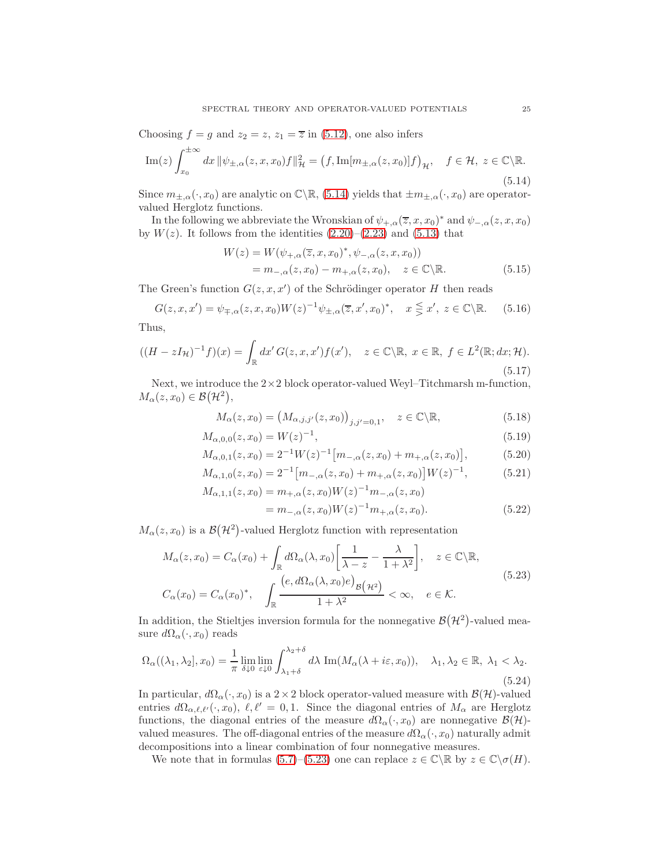Choosing  $f = g$  and  $z_2 = z$ ,  $z_1 = \overline{z}$  in [\(5.12\)](#page-23-3), one also infers

<span id="page-24-2"></span>
$$
\operatorname{Im}(z)\int_{x_0}^{\pm\infty} dx \, \|\psi_{\pm,\alpha}(z,x,x_0)f\|_{\mathcal{H}}^2 = \left(f, \operatorname{Im}[m_{\pm,\alpha}(z,x_0)]f\right)_{\mathcal{H}}, \quad f \in \mathcal{H}, \ z \in \mathbb{C}\backslash\mathbb{R}.
$$
\n
$$
(5.14)
$$

Since  $m_{\pm,\alpha}(\cdot,x_0)$  are analytic on  $\mathbb{C}\setminus\mathbb{R}$ , [\(5.14\)](#page-24-2) yields that  $\pm m_{\pm,\alpha}(\cdot,x_0)$  are operatorvalued Herglotz functions.

In the following we abbreviate the Wronskian of  $\psi_{+,\alpha}(\overline{z},x,x_0)^*$  and  $\psi_{-,\alpha}(z,x,x_0)$ by  $W(z)$ . It follows from the identities  $(2.20)-(2.23)$  $(2.20)-(2.23)$  and  $(5.13)$  that

<span id="page-24-0"></span>
$$
W(z) = W(\psi_{+,\alpha}(\overline{z}, x, x_0)^*, \psi_{-,\alpha}(z, x, x_0))
$$
  
=  $m_{-,\alpha}(z, x_0) - m_{+,\alpha}(z, x_0), \quad z \in \mathbb{C} \setminus \mathbb{R}.$  (5.15)

The Green's function  $G(z, x, x')$  of the Schrödinger operator H then reads

$$
G(z, x, x') = \psi_{\mp,\alpha}(z, x, x_0) W(z)^{-1} \psi_{\pm,\alpha}(\overline{z}, x', x_0)^*, \quad x \leqq x', \ z \in \mathbb{C} \backslash \mathbb{R}. \tag{5.16}
$$

Thus,

<span id="page-24-4"></span>
$$
((H - zI_{\mathcal{H}})^{-1}f)(x) = \int_{\mathbb{R}} dx' G(z, x, x')f(x'), \quad z \in \mathbb{C} \backslash \mathbb{R}, \ x \in \mathbb{R}, \ f \in L^{2}(\mathbb{R}; dx; \mathcal{H}).
$$
\n
$$
(5.17)
$$

Next, we introduce the  $2\times 2$  block operator-valued Weyl–Titchmarsh m-function,  $M_{\alpha}(z, x_0) \in \mathcal{B}(\mathcal{H}^2),$ 

<span id="page-24-1"></span>
$$
M_{\alpha}(z, x_0) = \left(M_{\alpha, j, j'}(z, x_0)\right)_{j, j'=0, 1}, \quad z \in \mathbb{C} \backslash \mathbb{R},\tag{5.18}
$$

$$
M_{\alpha,0,0}(z,x_0) = W(z)^{-1},\tag{5.19}
$$

$$
M_{\alpha,0,1}(z,x_0) = 2^{-1}W(z)^{-1} \big[m_{-\alpha}(z,x_0) + m_{+\alpha}(z,x_0)\big],\tag{5.20}
$$

$$
M_{\alpha,1,0}(z,x_0) = 2^{-1} \left[ m_{-\alpha}(z,x_0) + m_{+\alpha}(z,x_0) \right] W(z)^{-1},\tag{5.21}
$$

<span id="page-24-6"></span><span id="page-24-3"></span>
$$
M_{\alpha,1,1}(z,x_0) = m_{+,\alpha}(z,x_0)W(z)^{-1}m_{-,\alpha}(z,x_0)
$$
  
=  $m_{-,\alpha}(z,x_0)W(z)^{-1}m_{+,\alpha}(z,x_0).$  (5.22)

 $M_{\alpha}(z, x_0)$  is a  $\mathcal{B}(\mathcal{H}^2)$ -valued Herglotz function with representation

$$
M_{\alpha}(z, x_0) = C_{\alpha}(x_0) + \int_{\mathbb{R}} d\Omega_{\alpha}(\lambda, x_0) \left[ \frac{1}{\lambda - z} - \frac{\lambda}{1 + \lambda^2} \right], \quad z \in \mathbb{C} \backslash \mathbb{R},
$$
  

$$
C_{\alpha}(x_0) = C_{\alpha}(x_0)^*, \quad \int_{\mathbb{R}} \frac{\left( e, d\Omega_{\alpha}(\lambda, x_0) e \right)_{\mathcal{B}}(\mu^2)}{1 + \lambda^2} < \infty, \quad e \in \mathcal{K}.
$$
 (5.23)

In addition, the Stieltjes inversion formula for the nonnegative  $\mathcal{B}(\mathcal{H}^2)$ -valued measure  $d\Omega_{\alpha}(\cdot, x_0)$  reads

<span id="page-24-5"></span>
$$
\Omega_{\alpha}((\lambda_1, \lambda_2], x_0) = \frac{1}{\pi} \lim_{\delta \downarrow 0} \lim_{\varepsilon \downarrow 0} \int_{\lambda_1 + \delta}^{\lambda_2 + \delta} d\lambda \operatorname{Im}(M_{\alpha}(\lambda + i\varepsilon, x_0)), \quad \lambda_1, \lambda_2 \in \mathbb{R}, \lambda_1 < \lambda_2. \tag{5.24}
$$

In particular,  $d\Omega_{\alpha}(\cdot, x_0)$  is a  $2 \times 2$  block operator-valued measure with  $\mathcal{B}(\mathcal{H})$ -valued entries  $d\Omega_{\alpha,\ell,\ell'}(\cdot,x_0), \ell,\ell'=0,1$ . Since the diagonal entries of  $M_\alpha$  are Herglotz functions, the diagonal entries of the measure  $d\Omega_{\alpha}(\cdot, x_0)$  are nonnegative  $\mathcal{B}(\mathcal{H})$ valued measures. The off-diagonal entries of the measure  $d\Omega_{\alpha}(\cdot, x_0)$  naturally admit decompositions into a linear combination of four nonnegative measures.

We note that in formulas [\(5.7\)](#page-23-1)–[\(5.23\)](#page-24-3) one can replace  $z \in \mathbb{C} \backslash \mathbb{R}$  by  $z \in \mathbb{C} \backslash \sigma(H)$ .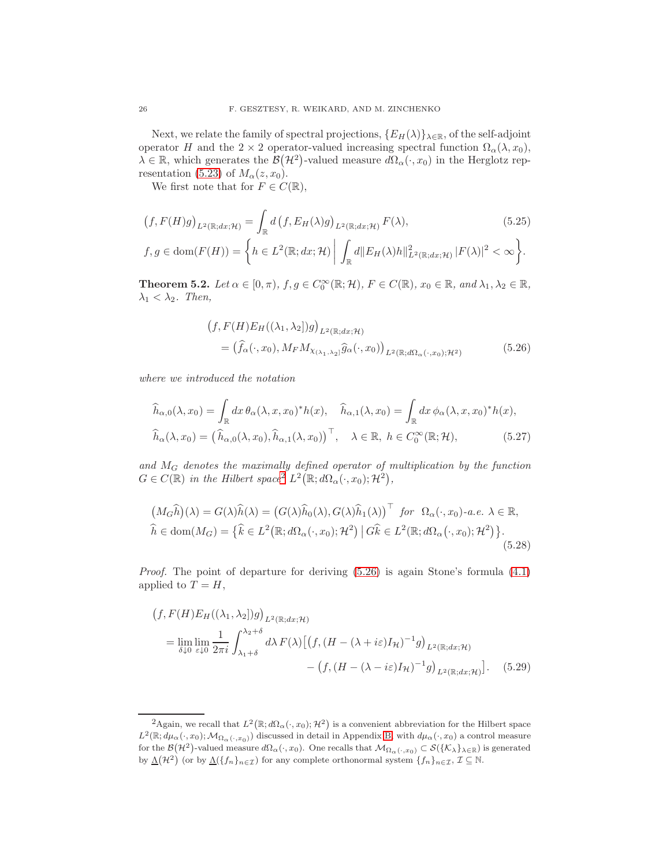Next, we relate the family of spectral projections,  $\{E_H(\lambda)\}_{\lambda \in \mathbb{R}}$ , of the self-adjoint operator H and the 2 × 2 operator-valued increasing spectral function  $\Omega_{\alpha}(\lambda, x_0)$ ,  $\lambda \in \mathbb{R}$ , which generates the  $\mathcal{B}(\mathcal{H}^2)$ -valued measure  $d\Omega_{\alpha}(\cdot, x_0)$  in the Herglotz rep-resentation [\(5.23\)](#page-24-3) of  $M_{\alpha}(z, x_0)$ .

We first note that for  $F \in C(\mathbb{R}),$ 

$$
(f, F(H)g)_{L^2(\mathbb{R};dx;\mathcal{H})} = \int_{\mathbb{R}} d\left(f, E_H(\lambda)g\right)_{L^2(\mathbb{R};dx;\mathcal{H})} F(\lambda),
$$
\n
$$
f, g \in \text{dom}(F(H)) = \left\{ h \in L^2(\mathbb{R};dx;\mathcal{H}) \middle| \int_{\mathbb{R}} d\| E_H(\lambda)h\|_{L^2(\mathbb{R};dx;\mathcal{H})}^2 |F(\lambda)|^2 < \infty \right\}.
$$
\n(5.25)

<span id="page-25-0"></span>**Theorem 5.2.** Let  $\alpha \in [0, \pi)$ ,  $f, g \in C_0^{\infty}(\mathbb{R}; H)$ ,  $F \in C(\mathbb{R})$ ,  $x_0 \in \mathbb{R}$ , and  $\lambda_1, \lambda_2 \in \mathbb{R}$ ,  $\lambda_1 < \lambda_2$ . Then,

<span id="page-25-4"></span><span id="page-25-2"></span>
$$
(f, F(H)E_H((\lambda_1, \lambda_2))g)_{L^2(\mathbb{R};dx;\mathcal{H})}
$$
  
=  $(\hat{f}_{\alpha}(\cdot, x_0), M_F M_{\chi_{(\lambda_1, \lambda_2)}} \hat{g}_{\alpha}(\cdot, x_0))_{L^2(\mathbb{R};d\Omega_{\alpha}(\cdot, x_0);\mathcal{H}^2)}$  (5.26)

where we introduced the notation

$$
\widehat{h}_{\alpha,0}(\lambda, x_0) = \int_{\mathbb{R}} dx \,\theta_{\alpha}(\lambda, x, x_0)^* h(x), \quad \widehat{h}_{\alpha,1}(\lambda, x_0) = \int_{\mathbb{R}} dx \,\phi_{\alpha}(\lambda, x, x_0)^* h(x),
$$

$$
\widehat{h}_{\alpha}(\lambda, x_0) = \left(\widehat{h}_{\alpha,0}(\lambda, x_0), \widehat{h}_{\alpha,1}(\lambda, x_0)\right)^\top, \quad \lambda \in \mathbb{R}, \ h \in C_0^\infty(\mathbb{R}; \mathcal{H}), \tag{5.27}
$$

and M<sup>G</sup> denotes the maximally defined operator of multiplication by the function  $G \in C(\mathbb{R})$  in the Hilbert space<sup>[2](#page-25-1)</sup>  $L^2(\mathbb{R}; d\Omega_{\alpha}(\cdot, x_0); \mathcal{H}^2)$ ,

<span id="page-25-5"></span>
$$
(M_G\widehat{h})(\lambda) = G(\lambda)\widehat{h}(\lambda) = (G(\lambda)\widehat{h}_0(\lambda), G(\lambda)\widehat{h}_1(\lambda))^{\top} \text{ for } \Omega_\alpha(\cdot, x_0)\text{-}a.e. \lambda \in \mathbb{R},
$$
  

$$
\widehat{h} \in \text{dom}(M_G) = \{\widehat{k} \in L^2(\mathbb{R}; d\Omega_\alpha(\cdot, x_0); \mathcal{H}^2) \mid G\widehat{k} \in L^2(\mathbb{R}; d\Omega_\alpha(\cdot, x_0); \mathcal{H}^2)\}.
$$
  
(5.28)

Proof. The point of departure for deriving [\(5.26\)](#page-25-2) is again Stone's formula [\(4.1\)](#page-14-1) applied to  $T = H$ ,

<span id="page-25-3"></span>
$$
(f, F(H)E_H((\lambda_1, \lambda_2))g)_{L^2(\mathbb{R}; dx; \mathcal{H})}
$$
  
= 
$$
\lim_{\delta \downarrow 0} \lim_{\varepsilon \downarrow 0} \frac{1}{2\pi i} \int_{\lambda_1 + \delta}^{\lambda_2 + \delta} d\lambda F(\lambda) \left[ \left( f, (H - (\lambda + i\varepsilon)I_{\mathcal{H}})^{-1}g \right)_{L^2(\mathbb{R}; dx; \mathcal{H})} - \left( f, (H - (\lambda - i\varepsilon)I_{\mathcal{H}})^{-1}g \right)_{L^2(\mathbb{R}; dx; \mathcal{H})} \right].
$$
 (5.29)

<span id="page-25-1"></span><sup>&</sup>lt;sup>2</sup>Again, we recall that  $L^2(\mathbb{R}; d\Omega_\alpha(\cdot, x_0); \mathcal{H}^2)$  is a convenient abbreviation for the Hilbert space  $L^2(\mathbb{R}; d\mu_\alpha(\cdot, x_0); \mathcal{M}_{\Omega_\alpha(\cdot, x_0)})$  discussed in detail in Appendix [B,](#page-33-0) with  $d\mu_\alpha(\cdot, x_0)$  a control measure for the  $\mathcal{B}(\mathcal{H}^2)$ -valued measure  $d\Omega_\alpha(\cdot,x_0)$ . One recalls that  $\mathcal{M}_{\Omega_\alpha(\cdot,x_0)} \subset \mathcal{S}(\{\mathcal{K}_\lambda\}_{\lambda \in \mathbb{R}})$  is generated by  $\underline{\Lambda}(\mathcal{H}^2)$  (or by  $\underline{\Lambda}(\{f_n\}_{n\in\mathcal{I}})$  for any complete orthonormal system  $\{f_n\}_{n\in\mathcal{I}},\mathcal{I}\subseteq\mathbb{N}$ .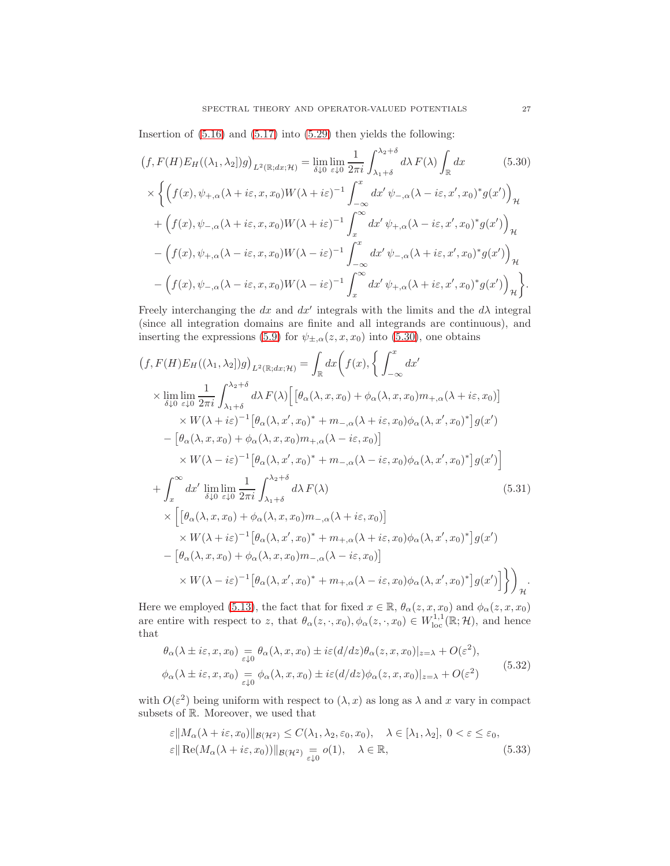Insertion of  $(5.16)$  and  $(5.17)$  into  $(5.29)$  then yields the following:

<span id="page-26-0"></span>
$$
(f, F(H)E_H((\lambda_1, \lambda_2))g)_{L^2(\mathbb{R}; dx; \mathcal{H})} = \lim_{\delta \downarrow 0} \lim_{\varepsilon \downarrow 0} \frac{1}{2\pi i} \int_{\lambda_1 + \delta}^{\lambda_2 + \delta} d\lambda F(\lambda) \int_{\mathbb{R}} dx
$$
(5.30)  
\n
$$
\times \left\{ \left( f(x), \psi_{+,\alpha}(\lambda + i\varepsilon, x, x_0) W(\lambda + i\varepsilon)^{-1} \int_{-\infty}^x dx' \psi_{-,\alpha}(\lambda - i\varepsilon, x', x_0)^* g(x') \right)_\mathcal{H} + \left( f(x), \psi_{-,\alpha}(\lambda + i\varepsilon, x, x_0) W(\lambda + i\varepsilon)^{-1} \int_x^\infty dx' \psi_{+,\alpha}(\lambda - i\varepsilon, x', x_0)^* g(x') \right)_\mathcal{H}
$$
  
\n
$$
- \left( f(x), \psi_{+,\alpha}(\lambda - i\varepsilon, x, x_0) W(\lambda - i\varepsilon)^{-1} \int_{-\infty}^x dx' \psi_{-,\alpha}(\lambda + i\varepsilon, x', x_0)^* g(x') \right)_\mathcal{H}
$$
  
\n
$$
- \left( f(x), \psi_{-,\alpha}(\lambda - i\varepsilon, x, x_0) W(\lambda - i\varepsilon)^{-1} \int_x^\infty dx' \psi_{+,\alpha}(\lambda + i\varepsilon, x', x_0)^* g(x') \right)_\mathcal{H}
$$

Freely interchanging the dx and  $dx'$  integrals with the limits and the  $d\lambda$  integral (since all integration domains are finite and all integrands are continuous), and inserting the expressions [\(5.9\)](#page-23-5) for  $\psi_{\pm,\alpha}(z,x,x_0)$  into [\(5.30\)](#page-26-0), one obtains

$$
(f, F(H)E_H((\lambda_1, \lambda_2))g)_{L^2(\mathbb{R};dx;\mathcal{H})} = \int_{\mathbb{R}} dx \Big( f(x), \Big\{ \int_{-\infty}^x dx' \Big\}
$$
  
\n
$$
\times \lim_{\delta \downarrow 0} \lim_{\varepsilon \downarrow 0} \frac{1}{2\pi i} \int_{\lambda_1 + \delta}^{\lambda_2 + \delta} d\lambda F(\lambda) \Big[ \Big[ \theta_\alpha(\lambda, x, x_0) + \phi_\alpha(\lambda, x, x_0) m_{+,\alpha}(\lambda + i\varepsilon, x_0) \Big] \Big\}
$$
  
\n
$$
\times W(\lambda + i\varepsilon)^{-1} \Big[ \theta_\alpha(\lambda, x', x_0)^* + m_{-,\alpha}(\lambda + i\varepsilon, x_0) \phi_\alpha(\lambda, x', x_0)^* \Big] g(x')
$$
  
\n
$$
- \Big[ \theta_\alpha(\lambda, x, x_0) + \phi_\alpha(\lambda, x, x_0) m_{+,\alpha}(\lambda - i\varepsilon, x_0) \Big]
$$
  
\n
$$
\times W(\lambda - i\varepsilon)^{-1} \Big[ \theta_\alpha(\lambda, x', x_0)^* + m_{-,\alpha}(\lambda - i\varepsilon, x_0) \phi_\alpha(\lambda, x', x_0)^* \Big] g(x') \Big]
$$
  
\n
$$
+ \int_x^\infty dx' \lim_{\delta \downarrow 0} \lim_{\varepsilon \downarrow 0} \frac{1}{2\pi i} \int_{\lambda_1 + \delta}^{\lambda_2 + \delta} d\lambda F(\lambda) \Big[ \Big[ \theta_\alpha(\lambda, x, x_0) + \phi_\alpha(\lambda, x, x_0) m_{-,\alpha}(\lambda + i\varepsilon, x_0) \Big] \Big] \times W(\lambda + i\varepsilon)^{-1} \Big[ \theta_\alpha(\lambda, x', x_0)^* + m_{+,\alpha}(\lambda + i\varepsilon, x_0) \phi_\alpha(\lambda, x', x_0)^* \Big] g(x')
$$
  
\n
$$
- \Big[ \theta_\alpha(\lambda, x, x_0) + \phi_\alpha(\lambda, x, x_0) m_{-,\alpha}(\lambda - i\varepsilon, x_0) \Big]
$$
  
\n
$$
\times W(\lambda - i\varepsilon)^{-1} \Big[ \theta_\alpha(\lambda, x', x_0)^* + m_{+,\alpha}(\lambda - i\varepsilon, x
$$

Here we employed [\(5.13\)](#page-23-4), the fact that for fixed  $x \in \mathbb{R}$ ,  $\theta_{\alpha}(z, x, x_0)$  and  $\phi_{\alpha}(z, x, x_0)$ are entire with respect to z, that  $\theta_{\alpha}(z, \cdot, x_0), \phi_{\alpha}(z, \cdot, x_0) \in W^{1,1}_{loc}(\mathbb{R}; \mathcal{H})$ , and hence that

<span id="page-26-3"></span><span id="page-26-1"></span>
$$
\theta_{\alpha}(\lambda \pm i\varepsilon, x, x_0) = \theta_{\alpha}(\lambda, x, x_0) \pm i\varepsilon (d/dz) \theta_{\alpha}(z, x, x_0)|_{z=\lambda} + O(\varepsilon^2),
$$
  

$$
\phi_{\alpha}(\lambda \pm i\varepsilon, x, x_0) = \phi_{\alpha}(\lambda, x, x_0) \pm i\varepsilon (d/dz) \phi_{\alpha}(z, x, x_0)|_{z=\lambda} + O(\varepsilon^2)
$$
(5.32)

with  $O(\varepsilon^2)$  being uniform with respect to  $(\lambda, x)$  as long as  $\lambda$  and x vary in compact subsets of R. Moreover, we used that

<span id="page-26-2"></span>
$$
\varepsilon \|M_{\alpha}(\lambda + i\varepsilon, x_0)\|_{\mathcal{B}(\mathcal{H}^2)} \le C(\lambda_1, \lambda_2, \varepsilon_0, x_0), \quad \lambda \in [\lambda_1, \lambda_2], \ 0 < \varepsilon \le \varepsilon_0, \varepsilon \| \operatorname{Re}(M_{\alpha}(\lambda + i\varepsilon, x_0)) \|_{\mathcal{B}(\mathcal{H}^2)} = o(1), \quad \lambda \in \mathbb{R},
$$
\n
$$
(5.33)
$$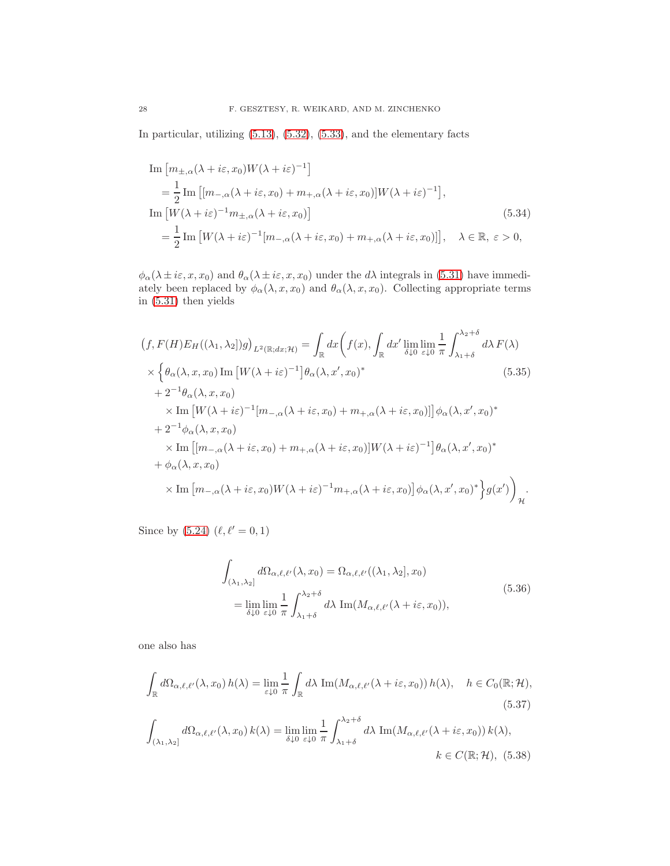In particular, utilizing [\(5.13\)](#page-23-4), [\(5.32\)](#page-26-1), [\(5.33\)](#page-26-2), and the elementary facts

Im 
$$
[m_{\pm,\alpha}(\lambda + i\varepsilon, x_0)W(\lambda + i\varepsilon)^{-1}]
$$
  
\n
$$
= \frac{1}{2} \text{Im } [(m_{-\alpha}(\lambda + i\varepsilon, x_0) + m_{+,\alpha}(\lambda + i\varepsilon, x_0)]W(\lambda + i\varepsilon)^{-1}],
$$
\nIm  $[W(\lambda + i\varepsilon)^{-1}m_{\pm,\alpha}(\lambda + i\varepsilon, x_0)]$  (5.34)  
\n
$$
= \frac{1}{2} \text{Im } [W(\lambda + i\varepsilon)^{-1}[m_{-\alpha}(\lambda + i\varepsilon, x_0) + m_{+,\alpha}(\lambda + i\varepsilon, x_0)]], \quad \lambda \in \mathbb{R}, \varepsilon > 0,
$$

 $\phi_{\alpha}(\lambda \pm i\varepsilon, x, x_0)$  and  $\theta_{\alpha}(\lambda \pm i\varepsilon, x, x_0)$  under the  $d\lambda$  integrals in [\(5.31\)](#page-26-3) have immediately been replaced by  $\phi_{\alpha}(\lambda, x, x_0)$  and  $\theta_{\alpha}(\lambda, x, x_0)$ . Collecting appropriate terms in [\(5.31\)](#page-26-3) then yields

$$
(f, F(H)E_H((\lambda_1, \lambda_2|)g)_{L^2(\mathbb{R};dx;\mathcal{H})} = \int_{\mathbb{R}} dx \Big( f(x), \int_{\mathbb{R}} dx' \lim_{\delta \downarrow 0} \lim_{\varepsilon \downarrow 0} \frac{1}{\pi} \int_{\lambda_1 + \delta}^{\lambda_2 + \delta} d\lambda F(\lambda)
$$
  
\n
$$
\times \Big\{ \theta_\alpha(\lambda, x, x_0) \operatorname{Im} \big[ W(\lambda + i\varepsilon)^{-1} \big] \theta_\alpha(\lambda, x', x_0)^* \Big\}\n+ 2^{-1} \theta_\alpha(\lambda, x, x_0)
$$
  
\n
$$
\times \operatorname{Im} \big[ W(\lambda + i\varepsilon)^{-1} \big[ m_{-,\alpha}(\lambda + i\varepsilon, x_0) + m_{+,\alpha}(\lambda + i\varepsilon, x_0) \big] \big] \phi_\alpha(\lambda, x', x_0)^* \n+ 2^{-1} \phi_\alpha(\lambda, x, x_0)
$$
  
\n
$$
\times \operatorname{Im} \big[ [m_{-,\alpha}(\lambda + i\varepsilon, x_0) + m_{+,\alpha}(\lambda + i\varepsilon, x_0) \big] W(\lambda + i\varepsilon)^{-1} \big] \theta_\alpha(\lambda, x', x_0)^* \n+ \phi_\alpha(\lambda, x, x_0)
$$
  
\n
$$
\times \operatorname{Im} \big[ m_{-,\alpha}(\lambda + i\varepsilon, x_0) W(\lambda + i\varepsilon)^{-1} m_{+,\alpha}(\lambda + i\varepsilon, x_0) \big] \phi_\alpha(\lambda, x', x_0)^* \Big\} g(x') \Big)_{\mathcal{H}}.
$$

Since by  $(5.24)$   $(\ell, \ell' = 0, 1)$ 

<span id="page-27-0"></span>
$$
\int_{(\lambda_1, \lambda_2]} d\Omega_{\alpha, \ell, \ell'}(\lambda, x_0) = \Omega_{\alpha, \ell, \ell'}((\lambda_1, \lambda_2], x_0)
$$
\n
$$
= \lim_{\delta \downarrow 0} \lim_{\varepsilon \downarrow 0} \frac{1}{\pi} \int_{\lambda_1 + \delta}^{\lambda_2 + \delta} d\lambda \operatorname{Im}(M_{\alpha, \ell, \ell'}(\lambda + i\varepsilon, x_0)),
$$
\n(5.36)

one also has

$$
\int_{\mathbb{R}} d\Omega_{\alpha,\ell,\ell'}(\lambda, x_0) h(\lambda) = \lim_{\varepsilon \downarrow 0} \frac{1}{\pi} \int_{\mathbb{R}} d\lambda \operatorname{Im}(M_{\alpha,\ell,\ell'}(\lambda + i\varepsilon, x_0)) h(\lambda), \quad h \in C_0(\mathbb{R}; \mathcal{H}),
$$
\n(5.37)

$$
\int_{(\lambda_1,\lambda_2]} d\Omega_{\alpha,\ell,\ell'}(\lambda,x_0) k(\lambda) = \lim_{\delta \downarrow 0} \lim_{\varepsilon \downarrow 0} \frac{1}{\pi} \int_{\lambda_1+\delta}^{\lambda_2+\delta} d\lambda \operatorname{Im}(M_{\alpha,\ell,\ell'}(\lambda+i\varepsilon,x_0)) k(\lambda),
$$
  
 $k \in C(\mathbb{R};\mathcal{H}), (5.38)$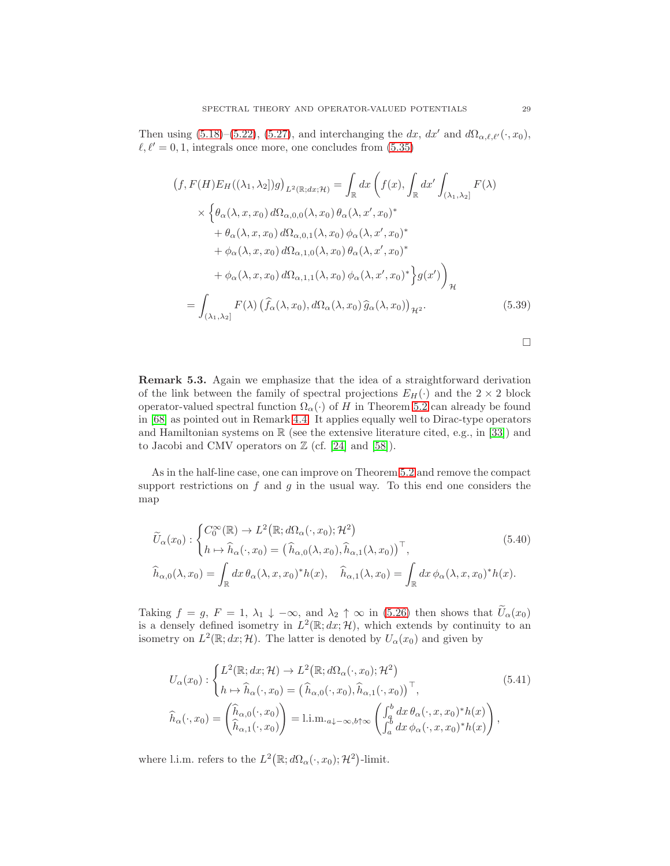Then using [\(5.18\)](#page-24-1)–[\(5.22\)](#page-24-6), [\(5.27\)](#page-25-4), and interchanging the dx, dx' and  $d\Omega_{\alpha,\ell,\ell'}(\cdot,x_0)$ ,  $\ell, \ell' = 0, 1$ , integrals once more, one concludes from [\(5.35\)](#page-27-0)

$$
(f, F(H)E_H((\lambda_1, \lambda_2))g)_{L^2(\mathbb{R};dx; \mathcal{H})} = \int_{\mathbb{R}} dx \left( f(x), \int_{\mathbb{R}} dx' \int_{(\lambda_1, \lambda_2]} F(\lambda) \times \left\{ \theta_\alpha(\lambda, x, x_0) d\Omega_{\alpha, 0, 0}(\lambda, x_0) \theta_\alpha(\lambda, x', x_0)^* \right. \\ \left. + \theta_\alpha(\lambda, x, x_0) d\Omega_{\alpha, 0, 1}(\lambda, x_0) \phi_\alpha(\lambda, x', x_0)^* \right. \\ \left. + \phi_\alpha(\lambda, x, x_0) d\Omega_{\alpha, 1, 0}(\lambda, x_0) \theta_\alpha(\lambda, x', x_0)^* \right. \\ \left. + \phi_\alpha(\lambda, x, x_0) d\Omega_{\alpha, 1, 1}(\lambda, x_0) \phi_\alpha(\lambda, x', x_0)^* \right\} g(x') \right)_{\mathcal{H}}
$$

$$
= \int_{(\lambda_1, \lambda_2]} F(\lambda) \left( \hat{f}_\alpha(\lambda, x_0), d\Omega_\alpha(\lambda, x_0) \hat{g}_\alpha(\lambda, x_0) \right)_{\mathcal{H}^2}.
$$
(5.39)

<span id="page-28-1"></span><span id="page-28-0"></span> $\Box$ 

Remark 5.3. Again we emphasize that the idea of a straightforward derivation of the link between the family of spectral projections  $E_H(\cdot)$  and the  $2 \times 2$  block operator-valued spectral function  $\Omega_{\alpha}(\cdot)$  of H in Theorem [5.2](#page-25-0) can already be found in [\[68\]](#page-45-16) as pointed out in Remark [4.4.](#page-18-4) It applies equally well to Dirac-type operators and Hamiltonian systems on  $\mathbb R$  (see the extensive literature cited, e.g., in [\[33\]](#page-44-13)) and to Jacobi and CMV operators on  $\mathbb{Z}$  (cf. [\[24\]](#page-44-14) and [\[58\]](#page-45-18)).

As in the half-line case, one can improve on Theorem [5.2](#page-25-0) and remove the compact support restrictions on  $f$  and  $g$  in the usual way. To this end one considers the map

$$
\widetilde{U}_{\alpha}(x_0) : \begin{cases}\nC_0^{\infty}(\mathbb{R}) \to L^2(\mathbb{R}; d\Omega_{\alpha}(\cdot, x_0); \mathcal{H}^2) \\
h \mapsto \widehat{h}_{\alpha}(\cdot, x_0) = (\widehat{h}_{\alpha,0}(\lambda, x_0), \widehat{h}_{\alpha,1}(\lambda, x_0))^\top, \\
\widehat{h}_{\alpha,0}(\lambda, x_0) = \int_{\mathbb{R}} dx \,\theta_{\alpha}(\lambda, x, x_0)^* h(x), \quad \widehat{h}_{\alpha,1}(\lambda, x_0) = \int_{\mathbb{R}} dx \,\phi_{\alpha}(\lambda, x, x_0)^* h(x).\n\end{cases} (5.40)
$$

Taking  $f = g, F = 1, \lambda_1 \downarrow -\infty$ , and  $\lambda_2 \uparrow \infty$  in [\(5.26\)](#page-25-2) then shows that  $\tilde{U}_{\alpha}(x_0)$ is a densely defined isometry in  $L^2(\mathbb{R}; dx; \mathcal{H})$ , which extends by continuity to an isometry on  $L^2(\mathbb{R}; dx; \mathcal{H})$ . The latter is denoted by  $U_{\alpha}(x_0)$  and given by

$$
U_{\alpha}(x_{0}) : \begin{cases} L^{2}(\mathbb{R}; dx; \mathcal{H}) \to L^{2}(\mathbb{R}; d\Omega_{\alpha}(\cdot, x_{0}); \mathcal{H}^{2}) \\ h \mapsto \widehat{h}_{\alpha}(\cdot, x_{0}) = (\widehat{h}_{\alpha,0}(\cdot, x_{0}), \widehat{h}_{\alpha,1}(\cdot, x_{0}))^{\top}, \\ \widehat{h}_{\alpha}(\cdot, x_{0}) = \begin{pmatrix} \widehat{h}_{\alpha,0}(\cdot, x_{0}) \\ \widehat{h}_{\alpha,1}(\cdot, x_{0}) \end{pmatrix} = 1 \text{.i.m.}_{a \downarrow -\infty, b \uparrow \infty} \begin{pmatrix} \int_{a}^{b} dx \, \theta_{\alpha}(\cdot, x, x_{0})^{*} h(x) \\ \int_{a}^{b} dx \, \phi_{\alpha}(\cdot, x, x_{0})^{*} h(x) \end{pmatrix}, \end{cases}
$$
(5.41)

where l.i.m. refers to the  $L^2(\mathbb{R}; d\Omega_\alpha(\cdot, x_0); \mathcal{H}^2)$ -limit.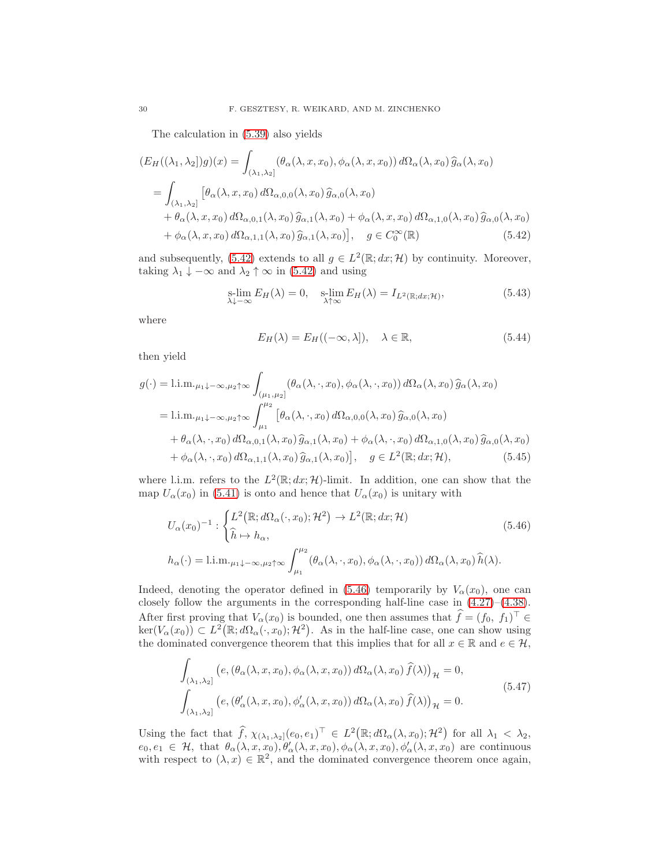The calculation in [\(5.39\)](#page-28-0) also yields

$$
(E_H((\lambda_1, \lambda_2))g)(x) = \int_{(\lambda_1, \lambda_2]} (\theta_\alpha(\lambda, x, x_0), \phi_\alpha(\lambda, x, x_0)) d\Omega_\alpha(\lambda, x_0) \widehat{g}_\alpha(\lambda, x_0)
$$
  
= 
$$
\int_{(\lambda_1, \lambda_2]} [\theta_\alpha(\lambda, x, x_0) d\Omega_{\alpha, 0, 0}(\lambda, x_0) \widehat{g}_{\alpha, 0}(\lambda, x_0) + \theta_\alpha(\lambda, x, x_0) d\Omega_{\alpha, 0, 1}(\lambda, x_0) \widehat{g}_{\alpha, 1}(\lambda, x_0) + \phi_\alpha(\lambda, x, x_0) d\Omega_{\alpha, 1, 0}(\lambda, x_0) \widehat{g}_{\alpha, 0}(\lambda, x_0) + \phi_\alpha(\lambda, x, x_0) d\Omega_{\alpha, 1, 1}(\lambda, x_0) \widehat{g}_{\alpha, 1}(\lambda, x_0)], \quad g \in C_0^\infty(\mathbb{R}) \qquad (5.42)
$$

and subsequently, [\(5.42\)](#page-29-0) extends to all  $g \in L^2(\mathbb{R}; dx; \mathcal{H})$  by continuity. Moreover, taking  $\lambda_1 \downarrow -\infty$  and  $\lambda_2 \uparrow \infty$  in [\(5.42\)](#page-29-0) and using

$$
\operatorname*{slim}_{\lambda \downarrow -\infty} E_H(\lambda) = 0, \quad \operatorname*{slim}_{\lambda \uparrow \infty} E_H(\lambda) = I_{L^2(\mathbb{R}; dx; \mathcal{H})},\tag{5.43}
$$

where

<span id="page-29-1"></span><span id="page-29-0"></span>
$$
E_H(\lambda) = E_H((-\infty, \lambda]), \quad \lambda \in \mathbb{R}, \tag{5.44}
$$

then yield

$$
g(\cdot) = 1 \text{.im.}_{\mu_1 + \infty, \mu_2 \uparrow \infty} \int_{(\mu_1, \mu_2]} (\theta_{\alpha}(\lambda, \cdot, x_0), \phi_{\alpha}(\lambda, \cdot, x_0)) d\Omega_{\alpha}(\lambda, x_0) \widehat{g}_{\alpha}(\lambda, x_0)
$$
  
\n
$$
= 1 \text{.im.}_{\mu_1 + \infty, \mu_2 \uparrow \infty} \int_{\mu_1}^{\mu_2} [\theta_{\alpha}(\lambda, \cdot, x_0) d\Omega_{\alpha, 0, 0}(\lambda, x_0) \widehat{g}_{\alpha, 0}(\lambda, x_0)
$$
  
\n
$$
+ \theta_{\alpha}(\lambda, \cdot, x_0) d\Omega_{\alpha, 0, 1}(\lambda, x_0) \widehat{g}_{\alpha, 1}(\lambda, x_0) + \phi_{\alpha}(\lambda, \cdot, x_0) d\Omega_{\alpha, 1, 0}(\lambda, x_0) \widehat{g}_{\alpha, 0}(\lambda, x_0)
$$
  
\n
$$
+ \phi_{\alpha}(\lambda, \cdot, x_0) d\Omega_{\alpha, 1, 1}(\lambda, x_0) \widehat{g}_{\alpha, 1}(\lambda, x_0)], \quad g \in L^2(\mathbb{R}; dx; \mathcal{H}), \tag{5.45}
$$

where l.i.m. refers to the  $L^2(\mathbb{R}; dx; \mathcal{H})$ -limit. In addition, one can show that the map  $U_{\alpha}(x_0)$  in [\(5.41\)](#page-28-1) is onto and hence that  $U_{\alpha}(x_0)$  is unitary with

$$
U_{\alpha}(x_0)^{-1} : \begin{cases} L^2(\mathbb{R}; d\Omega_{\alpha}(\cdot, x_0); \mathcal{H}^2) \to L^2(\mathbb{R}; dx; \mathcal{H}) \\ \hat{h} \mapsto h_{\alpha}, \end{cases}
$$
  
\n
$$
h_{\alpha}(\cdot) = \text{l.i.m.}_{\mu_1 \downarrow -\infty, \mu_2 \uparrow \infty} \int_{\mu_1}^{\mu_2} (\theta_{\alpha}(\lambda, \cdot, x_0), \phi_{\alpha}(\lambda, \cdot, x_0)) d\Omega_{\alpha}(\lambda, x_0) \hat{h}(\lambda).
$$
\n(5.46)

Indeed, denoting the operator defined in [\(5.46\)](#page-29-1) temporarily by  $V_{\alpha}(x_0)$ , one can closely follow the arguments in the corresponding half-line case in [\(4.27\)](#page-19-0)–[\(4.38\)](#page-20-2). After first proving that  $V_\alpha(x_0)$  is bounded, one then assumes that  $\hat{f} = (f_0, f_1)^\top \in$  $\ker(V_{\alpha}(x_0)) \subset L^2(\mathbb{R}; d\Omega_{\alpha}(\cdot, x_0); \mathcal{H}^2)$ . As in the half-line case, one can show using the dominated convergence theorem that this implies that for all  $x \in \mathbb{R}$  and  $e \in \mathcal{H}$ ,

$$
\int_{(\lambda_1,\lambda_2]} \left( e, \left( \theta_\alpha(\lambda, x, x_0), \phi_\alpha(\lambda, x, x_0) \right) d\Omega_\alpha(\lambda, x_0) \, \widehat{f}(\lambda) \right)_{\mathcal{H}} = 0, \n\int_{(\lambda_1,\lambda_2]} \left( e, \left( \theta_\alpha'(\lambda, x, x_0), \phi_\alpha'(\lambda, x, x_0) \right) d\Omega_\alpha(\lambda, x_0) \, \widehat{f}(\lambda) \right)_{\mathcal{H}} = 0.
$$
\n(5.47)

Using the fact that  $\widehat{f}$ ,  $\chi_{(\lambda_1,\lambda_2]}(e_0,e_1)^{\top} \in L^2(\mathbb{R};d\Omega_{\alpha}(\lambda,x_0);\mathcal{H}^2)$  for all  $\lambda_1 < \lambda_2$ ,  $e_0, e_1 \in \mathcal{H}$ , that  $\theta_\alpha(\lambda, x, x_0), \theta'_\alpha(\lambda, x, x_0), \phi_\alpha(\lambda, x, x_0), \phi'_\alpha(\lambda, x, x_0)$  are continuous with respect to  $(\lambda, x) \in \mathbb{R}^2$ , and the dominated convergence theorem once again,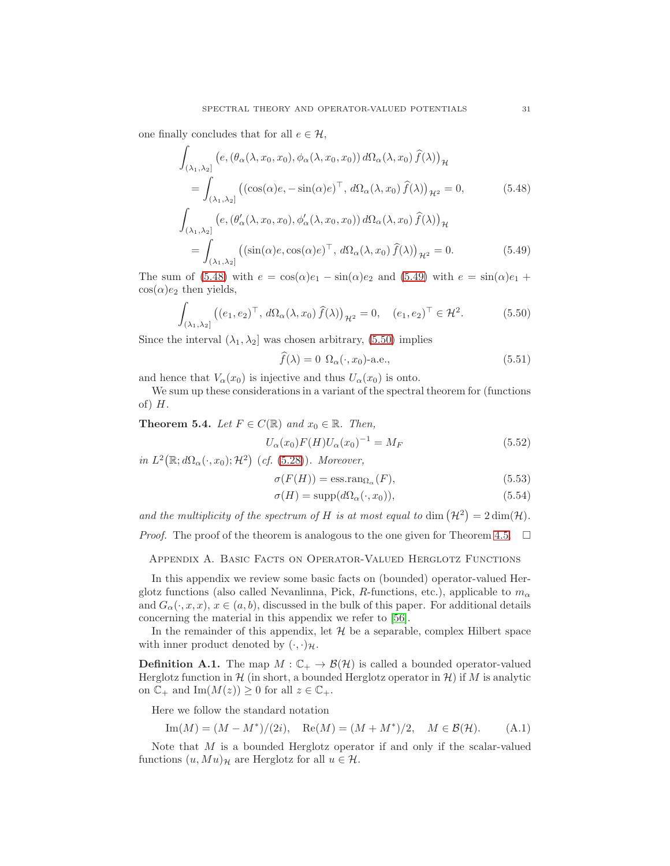one finally concludes that for all  $e \in \mathcal{H}$ ,

$$
\int_{(\lambda_1,\lambda_2]} (e, (\theta_\alpha(\lambda, x_0, x_0), \phi_\alpha(\lambda, x_0, x_0)) d\Omega_\alpha(\lambda, x_0) \hat{f}(\lambda))_{\mathcal{H}}
$$
\n
$$
= \int_{(\lambda_1,\lambda_2]} ((\cos(\alpha)e, -\sin(\alpha)e)^\top, d\Omega_\alpha(\lambda, x_0) \hat{f}(\lambda))_{\mathcal{H}^2} = 0, \qquad (5.48)
$$
\n
$$
\int_{(\lambda_1,\lambda_2]} (e, (\theta'_\alpha(\lambda, x_0, x_0), \phi'_\alpha(\lambda, x_0, x_0)) d\Omega_\alpha(\lambda, x_0) \hat{f}(\lambda))_{\mathcal{H}}
$$
\n
$$
= \int_{(\lambda_1,\lambda_2]} ((\sin(\alpha)e, \cos(\alpha)e)^\top, d\Omega_\alpha(\lambda, x_0) \hat{f}(\lambda))_{\mathcal{H}^2} = 0. \qquad (5.49)
$$

The sum of [\(5.48\)](#page-30-3) with  $e = \cos(\alpha)e_1 - \sin(\alpha)e_2$  and [\(5.49\)](#page-30-4) with  $e = \sin(\alpha)e_1 +$  $cos(\alpha)e_2$  then yields,

$$
\int_{(\lambda_1,\lambda_2]} \left( (e_1, e_2)^\top, d\Omega_\alpha(\lambda, x_0) \,\widehat{f}(\lambda) \right)_{\mathcal{H}^2} = 0, \quad (e_1, e_2)^\top \in \mathcal{H}^2. \tag{5.50}
$$

Since the interval  $(\lambda_1, \lambda_2]$  was chosen arbitrary, [\(5.50\)](#page-30-5) implies

<span id="page-30-5"></span><span id="page-30-4"></span><span id="page-30-3"></span>
$$
\widehat{f}(\lambda) = 0 \ \Omega_{\alpha}(\cdot, x_0) - \text{a.e.},\tag{5.51}
$$

and hence that  $V_{\alpha}(x_0)$  is injective and thus  $U_{\alpha}(x_0)$  is onto.

We sum up these considerations in a variant of the spectral theorem for (functions of)  $H$ .

<span id="page-30-0"></span>**Theorem 5.4.** Let  $F \in C(\mathbb{R})$  and  $x_0 \in \mathbb{R}$ . Then,

$$
U_{\alpha}(x_0)F(H)U_{\alpha}(x_0)^{-1} = M_F
$$
\n(5.52)

in  $L^2(\mathbb{R}; d\Omega_\alpha(\cdot, x_0); \mathcal{H}^2)$  (cf. [\(5.28\)](#page-25-5)). Moreover,

$$
\sigma(F(H)) = \text{ess.ran}_{\Omega_{\alpha}}(F),\tag{5.53}
$$

$$
\sigma(H) = \text{supp}(d\Omega_{\alpha}(\cdot, x_0)),\tag{5.54}
$$

and the multiplicity of the spectrum of H is at most equal to dim  $(\mathcal{H}^2) = 2 \dim(\mathcal{H})$ .

<span id="page-30-1"></span>*Proof.* The proof of the theorem is analogous to the one given for Theorem [4.5.](#page-21-0)  $\Box$ 

Appendix A. Basic Facts on Operator-Valued Herglotz Functions

In this appendix we review some basic facts on (bounded) operator-valued Herglotz functions (also called Nevanlinna, Pick, R-functions, etc.), applicable to  $m_{\alpha}$ and  $G_{\alpha}(\cdot, x, x)$ ,  $x \in (a, b)$ , discussed in the bulk of this paper. For additional details concerning the material in this appendix we refer to [\[56\]](#page-45-7).

In the remainder of this appendix, let  $H$  be a separable, complex Hilbert space with inner product denoted by  $(\cdot, \cdot)_{\mathcal{H}}$ .

<span id="page-30-2"></span>**Definition A.1.** The map  $M : \mathbb{C}_+ \to \mathcal{B}(\mathcal{H})$  is called a bounded operator-valued Herglotz function in  $\mathcal{H}$  (in short, a bounded Herglotz operator in  $\mathcal{H}$ ) if M is analytic on  $\mathbb{C}_+$  and  $\text{Im}(M(z)) \geq 0$  for all  $z \in \mathbb{C}_+$ .

Here we follow the standard notation

$$
Im(M) = (M - M^*)/(2i), \quad Re(M) = (M + M^*)/2, \quad M \in \mathcal{B}(\mathcal{H}).
$$
 (A.1)

Note that M is a bounded Herglotz operator if and only if the scalar-valued functions  $(u, Mu)$ <sub>H</sub> are Herglotz for all  $u \in \mathcal{H}$ .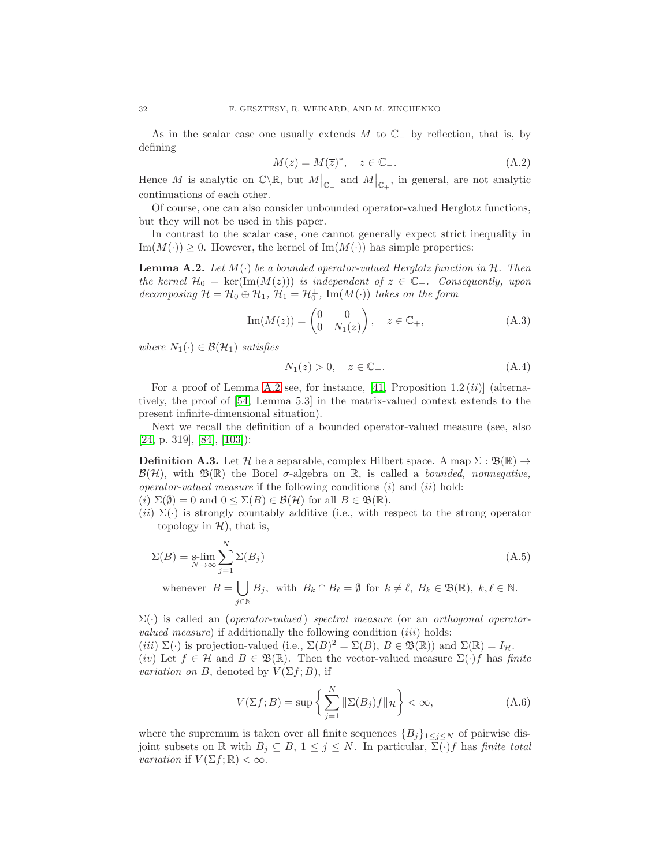As in the scalar case one usually extends M to  $\mathbb{C}_-$  by reflection, that is, by defining

$$
M(z) = M(\overline{z})^*, \quad z \in \mathbb{C}_-.
$$
 (A.2)

Hence M is analytic on  $\mathbb{C}\backslash\mathbb{R}$ , but  $M|_{\mathbb{C}_-}$  and  $M|_{\mathbb{C}_+}$ , in general, are not analytic continuations of each other.

Of course, one can also consider unbounded operator-valued Herglotz functions, but they will not be used in this paper.

In contrast to the scalar case, one cannot generally expect strict inequality in  $\text{Im}(M(\cdot)) \geq 0$ . However, the kernel of  $\text{Im}(M(\cdot))$  has simple properties:

<span id="page-31-0"></span>**Lemma A.2.** Let  $M(\cdot)$  be a bounded operator-valued Herglotz function in H. Then the kernel  $\mathcal{H}_0 = \text{ker}(\text{Im}(M(z)))$  is independent of  $z \in \mathbb{C}_+$ . Consequently, upon decomposing  $\mathcal{H} = \mathcal{H}_0 \oplus \mathcal{H}_1$ ,  $\mathcal{H}_1 = \mathcal{H}_0^{\perp}$ , Im( $M(\cdot)$ ) takes on the form

$$
\operatorname{Im}(M(z)) = \begin{pmatrix} 0 & 0 \\ 0 & N_1(z) \end{pmatrix}, \quad z \in \mathbb{C}_+, \tag{A.3}
$$

where  $N_1(\cdot) \in \mathcal{B}(\mathcal{H}_1)$  satisfies

<span id="page-31-1"></span>
$$
N_1(z) > 0, \quad z \in \mathbb{C}_+.\tag{A.4}
$$

For a proof of Lemma [A.2](#page-31-0) see, for instance, [\[41,](#page-44-15) Proposition  $1.2 \,(ii)$ ] (alternatively, the proof of [\[54,](#page-45-19) Lemma 5.3] in the matrix-valued context extends to the present infinite-dimensional situation).

Next we recall the definition of a bounded operator-valued measure (see, also [\[24,](#page-44-14) p. 319], [\[84\]](#page-46-17), [\[103\]](#page-47-20)):

**Definition A.3.** Let H be a separable, complex Hilbert space. A map  $\Sigma : \mathfrak{B}(\mathbb{R}) \to$  $\mathcal{B}(\mathcal{H})$ , with  $\mathfrak{B}(\mathbb{R})$  the Borel  $\sigma$ -algebra on  $\mathbb{R}$ , is called a *bounded, nonnegative*, *operator-valued measure* if the following conditions  $(i)$  and  $(ii)$  hold:

- (i)  $\Sigma(\emptyset) = 0$  and  $0 \le \Sigma(B) \in \mathcal{B}(\mathcal{H})$  for all  $B \in \mathfrak{B}(\mathbb{R})$ .
- $(ii) \Sigma(\cdot)$  is strongly countably additive (i.e., with respect to the strong operator topology in  $H$ ), that is,

$$
\Sigma(B) = \text{s-lim}_{N \to \infty} \sum_{j=1}^{N} \Sigma(B_j)
$$
\nwhenever  $B = \prod_{i=1}^{N} B_i$ , with  $B_i \cap B_i = \emptyset$  for  $k \neq \emptyset$ ,  $B_i \in \mathbb{R}^m$ ,  $k \neq \emptyset$ , and  $B_i \in \mathbb{N}$ .

whenever  $B = \begin{bmatrix} \end{bmatrix}$ j∈N  $B_j$ , with  $B_k \cap B_\ell = \emptyset$  for  $k \neq \ell$ ,  $B_k \in \mathfrak{B}(\mathbb{R})$ ,  $k, \ell \in \mathbb{N}$ .

 $\Sigma(\cdot)$  is called an (*operator-valued*) spectral measure (or an *orthogonal operator*valued measure) if additionally the following condition  $(iii)$  holds:

(iii)  $\Sigma(\cdot)$  is projection-valued (i.e.,  $\Sigma(B)^2 = \Sigma(B)$ ,  $B \in \mathfrak{B}(\mathbb{R})$ ) and  $\Sigma(\mathbb{R}) = I_H$ . (iv) Let  $f \in \mathcal{H}$  and  $B \in \mathfrak{B}(\mathbb{R})$ . Then the vector-valued measure  $\Sigma(\cdot)f$  has finite *variation on B*, denoted by  $V(\Sigma f; B)$ , if

$$
V(\Sigma f; B) = \sup \left\{ \sum_{j=1}^{N} \|\Sigma(B_j)f\|_{\mathcal{H}} \right\} < \infty,
$$
\n(A.6)

where the supremum is taken over all finite sequences  ${B_j}_{1 \leq j \leq N}$  of pairwise disjoint subsets on  $\mathbb R$  with  $B_j \subseteq B$ ,  $1 \leq j \leq N$ . In particular,  $\Sigma(\cdot) f$  has finite total *variation* if  $V(\Sigma f; \mathbb{R}) < \infty$ .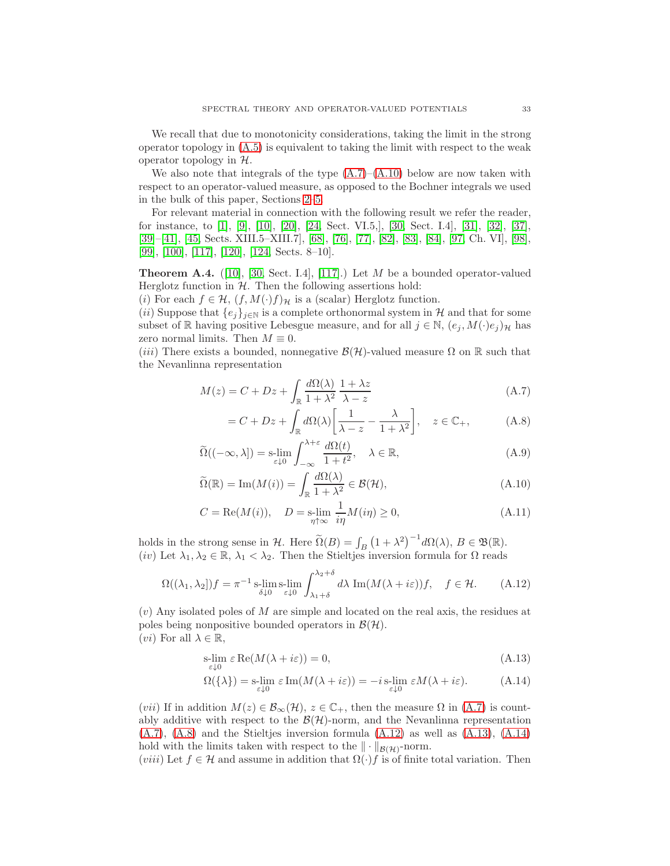We recall that due to monotonicity considerations, taking the limit in the strong operator topology in  $(A.5)$  is equivalent to taking the limit with respect to the weak operator topology in  $H$ .

We also note that integrals of the type  $(A.7)$ – $(A.10)$  below are now taken with respect to an operator-valued measure, as opposed to the Bochner integrals we used in the bulk of this paper, Sections [2](#page-2-0)[–5.](#page-22-0)

For relevant material in connection with the following result we refer the reader, for instance, to [\[1\]](#page-43-12), [\[9\]](#page-43-13), [\[10\]](#page-43-14), [\[20\]](#page-44-16), [\[24,](#page-44-14) Sect. VI.5,], [\[30,](#page-44-17) Sect. I.4], [\[31\]](#page-44-18), [\[32\]](#page-44-19), [\[37\]](#page-44-20), [\[39\]](#page-44-21)–[\[41\]](#page-44-15), [\[45,](#page-44-12) Sects. XIII.5–XIII.7], [\[68\]](#page-45-16), [\[76\]](#page-46-18), [\[77\]](#page-46-19), [\[82\]](#page-46-20), [\[83\]](#page-46-21), [\[84\]](#page-46-17), [\[97,](#page-46-16) Ch. VI], [\[98\]](#page-46-22), [\[99\]](#page-46-23), [\[100\]](#page-47-21), [\[117\]](#page-47-22), [\[120\]](#page-47-23), [\[124,](#page-47-17) Sects. 8–10].

<span id="page-32-0"></span>**Theorem A.4.** ([\[10\]](#page-43-14), [\[30,](#page-44-17) Sect. I.4], [\[117\]](#page-47-22).) Let M be a bounded operator-valued Herglotz function in  $H$ . Then the following assertions hold:

(i) For each  $f \in \mathcal{H}$ ,  $(f, M(\cdot)f)_{\mathcal{H}}$  is a (scalar) Herglotz function.

(ii) Suppose that  $\{e_j\}_{j\in\mathbb{N}}$  is a complete orthonormal system in H and that for some subset of R having positive Lebesgue measure, and for all  $j \in \mathbb{N}$ ,  $(e_j, M(\cdot)e_j)_{\mathcal{H}}$  has zero normal limits. Then  $M \equiv 0$ .

(iii) There exists a bounded, nonnegative  $\mathcal{B}(\mathcal{H})$ -valued measure  $\Omega$  on R such that the Nevanlinna representation

$$
M(z) = C + Dz + \int_{\mathbb{R}} \frac{d\Omega(\lambda)}{1 + \lambda^2} \frac{1 + \lambda z}{\lambda - z}
$$
 (A.7)

<span id="page-32-4"></span><span id="page-32-3"></span><span id="page-32-2"></span>
$$
= C + Dz + \int_{\mathbb{R}} d\Omega(\lambda) \left[ \frac{1}{\lambda - z} - \frac{\lambda}{1 + \lambda^2} \right], \quad z \in \mathbb{C}_+, \tag{A.8}
$$

$$
\widetilde{\Omega}((-\infty,\lambda]) = \operatorname*{s-lim}_{\varepsilon \downarrow 0} \int_{-\infty}^{\lambda + \varepsilon} \frac{d\Omega(t)}{1 + t^2}, \quad \lambda \in \mathbb{R},\tag{A.9}
$$

$$
\widetilde{\Omega}(\mathbb{R}) = \text{Im}(M(i)) = \int_{\mathbb{R}} \frac{d\Omega(\lambda)}{1 + \lambda^2} \in \mathcal{B}(\mathcal{H}),\tag{A.10}
$$

$$
C = \text{Re}(M(i)), \quad D = \text{s-lim}_{\eta \uparrow \infty} \frac{1}{i\eta} M(i\eta) \ge 0,
$$
\n(A.11)

holds in the strong sense in H. Here  $\widetilde{\Omega}(B) = \int_B (1 + \lambda^2)^{-1} d\Omega(\lambda), B \in \mathfrak{B}(\mathbb{R}).$ (iv) Let  $\lambda_1, \lambda_2 \in \mathbb{R}, \lambda_1 < \lambda_2$ . Then the Stieltjes inversion formula for  $\Omega$  reads

<span id="page-32-1"></span>
$$
\Omega((\lambda_1, \lambda_2])f = \pi^{-1} \operatorname*{s-lim}_{\delta \downarrow 0} \operatorname*{s-lim}_{\varepsilon \downarrow 0} \int_{\lambda_1 + \delta}^{\lambda_2 + \delta} d\lambda \operatorname{Im}(M(\lambda + i\varepsilon))f, \quad f \in \mathcal{H}.
$$
 (A.12)

 $(v)$  Any isolated poles of M are simple and located on the real axis, the residues at poles being nonpositive bounded operators in  $\mathcal{B}(\mathcal{H})$ . (*vi*) For all  $\lambda \in \mathbb{R}$ ,

$$
\underset{\varepsilon \downarrow 0}{\text{s-lim}} \ \varepsilon \operatorname{Re}(M(\lambda + i\varepsilon)) = 0,\tag{A.13}
$$

<span id="page-32-6"></span><span id="page-32-5"></span>
$$
\Omega(\{\lambda\}) = \operatorname*{s-lim}_{\varepsilon \downarrow 0} \varepsilon \operatorname{Im}(M(\lambda + i\varepsilon)) = -i \operatorname*{s-lim}_{\varepsilon \downarrow 0} \varepsilon M(\lambda + i\varepsilon). \tag{A.14}
$$

(*vii*) If in addition  $M(z) \in \mathcal{B}_{\infty}(\mathcal{H}), z \in \mathbb{C}_+$ , then the measure  $\Omega$  in [\(A.7\)](#page-32-2) is countably additive with respect to the  $\mathcal{B}(\mathcal{H})$ -norm, and the Nevanlinna representation  $(A.7)$ ,  $(A.8)$  and the Stieltjes inversion formula  $(A.12)$  as well as  $(A.13)$ ,  $(A.14)$ hold with the limits taken with respect to the  $\|\cdot\|_{\mathcal{B}(\mathcal{H})}$ -norm.

(viii) Let  $f \in \mathcal{H}$  and assume in addition that  $\Omega(\cdot)f$  is of finite total variation. Then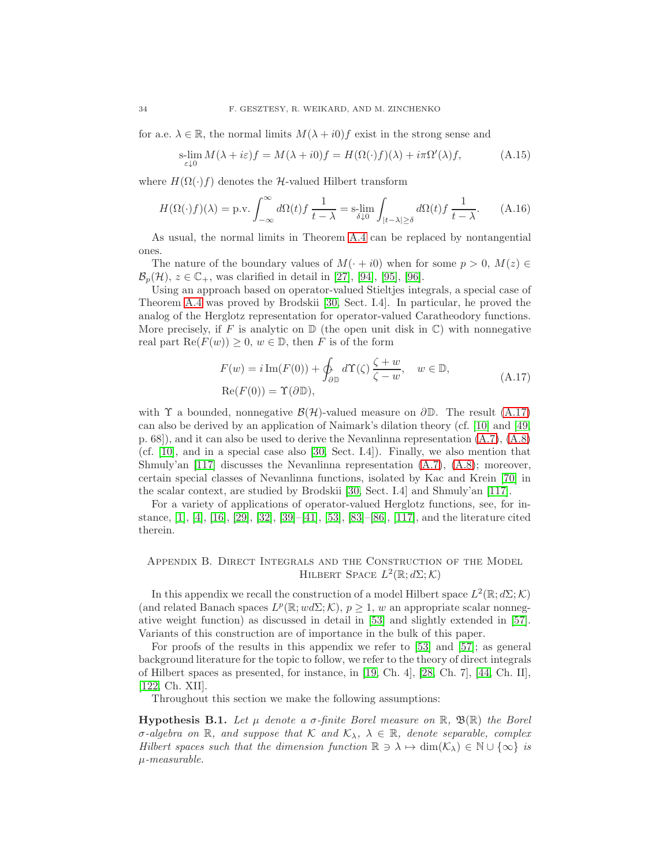for a.e.  $\lambda \in \mathbb{R}$ , the normal limits  $M(\lambda + i0)f$  exist in the strong sense and

$$
\operatorname*{slim}_{\varepsilon\downarrow0} M(\lambda + i\varepsilon)f = M(\lambda + i0)f = H(\Omega(\cdot)f)(\lambda) + i\pi\Omega'(\lambda)f,\tag{A.15}
$$

where  $H(\Omega(\cdot)f)$  denotes the H-valued Hilbert transform

$$
H(\Omega(\cdot)f)(\lambda) = \text{p.v.} \int_{-\infty}^{\infty} d\Omega(t) f \frac{1}{t - \lambda} = \text{s-lim}_{\delta \downarrow 0} \int_{|t - \lambda| \ge \delta} d\Omega(t) f \frac{1}{t - \lambda}.
$$
 (A.16)

As usual, the normal limits in Theorem [A.4](#page-32-0) can be replaced by nontangential ones.

The nature of the boundary values of  $M(+i0)$  when for some  $p > 0$ ,  $M(z) \in$  $\mathcal{B}_{p}(\mathcal{H}), z \in \mathbb{C}_{+}$ , was clarified in detail in [\[27\]](#page-44-22), [\[94\]](#page-46-24), [\[95\]](#page-46-25), [\[96\]](#page-46-26).

Using an approach based on operator-valued Stieltjes integrals, a special case of Theorem [A.4](#page-32-0) was proved by Brodskii [\[30,](#page-44-17) Sect. I.4]. In particular, he proved the analog of the Herglotz representation for operator-valued Caratheodory functions. More precisely, if F is analytic on  $\mathbb D$  (the open unit disk in  $\mathbb C$ ) with nonnegative real part  $\text{Re}(F(w)) \geq 0, w \in \mathbb{D}$ , then F is of the form

<span id="page-33-1"></span>
$$
F(w) = i \operatorname{Im}(F(0)) + \oint_{\partial \mathbb{D}} d\Upsilon(\zeta) \frac{\zeta + w}{\zeta - w}, \quad w \in \mathbb{D},
$$
  
Re $(F(0)) = \Upsilon(\partial \mathbb{D}),$  (A.17)

with  $\Upsilon$  a bounded, nonnegative  $\mathcal{B}(\mathcal{H})$ -valued measure on  $\partial \mathbb{D}$ . The result [\(A.17\)](#page-33-1) can also be derived by an application of Naimark's dilation theory (cf. [\[10\]](#page-43-14) and [\[49,](#page-45-20) p. 68]), and it can also be used to derive the Nevanlinna representation [\(A.7\)](#page-32-2), [\(A.8\)](#page-32-4) (cf. [\[10\]](#page-43-14), and in a special case also [\[30,](#page-44-17) Sect. I.4]). Finally, we also mention that Shmuly'an [\[117\]](#page-47-22) discusses the Nevanlinna representation [\(A.7\)](#page-32-2), [\(A.8\)](#page-32-4); moreover, certain special classes of Nevanlinna functions, isolated by Kac and Krein [\[70\]](#page-45-21) in the scalar context, are studied by Brodskii [\[30,](#page-44-17) Sect. I.4] and Shmuly'an [\[117\]](#page-47-22).

For a variety of applications of operator-valued Herglotz functions, see, for instance, [\[1\]](#page-43-12), [\[4\]](#page-43-15), [\[16\]](#page-43-16), [\[29\]](#page-44-23), [\[32\]](#page-44-19), [\[39\]](#page-44-21)–[\[41\]](#page-44-15), [\[53\]](#page-45-8), [\[83\]](#page-46-21)–[\[86\]](#page-46-1), [\[117\]](#page-47-22), and the literature cited therein.

## <span id="page-33-0"></span>Appendix B. Direct Integrals and the Construction of the Model HILBERT SPACE  $L^2(\mathbb{R}; d\Sigma; \mathcal{K})$

In this appendix we recall the construction of a model Hilbert space  $L^2(\mathbb{R};d\Sigma;\mathcal{K})$ (and related Banach spaces  $L^p(\mathbb{R}; w \, d\Sigma; \mathcal{K})$ ,  $p \geq 1$ , w an appropriate scalar nonnegative weight function) as discussed in detail in [\[53\]](#page-45-8) and slightly extended in [\[57\]](#page-45-9). Variants of this construction are of importance in the bulk of this paper.

For proofs of the results in this appendix we refer to [\[53\]](#page-45-8) and [\[57\]](#page-45-9); as general background literature for the topic to follow, we refer to the theory of direct integrals of Hilbert spaces as presented, for instance, in [\[19,](#page-44-5) Ch. 4], [\[28,](#page-44-6) Ch. 7], [\[44,](#page-44-24) Ch. II], [\[122,](#page-47-24) Ch. XII].

Throughout this section we make the following assumptions:

<span id="page-33-2"></span>**Hypothesis B.1.** Let  $\mu$  denote a  $\sigma$ -finite Borel measure on  $\mathbb{R}$ ,  $\mathfrak{B}(\mathbb{R})$  the Borel σ-algebra on R, and suppose that K and  $\mathcal{K}_{\lambda}$ ,  $\lambda \in \mathbb{R}$ , denote separable, complex Hilbert spaces such that the dimension function  $\mathbb{R} \ni \lambda \mapsto \dim(\mathcal{K}_{\lambda}) \in \mathbb{N} \cup \{\infty\}$  is  $\mu$ -measurable.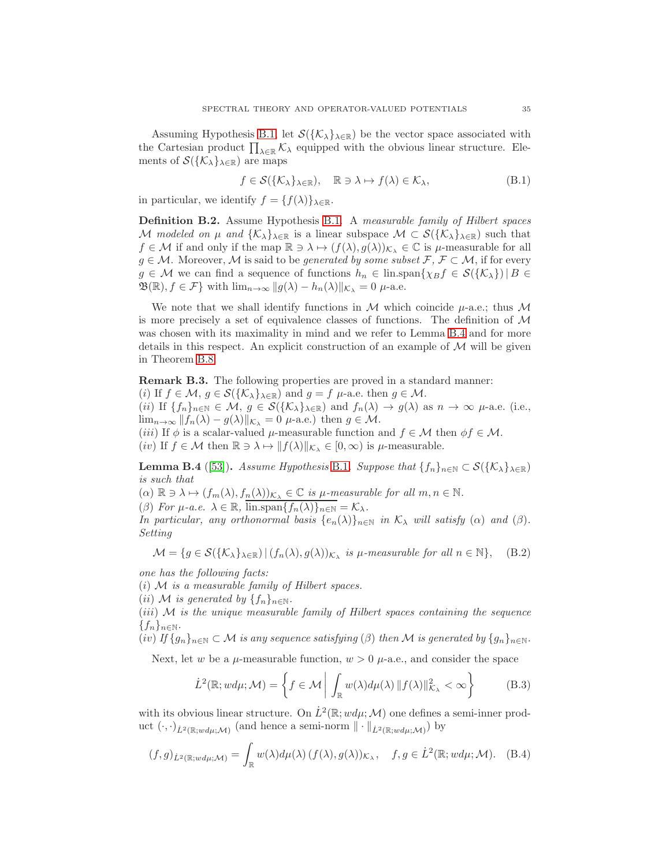Assuming Hypothesis [B.1,](#page-33-2) let  $S({K_{\lambda}}_{\lambda \in \mathbb{R}})$  be the vector space associated with the Cartesian product  $\prod_{\lambda\in\mathbb{R}}\mathcal{K}_\lambda$  equipped with the obvious linear structure. Elements of  $\mathcal{S}(\{\mathcal{K}_{\lambda}\}_{\lambda\in\mathbb{R}})$  are maps

$$
f \in \mathcal{S}(\{\mathcal{K}_{\lambda}\}_{\lambda \in \mathbb{R}}), \quad \mathbb{R} \ni \lambda \mapsto f(\lambda) \in \mathcal{K}_{\lambda}, \tag{B.1}
$$

in particular, we identify  $f = \{f(\lambda)\}_{\lambda \in \mathbb{R}}$ .

Definition B.2. Assume Hypothesis [B.1.](#page-33-2) A measurable family of Hilbert spaces M modeled on  $\mu$  and  $\{\mathcal{K}_\lambda\}_{\lambda\in\mathbb{R}}$  is a linear subspace  $\mathcal{M} \subset \mathcal{S}(\{\mathcal{K}_\lambda\}_{\lambda\in\mathbb{R}})$  such that  $f \in \mathcal{M}$  if and only if the map  $\mathbb{R} \ni \lambda \mapsto (f(\lambda), g(\lambda))_{\mathcal{K}_{\lambda}} \in \mathbb{C}$  is  $\mu$ -measurable for all  $g \in \mathcal{M}$ . Moreover,  $\mathcal M$  is said to be *generated by some subset*  $\mathcal F, \mathcal F \subset \mathcal M$ , if for every  $g \in \mathcal{M}$  we can find a sequence of functions  $h_n \in \text{lin.span}\{\chi_B f \in \mathcal{S}(\{\mathcal{K}_\lambda\}) \mid B \in \mathcal{S}(\mathcal{K}_\lambda\})$  $\mathfrak{B}(\mathbb{R}), f \in \mathcal{F}$  with  $\lim_{n \to \infty} ||g(\lambda) - h_n(\lambda)||_{\mathcal{K}_{\lambda}} = 0$   $\mu$ -a.e.

We note that we shall identify functions in  $M$  which coincide  $\mu$ -a.e.; thus  $M$ is more precisely a set of equivalence classes of functions. The definition of  $\mathcal M$ was chosen with its maximality in mind and we refer to Lemma [B.4](#page-34-0) and for more details in this respect. An explicit construction of an example of  $M$  will be given in Theorem [B.8.](#page-37-0)

Remark B.3. The following properties are proved in a standard manner: (i) If  $f \in \mathcal{M}, g \in \mathcal{S}(\{\mathcal{K}_\lambda\}_{\lambda \in \mathbb{R}})$  and  $g = f \mu$ -a.e. then  $g \in \mathcal{M}$ . (ii) If  $\{f_n\}_{n\in\mathbb{N}}\in\mathcal{M}, g\in\mathcal{S}(\{\mathcal{K}_\lambda\}_{\lambda\in\mathbb{R}})$  and  $f_n(\lambda)\to g(\lambda)$  as  $n\to\infty$   $\mu$ -a.e. (i.e.,  $\lim_{n\to\infty} ||f_n(\lambda) - g(\lambda)||_{\mathcal{K}_{\lambda}} = 0$   $\mu$ -a.e.) then  $g \in \mathcal{M}$ . (*iii*) If  $\phi$  is a scalar-valued  $\mu$ -measurable function and  $f \in \mathcal{M}$  then  $\phi f \in \mathcal{M}$ . (iv) If  $f \in \mathcal{M}$  then  $\mathbb{R} \ni \lambda \mapsto ||f(\lambda)||_{\mathcal{K}_{\lambda}} \in [0, \infty)$  is  $\mu$ -measurable.

<span id="page-34-0"></span>**Lemma B.4** ([\[53\]](#page-45-8)). Assume Hypothesis [B.1](#page-33-2). Suppose that  $\{f_n\}_{n\in\mathbb{N}}\subset \mathcal{S}(\{\mathcal{K}_\lambda\}_{\lambda\in\mathbb{R}})$ is such that

 $(\alpha) \mathbb{R} \ni \lambda \mapsto (f_m(\lambda), f_n(\lambda))_{\mathcal{K}_{\lambda}} \in \mathbb{C}$  is  $\mu$ -measurable for all  $m, n \in \mathbb{N}$ . (β) For  $\mu$ -a.e.  $\lambda \in \mathbb{R}$ ,  $\overline{\lim \mathrm{span} \{f_n(\lambda)\}_{n\in\mathbb{N}}} = \mathcal{K}_{\lambda}$ .

In particular, any orthonormal basis  $\{e_n(\lambda)\}_{n\in\mathbb{N}}$  in  $\mathcal{K}_{\lambda}$  will satisfy ( $\alpha$ ) and ( $\beta$ ). Setting

$$
\mathcal{M} = \{ g \in \mathcal{S}(\{\mathcal{K}_\lambda\}_{\lambda \in \mathbb{R}}) \, | \, (f_n(\lambda), g(\lambda))_{\mathcal{K}_\lambda} \text{ is } \mu\text{-}measurable for all } n \in \mathbb{N} \}, \quad \text{(B.2)}
$$

one has the following facts:

 $(i)$  M is a measurable family of Hilbert spaces.

(*ii*) M is generated by  $\{f_n\}_{n\in\mathbb{N}}$ .

 $(iii)$  M is the unique measurable family of Hilbert spaces containing the sequence  ${f_n}_{n\in\mathbb{N}}$ .

(iv) If  $\{g_n\}_{n\in\mathbb{N}}\subset\mathcal{M}$  is any sequence satisfying ( $\beta$ ) then M is generated by  $\{g_n\}_{n\in\mathbb{N}}$ .

Next, let w be a  $\mu$ -measurable function,  $w > 0$   $\mu$ -a.e., and consider the space

$$
\dot{L}^2(\mathbb{R}; w d\mu; \mathcal{M}) = \left\{ f \in \mathcal{M} \mid \int_{\mathbb{R}} w(\lambda) d\mu(\lambda) \, \| f(\lambda) \|_{\mathcal{K}_{\lambda}}^2 < \infty \right\} \tag{B.3}
$$

with its obvious linear structure. On  $\dot{L}^2(\mathbb{R}; w d\mu; \mathcal{M})$  one defines a semi-inner product  $(\cdot, \cdot)_{\dot{L}^2(\mathbb{R}; w d\mu; \mathcal{M})}$  (and hence a semi-norm  $\|\cdot\|_{\dot{L}^2(\mathbb{R}; w d\mu; \mathcal{M})})$  by

<span id="page-34-1"></span>
$$
(f,g)_{\dot{L}^2(\mathbb{R};wd\mu;\mathcal{M})} = \int_{\mathbb{R}} w(\lambda) d\mu(\lambda) (f(\lambda), g(\lambda))_{\mathcal{K}_{\lambda}}, \quad f, g \in \dot{L}^2(\mathbb{R}; wd\mu;\mathcal{M}). \quad (B.4)
$$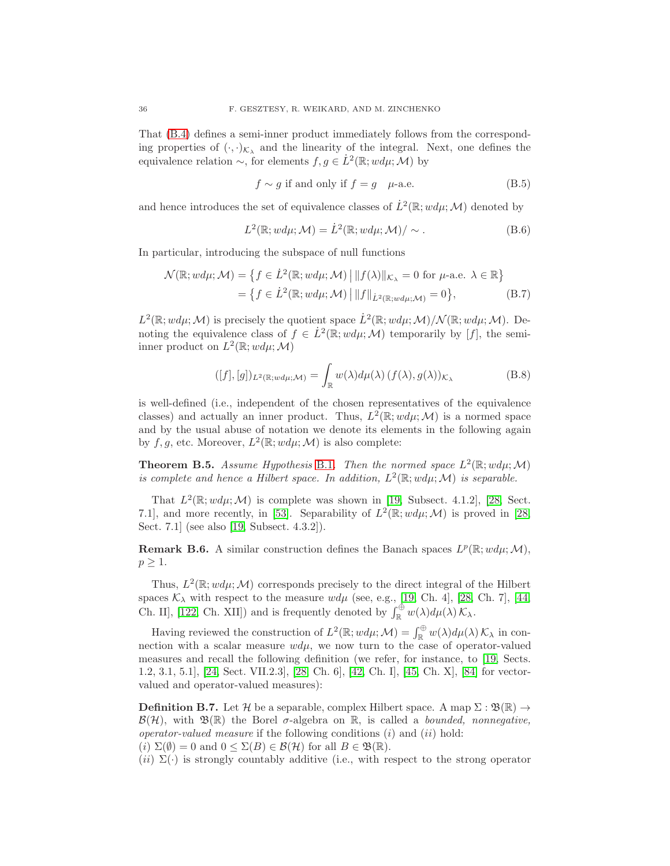That [\(B.4\)](#page-34-1) defines a semi-inner product immediately follows from the corresponding properties of  $(\cdot, \cdot)_{\mathcal{K}_{\lambda}}$  and the linearity of the integral. Next, one defines the equivalence relation  $\sim$ , for elements  $f, g \in L^2(\mathbb{R}; w d\mu; \mathcal{M})$  by

$$
f \sim g \text{ if and only if } f = g \quad \mu\text{-a.e.} \tag{B.5}
$$

and hence introduces the set of equivalence classes of  $\dot{L}^2(\mathbb{R}; w d\mu; \mathcal{M})$  denoted by

$$
L^{2}(\mathbb{R}; w d\mu; \mathcal{M}) = \dot{L}^{2}(\mathbb{R}; w d\mu; \mathcal{M}) / \sim.
$$
 (B.6)

In particular, introducing the subspace of null functions

$$
\mathcal{N}(\mathbb{R}; w d\mu; \mathcal{M}) = \left\{ f \in \dot{L}^2(\mathbb{R}; w d\mu; \mathcal{M}) \, \middle| \, \| f(\lambda) \|_{\mathcal{K}_{\lambda}} = 0 \text{ for } \mu\text{-a.e. } \lambda \in \mathbb{R} \right\}
$$

$$
= \left\{ f \in \dot{L}^2(\mathbb{R}; w d\mu; \mathcal{M}) \, \middle| \, \| f \|_{\dot{L}^2(\mathbb{R}; w d\mu; \mathcal{M})} = 0 \right\}, \tag{B.7}
$$

 $L^2(\mathbb{R}; w d\mu; \mathcal{M})$  is precisely the quotient space  $\dot{L}^2(\mathbb{R}; w d\mu; \mathcal{M})/\mathcal{N}(\mathbb{R}; w d\mu; \mathcal{M})$ . Denoting the equivalence class of  $f \in L^2(\mathbb{R}; w d\mu; \mathcal{M})$  temporarily by [f], the semiinner product on  $L^2(\mathbb{R}; w d\mu; \mathcal{M})$ 

$$
([f],[g])_{L^2(\mathbb{R};wd\mu;\mathcal{M})} = \int_{\mathbb{R}} w(\lambda) d\mu(\lambda) (f(\lambda), g(\lambda))_{\mathcal{K}_{\lambda}}
$$
(B.8)

is well-defined (i.e., independent of the chosen representatives of the equivalence classes) and actually an inner product. Thus,  $L^2(\mathbb{R}; w d\mu; \mathcal{M})$  is a normed space and by the usual abuse of notation we denote its elements in the following again by  $f, g$ , etc. Moreover,  $L^2(\mathbb{R}; w d\mu; \mathcal{M})$  is also complete:

<span id="page-35-1"></span>**Theorem B.5.** Assume Hypothesis [B.1](#page-33-2). Then the normed space  $L^2(\mathbb{R}; w d\mu; \mathcal{M})$ is complete and hence a Hilbert space. In addition,  $L^2(\mathbb{R}; w d\mu; \mathcal{M})$  is separable.

That  $L^2(\mathbb{R}; w d\mu; \mathcal{M})$  is complete was shown in [\[19,](#page-44-5) Subsect. 4.1.2], [\[28,](#page-44-6) Sect. 7.1], and more recently, in [\[53\]](#page-45-8). Separability of  $L^2(\mathbb{R}; w d\mu; \mathcal{M})$  is proved in [\[28,](#page-44-6) Sect. 7.1] (see also [\[19,](#page-44-5) Subsect. 4.3.2]).

**Remark B.6.** A similar construction defines the Banach spaces  $L^p(\mathbb{R}; w d\mu; \mathcal{M})$ ,  $p \geq 1$ .

Thus,  $L^2(\mathbb{R}; w d\mu; \mathcal{M})$  corresponds precisely to the direct integral of the Hilbert spaces  $\mathcal{K}_{\lambda}$  with respect to the measure  $wd\mu$  (see, e.g., [\[19,](#page-44-5) Ch. 4], [\[28,](#page-44-6) Ch. 7], [\[44,](#page-44-24) Ch. II], [\[122,](#page-47-24) Ch. XII]) and is frequently denoted by  $\int_{\mathbb{R}}^{\oplus} w(\lambda) d\mu(\lambda) \mathcal{K}_{\lambda}$ .

Having reviewed the construction of  $L^2(\mathbb{R}; w d\mu; \mathcal{M}) = \int_{\mathbb{R}}^{\oplus} w(\lambda) d\mu(\lambda) \mathcal{K}_{\lambda}$  in connection with a scalar measure  $wd\mu$ , we now turn to the case of operator-valued measures and recall the following definition (we refer, for instance, to [\[19,](#page-44-5) Sects. 1.2, 3.1, 5.1], [\[24,](#page-44-14) Sect. VII.2.3], [\[28,](#page-44-6) Ch. 6], [\[42,](#page-44-4) Ch. I], [\[45,](#page-44-12) Ch. X], [\[84\]](#page-46-17) for vectorvalued and operator-valued measures):

<span id="page-35-0"></span>**Definition B.7.** Let H be a separable, complex Hilbert space. A map  $\Sigma : \mathfrak{B}(\mathbb{R}) \to$  $\mathcal{B}(\mathcal{H})$ , with  $\mathfrak{B}(\mathbb{R})$  the Borel  $\sigma$ -algebra on  $\mathbb{R}$ , is called a *bounded, nonnegative*, operator-valued measure if the following conditions  $(i)$  and  $(ii)$  hold:

(i)  $\Sigma(\emptyset) = 0$  and  $0 \leq \Sigma(B) \in \mathcal{B}(\mathcal{H})$  for all  $B \in \mathfrak{B}(\mathbb{R})$ .

(ii)  $\Sigma(\cdot)$  is strongly countably additive (i.e., with respect to the strong operator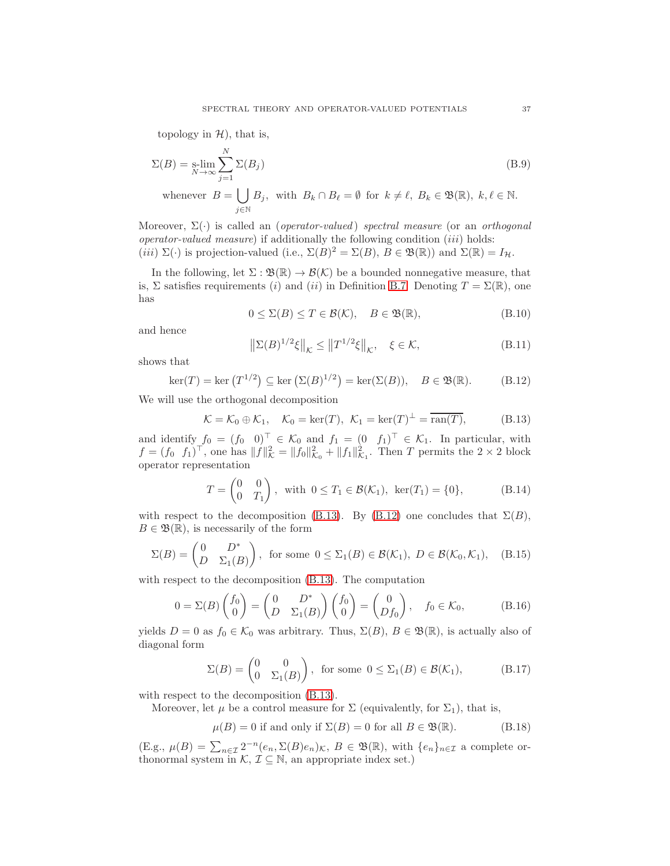topology in  $H$ ), that is,

$$
\Sigma(B) = \operatorname*{slim}_{N \to \infty} \sum_{j=1}^{N} \Sigma(B_j)
$$
\nwhenever  $B = \bigcup_{j \in \mathbb{N}} B_j$ , with  $B_k \cap B_\ell = \emptyset$  for  $k \neq \ell$ ,  $B_k \in \mathfrak{B}(\mathbb{R})$ ,  $k, \ell \in \mathbb{N}$ .

Moreover,  $\Sigma(\cdot)$  is called an (*operator-valued*) spectral measure (or an *orthogonal* operator-valued measure) if additionally the following condition  $(iii)$  holds: (iii)  $\Sigma(\cdot)$  is projection-valued (i.e.,  $\Sigma(B)^2 = \Sigma(B)$ ,  $B \in \mathfrak{B}(\mathbb{R})$ ) and  $\Sigma(\mathbb{R}) = I_H$ .

In the following, let  $\Sigma : \mathfrak{B}(\mathbb{R}) \to \mathcal{B}(\mathcal{K})$  be a bounded nonnegative measure, that is, Σ satisfies requirements (i) and (ii) in Definition [B.7.](#page-35-0) Denoting  $T = \Sigma(\mathbb{R})$ , one has

$$
0 \le \Sigma(B) \le T \in \mathcal{B}(\mathcal{K}), \quad B \in \mathfrak{B}(\mathbb{R}), \tag{B.10}
$$

and hence

$$
\left\|\Sigma(B)^{1/2}\xi\right\|_{\mathcal{K}} \le \left\|T^{1/2}\xi\right\|_{\mathcal{K}}, \quad \xi \in \mathcal{K},\tag{B.11}
$$

shows that

<span id="page-36-1"></span>
$$
\ker(T) = \ker\left(T^{1/2}\right) \subseteq \ker\left(\Sigma(B)^{1/2}\right) = \ker(\Sigma(B)), \quad B \in \mathfrak{B}(\mathbb{R}).\tag{B.12}
$$

We will use the orthogonal decomposition

<span id="page-36-0"></span>
$$
\mathcal{K} = \mathcal{K}_0 \oplus \mathcal{K}_1, \quad \mathcal{K}_0 = \ker(T), \ \mathcal{K}_1 = \ker(T)^\perp = \overline{\operatorname{ran}(T)}, \tag{B.13}
$$

and identify  $f_0 = (f_0 \ 0)^{\top} \in \mathcal{K}_0$  and  $f_1 = (0 \ f_1)^{\top} \in \mathcal{K}_1$ . In particular, with  $f = (f_0 \, f_1)^{\top}$ , one has  $||f||^2_{\mathcal{K}} = ||f_0||^2_{\mathcal{K}_0} + ||f_1||^2_{\mathcal{K}_1}$ . Then T permits the  $2 \times 2$  block operator representation

<span id="page-36-2"></span>
$$
T = \begin{pmatrix} 0 & 0 \\ 0 & T_1 \end{pmatrix}, \text{ with } 0 \le T_1 \in \mathcal{B}(\mathcal{K}_1), \text{ ker}(T_1) = \{0\},\tag{B.14}
$$

with respect to the decomposition [\(B.13\)](#page-36-0). By [\(B.12\)](#page-36-1) one concludes that  $\Sigma(B)$ ,  $B \in \mathfrak{B}(\mathbb{R})$ , is necessarily of the form

$$
\Sigma(B) = \begin{pmatrix} 0 & D^* \\ D & \Sigma_1(B) \end{pmatrix}, \text{ for some } 0 \le \Sigma_1(B) \in \mathcal{B}(\mathcal{K}_1), D \in \mathcal{B}(\mathcal{K}_0, \mathcal{K}_1), \quad (B.15)
$$

with respect to the decomposition [\(B.13\)](#page-36-0). The computation

$$
0 = \Sigma(B) \begin{pmatrix} f_0 \\ 0 \end{pmatrix} = \begin{pmatrix} 0 & D^* \\ D & \Sigma_1(B) \end{pmatrix} \begin{pmatrix} f_0 \\ 0 \end{pmatrix} = \begin{pmatrix} 0 \\ Df_0 \end{pmatrix}, \quad f_0 \in \mathcal{K}_0,
$$
 (B.16)

yields  $D = 0$  as  $f_0 \in \mathcal{K}_0$  was arbitrary. Thus,  $\Sigma(B)$ ,  $B \in \mathfrak{B}(\mathbb{R})$ , is actually also of diagonal form

<span id="page-36-3"></span>
$$
\Sigma(B) = \begin{pmatrix} 0 & 0 \\ 0 & \Sigma_1(B) \end{pmatrix}, \text{ for some } 0 \le \Sigma_1(B) \in \mathcal{B}(\mathcal{K}_1), \tag{B.17}
$$

with respect to the decomposition  $(B.13)$ .

Moreover, let  $\mu$  be a control measure for  $\Sigma$  (equivalently, for  $\Sigma_1$ ), that is,

$$
\mu(B) = 0 \text{ if and only if } \Sigma(B) = 0 \text{ for all } B \in \mathfrak{B}(\mathbb{R}). \tag{B.18}
$$

 $(E.g., \mu(B) = \sum_{n \in \mathcal{I}} 2^{-n} (e_n, \Sigma(B)e_n)\kappa, B \in \mathfrak{B}(\mathbb{R}), \text{ with } \{e_n\}_{n \in \mathcal{I}} \text{ a complete or$ thonormal system in  $\mathcal{K}, \mathcal{I} \subseteq \mathbb{N}$ , an appropriate index set.)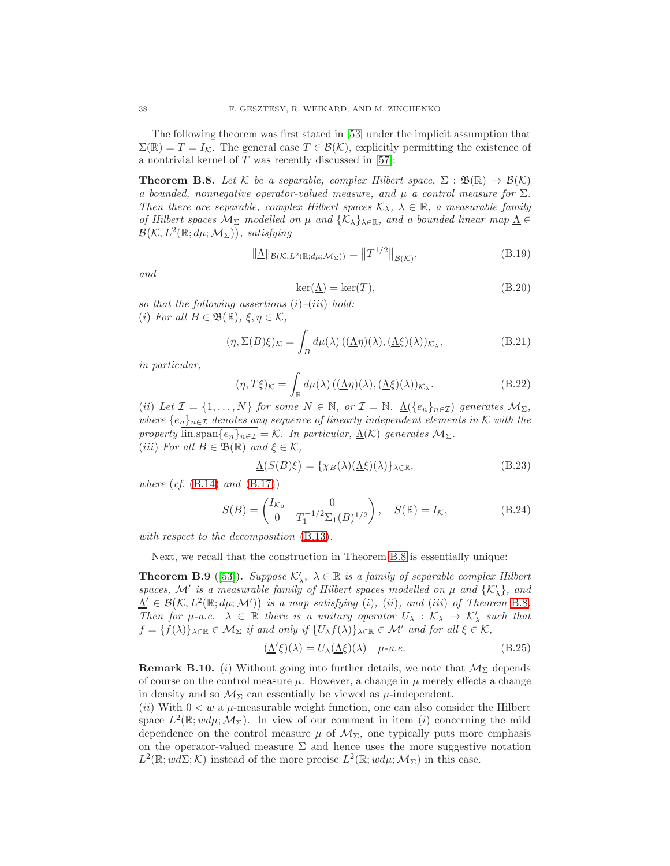The following theorem was first stated in [\[53\]](#page-45-8) under the implicit assumption that  $\Sigma(\mathbb{R}) = T = I_{\mathcal{K}}$ . The general case  $T \in \mathcal{B}(\mathcal{K})$ , explicitly permitting the existence of a nontrivial kernel of  $T$  was recently discussed in [\[57\]](#page-45-9):

<span id="page-37-0"></span>**Theorem B.8.** Let K be a separable, complex Hilbert space,  $\Sigma : \mathfrak{B}(\mathbb{R}) \to \mathcal{B}(\mathcal{K})$ a bounded, nonnegative operator-valued measure, and  $\mu$  a control measure for  $\Sigma$ . Then there are separable, complex Hilbert spaces  $\mathcal{K}_{\lambda}, \lambda \in \mathbb{R}$ , a measurable family of Hilbert spaces  $\mathcal{M}_{\Sigma}$  modelled on  $\mu$  and { $\mathcal{K}_{\lambda}$ }<sub>λ∈R</sub>, and a bounded linear map  $\underline{\Lambda} \in$  $\mathcal{B}(\mathcal{K}, L^2(\mathbb{R}; d\mu; \mathcal{M}_{\Sigma}))$ , satisfying

$$
\|\underline{\Lambda}\|_{\mathcal{B}(\mathcal{K},L^2(\mathbb{R};d\mu;\mathcal{M}_\Sigma))} = \|T^{1/2}\|_{\mathcal{B}(\mathcal{K})},\tag{B.19}
$$

and

$$
\ker(\underline{\Lambda}) = \ker(T),\tag{B.20}
$$

so that the following assertions  $(i)$ – $(iii)$  hold: (i) For all  $B \in \mathfrak{B}(\mathbb{R}), \xi, \eta \in \mathcal{K}$ ,

$$
(\eta, \Sigma(B)\xi)_{\mathcal{K}} = \int_{B} d\mu(\lambda) \left( (\underline{\Lambda}\eta)(\lambda), (\underline{\Lambda}\xi)(\lambda) \right)_{\mathcal{K}_{\lambda}},
$$
(B.21)

in particular,

$$
(\eta, T\xi)_{\mathcal{K}} = \int_{\mathbb{R}} d\mu(\lambda) \left( (\underline{\Lambda}\eta)(\lambda), (\underline{\Lambda}\xi)(\lambda) \right)_{\mathcal{K}_{\lambda}}.
$$
 (B.22)

(ii) Let  $\mathcal{I} = \{1, ..., N\}$  for some  $N \in \mathbb{N}$ , or  $\mathcal{I} = \mathbb{N}$ .  $\underline{\Lambda}(\{e_n\}_{n \in \mathcal{I}})$  generates  $\mathcal{M}_{\Sigma}$ , where  $\{e_n\}_{n\in\mathcal{I}}$  denotes any sequence of linearly independent elements in K with the property lin.span $\overline{\{e_n\}_{n\in\mathcal{I}}} = \mathcal{K}$ . In particular,  $\underline{\Lambda}(\mathcal{K})$  generates  $\mathcal{M}_{\Sigma}$ . (iii) For all  $B \in \mathfrak{B}(\mathbb{R})$  and  $\xi \in \mathcal{K}$ ,

$$
\underline{\Lambda}(S(B)\xi) = \{\chi_B(\lambda)(\underline{\Lambda}\xi)(\lambda)\}_{\lambda \in \mathbb{R}},
$$
\n(B.23)

where  $(cf. (B.14)$  $(cf. (B.14)$  and  $(B.17))$  $(B.17))$ 

$$
S(B) = \begin{pmatrix} I_{\mathcal{K}_0} & 0 \\ 0 & T_1^{-1/2} \Sigma_1(B)^{1/2} \end{pmatrix}, \quad S(\mathbb{R}) = I_{\mathcal{K}},
$$
 (B.24)

with respect to the decomposition  $(B.13)$ .

Next, we recall that the construction in Theorem [B.8](#page-37-0) is essentially unique:

**Theorem B.9** ([\[53\]](#page-45-8)). Suppose  $\mathcal{K}'_{\lambda}$ ,  $\lambda \in \mathbb{R}$  is a family of separable complex Hilbert spaces,  $\mathcal{M}'$  is a measurable family of Hilbert spaces modelled on  $\mu$  and  $\{K'_\lambda\}$ , and  $\Lambda' \in \mathcal{B}(\mathcal{K}, L^2(\mathbb{R}; d\mu; \mathcal{M}'))$  is a map satisfying (i), (ii), and (iii) of Theorem [B.8](#page-37-0). Then for  $\mu$ -a.e.  $\lambda \in \mathbb{R}$  there is a unitary operator  $U_{\lambda} : \mathcal{K}_{\lambda} \to \mathcal{K}'_{\lambda}$  such that  $f = \{f(\lambda)\}_{\lambda \in \mathbb{R}} \in \mathcal{M}_{\Sigma}$  if and only if  $\{U_{\lambda} f(\lambda)\}_{\lambda \in \mathbb{R}} \in \mathcal{M}'$  and for all  $\xi \in \mathcal{K}$ ,

$$
(\underline{\Lambda}'\xi)(\lambda) = U_{\lambda}(\underline{\Lambda}\xi)(\lambda) \quad \mu\text{-}a.e. \tag{B.25}
$$

<span id="page-37-1"></span>**Remark B.10.** (i) Without going into further details, we note that  $M_{\Sigma}$  depends of course on the control measure  $\mu$ . However, a change in  $\mu$  merely effects a change in density and so  $\mathcal{M}_{\Sigma}$  can essentially be viewed as  $\mu$ -independent.

(ii) With  $0 < w$  a  $\mu$ -measurable weight function, one can also consider the Hilbert space  $L^2(\mathbb{R}; w d\mu; \mathcal{M}_{\Sigma})$ . In view of our comment in item (i) concerning the mild dependence on the control measure  $\mu$  of  $\mathcal{M}_{\Sigma}$ , one typically puts more emphasis on the operator-valued measure  $\Sigma$  and hence uses the more suggestive notation  $L^2(\mathbb{R}; w d\Sigma; \mathcal{K})$  instead of the more precise  $L^2(\mathbb{R}; w d\mu; \mathcal{M}_{\Sigma})$  in this case.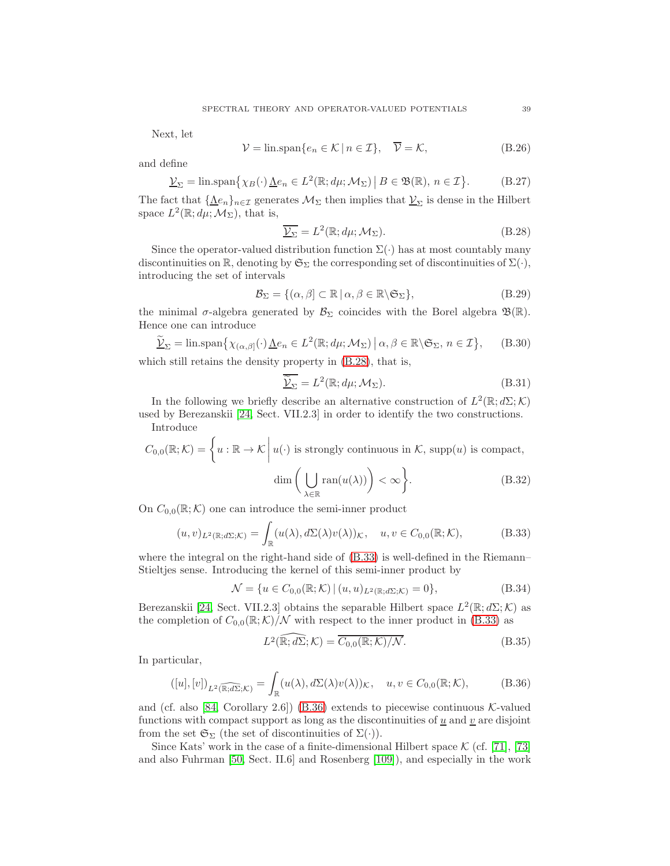Next, let

$$
\mathcal{V} = \text{lin}.\text{span}\{e_n \in \mathcal{K} \mid n \in \mathcal{I}\}, \quad \overline{\mathcal{V}} = \mathcal{K},\tag{B.26}
$$

and define

$$
\underline{\mathcal{V}}_{\Sigma} = \lim \operatorname{span} \{ \chi_B(\cdot) \underline{\Lambda} e_n \in L^2(\mathbb{R}; d\mu; \mathcal{M}_{\Sigma}) \, \big| \, B \in \mathfrak{B}(\mathbb{R}), \, n \in \mathcal{I} \}. \tag{B.27}
$$

The fact that  ${\{\underline{\Lambda}e_n\}}_{n\in\mathcal{I}}$  generates  $\mathcal{M}_{\Sigma}$  then implies that  $\mathcal{Y}_{\Sigma}$  is dense in the Hilbert space  $L^2(\mathbb{R}; d\mu; \mathcal{M}_{\Sigma})$ , that is,

<span id="page-38-0"></span>
$$
\overline{\underline{\mathcal{V}_{\Sigma}}} = L^2(\mathbb{R}; d\mu; \mathcal{M}_{\Sigma}). \tag{B.28}
$$

Since the operator-valued distribution function  $\Sigma(\cdot)$  has at most countably many discontinuities on  $\mathbb{R}$ , denoting by  $\mathfrak{S}_{\Sigma}$  the corresponding set of discontinuities of  $\Sigma(\cdot)$ , introducing the set of intervals

$$
\mathcal{B}_{\Sigma} = \{ (\alpha, \beta] \subset \mathbb{R} \mid \alpha, \beta \in \mathbb{R} \backslash \mathfrak{S}_{\Sigma} \},\tag{B.29}
$$

the minimal  $\sigma$ -algebra generated by  $\mathcal{B}_{\Sigma}$  coincides with the Borel algebra  $\mathfrak{B}(\mathbb{R})$ . Hence one can introduce

$$
\widetilde{\underline{\mathcal{V}}}_{\Sigma} = \lim \operatorname{span} \{ \chi_{(\alpha,\beta]}(\cdot) \underline{\Lambda} e_n \in L^2(\mathbb{R}; d\mu; \mathcal{M}_{\Sigma}) \, \big| \, \alpha, \beta \in \mathbb{R} \setminus \mathfrak{S}_{\Sigma}, n \in \mathcal{I} \}, \qquad (B.30)
$$

which still retains the density property in  $(B.28)$ , that is,

$$
\widetilde{\underline{V}_{\Sigma}} = L^2(\mathbb{R}; d\mu; \mathcal{M}_{\Sigma}).
$$
\n(B.31)

In the following we briefly describe an alternative construction of  $L^2(\mathbb{R};d\Sigma;\mathcal{K})$ used by Berezanskii [\[24,](#page-44-14) Sect. VII.2.3] in order to identify the two constructions. Introduce

$$
C_{0,0}(\mathbb{R};\mathcal{K}) = \left\{ u : \mathbb{R} \to \mathcal{K} \middle| u(\cdot) \text{ is strongly continuous in } \mathcal{K}, \text{ supp}(u) \text{ is compact,}
$$

$$
\dim \left( \bigcup_{\lambda \in \mathbb{R}} \text{ran}(u(\lambda)) \right) < \infty \right\}. \tag{B.32}
$$

On  $C_{0,0}(\mathbb{R};\mathcal{K})$  one can introduce the semi-inner product

<span id="page-38-1"></span>
$$
(u,v)_{L^2(\mathbb{R};d\Sigma;\mathcal{K})} = \int_{\mathbb{R}} (u(\lambda),d\Sigma(\lambda)v(\lambda))_{\mathcal{K}}, \quad u,v \in C_{0,0}(\mathbb{R};\mathcal{K}),
$$
 (B.33)

where the integral on the right-hand side of  $(B.33)$  is well-defined in the Riemann– Stieltjes sense. Introducing the kernel of this semi-inner product by

$$
\mathcal{N} = \{ u \in C_{0,0}(\mathbb{R}; \mathcal{K}) \, | \, (u, u)_{L^2(\mathbb{R}; d\Sigma; \mathcal{K})} = 0 \},\tag{B.34}
$$

Berezanskii [\[24,](#page-44-14) Sect. VII.2.3] obtains the separable Hilbert space  $L^2(\mathbb{R};d\Sigma;\mathcal{K})$  as the completion of  $C_{0,0}(\mathbb{R};\mathcal{K})/\mathcal{N}$  with respect to the inner product in [\(B.33\)](#page-38-1) as

<span id="page-38-3"></span>
$$
L^{2}(\widehat{\mathbb{R};d\Sigma};\mathcal{K}) = \overline{C_{0,0}(\mathbb{R};\mathcal{K})/\mathcal{N}}.
$$
\n(B.35)

In particular,

<span id="page-38-2"></span>
$$
([u],[v])_{L^2(\widehat{\mathbb{R};d\Sigma};\mathcal{K})} = \int_{\mathbb{R}} (u(\lambda),d\Sigma(\lambda)v(\lambda))_{\mathcal{K}}, \quad u,v \in C_{0,0}(\mathbb{R};\mathcal{K}),
$$
(B.36)

and (cf. also [\[84,](#page-46-17) Corollary 2.6]) [\(B.36\)](#page-38-2) extends to piecewise continuous  $K$ -valued functions with compact support as long as the discontinuities of  $\underline{u}$  and  $\underline{v}$  are disjoint from the set  $\mathfrak{S}_{\Sigma}$  (the set of discontinuities of  $\Sigma(\cdot)$ ).

Since Kats' work in the case of a finite-dimensional Hilbert space  $\mathcal{K}$  (cf. [\[71\]](#page-45-22), [\[73\]](#page-46-27) and also Fuhrman [\[50,](#page-45-23) Sect. II.6] and Rosenberg [\[109\]](#page-47-25)), and especially in the work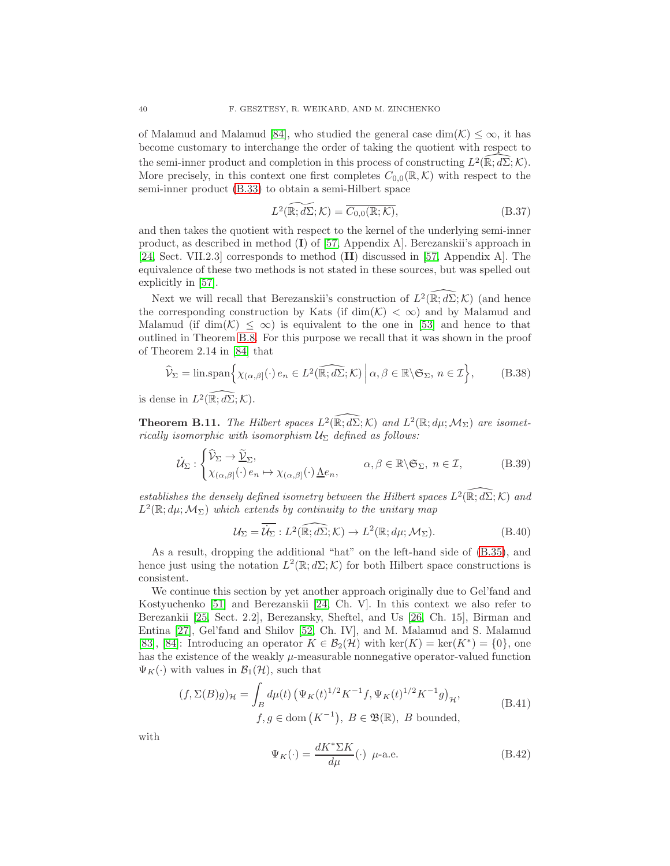of Malamud and Malamud [\[84\]](#page-46-17), who studied the general case  $\dim(\mathcal{K}) \leq \infty$ , it has become customary to interchange the order of taking the quotient with respect to the semi-inner product and completion in this process of constructing  $L^2(\mathbb{R}; d\Sigma; \mathcal{K})$ . More precisely, in this context one first completes  $C_{0,0}(\mathbb{R},\mathcal{K})$  with respect to the semi-inner product [\(B.33\)](#page-38-1) to obtain a semi-Hilbert space

$$
L^{2}(\widetilde{\mathbb{R};d\Sigma};\mathcal{K}) = \overline{C_{0,0}(\mathbb{R};\mathcal{K})},
$$
\n(B.37)

and then takes the quotient with respect to the kernel of the underlying semi-inner product, as described in method (I) of [\[57,](#page-45-9) Appendix A]. Berezanskii's approach in [\[24,](#page-44-14) Sect. VII.2.3] corresponds to method (II) discussed in [\[57,](#page-45-9) Appendix A]. The equivalence of these two methods is not stated in these sources, but was spelled out explicitly in [\[57\]](#page-45-9).

Next we will recall that Berezanskii's construction of  $L^2(\mathbb{R}; d\Sigma; \mathcal{K})$  (and hence the corresponding construction by Kats (if  $\dim(\mathcal{K}) < \infty$ ) and by Malamud and Malamud (if dim $(K) \leq \infty$ ) is equivalent to the one in [\[53\]](#page-45-8) and hence to that outlined in Theorem [B.8.](#page-37-0) For this purpose we recall that it was shown in the proof of Theorem 2.14 in [\[84\]](#page-46-17) that

<span id="page-39-0"></span>
$$
\widehat{\mathcal{V}}_{\Sigma} = \lim \text{span}\Big\{ \chi_{(\alpha,\beta]}(\cdot) \, e_n \in L^2(\widehat{\mathbb{R};d\Sigma};\mathcal{K}) \, \Big| \, \alpha, \beta \in \mathbb{R} \setminus \mathfrak{S}_{\Sigma}, \, n \in \mathcal{I} \Big\},\tag{B.38}
$$

is dense in  $L^2(\mathbb{R}; d\Sigma; \mathcal{K})$ .

**Theorem B.11.** The Hilbert spaces  $L^2(\widehat{\mathbb{R}}; d\Sigma; \mathcal{K})$  and  $L^2(\mathbb{R}; d\mu; \mathcal{M}_{\Sigma})$  are isometrically isomorphic with isomorphism  $U_{\Sigma}$  defined as follows:

$$
\dot{\mathcal{U}}_{\Sigma}: \begin{cases} \hat{\mathcal{V}}_{\Sigma} \to \tilde{\underline{\mathcal{V}}}_{\Sigma}, \\ \chi_{(\alpha,\beta]}(\cdot) e_n \mapsto \chi_{(\alpha,\beta]}(\cdot) \underline{\Lambda} e_n, \end{cases} \qquad \alpha, \beta \in \mathbb{R} \backslash \mathfrak{S}_{\Sigma}, n \in \mathcal{I}, \qquad (B.39)
$$

establishes the densely defined isometry between the Hilbert spaces  $L^2(\mathbb{R}; d\Sigma; \mathcal{K})$  and  $L^2(\mathbb{R};d\mu;\mathcal{M}_{\Sigma})$  which extends by continuity to the unitary map

$$
\mathcal{U}_{\Sigma} = \overline{\mathcal{U}_{\Sigma}} : L^2(\widehat{\mathbb{R}; d\Sigma}; \mathcal{K}) \to L^2(\mathbb{R}; d\mu; \mathcal{M}_{\Sigma}).
$$
\n(B.40)

As a result, dropping the additional "hat" on the left-hand side of [\(B.35\)](#page-38-3), and hence just using the notation  $L^2(\mathbb{R}; d\Sigma; \mathcal{K})$  for both Hilbert space constructions is consistent.

We continue this section by yet another approach originally due to Gel'fand and Kostyuchenko [\[51\]](#page-45-24) and Berezanskii [\[24,](#page-44-14) Ch. V]. In this context we also refer to Berezankii [\[25,](#page-44-25) Sect. 2.2], Berezansky, Sheftel, and Us [\[26,](#page-44-26) Ch. 15], Birman and Entina [\[27\]](#page-44-22), Gel'fand and Shilov [\[52,](#page-45-25) Ch. IV], and M. Malamud and S. Malamud [\[83\]](#page-46-21), [\[84\]](#page-46-17): Introducing an operator  $K \in \mathcal{B}_2(\mathcal{H})$  with  $\ker(K) = \ker(K^*) = \{0\}$ , one has the existence of the weakly  $\mu$ -measurable nonnegative operator-valued function  $\Psi_K(\cdot)$  with values in  $\mathcal{B}_1(\mathcal{H})$ , such that

$$
(f, \Sigma(B)g)_{\mathcal{H}} = \int_B d\mu(t) \left( \Psi_K(t)^{1/2} K^{-1} f, \Psi_K(t)^{1/2} K^{-1} g \right)_{\mathcal{H}},
$$
  
 
$$
f, g \in \text{dom}(K^{-1}), B \in \mathfrak{B}(\mathbb{R}), B \text{ bounded},
$$
 (B.41)

with

$$
\Psi_K(\cdot) = \frac{dK^* \Sigma K}{d\mu}(\cdot) \ \mu\text{-a.e.} \tag{B.42}
$$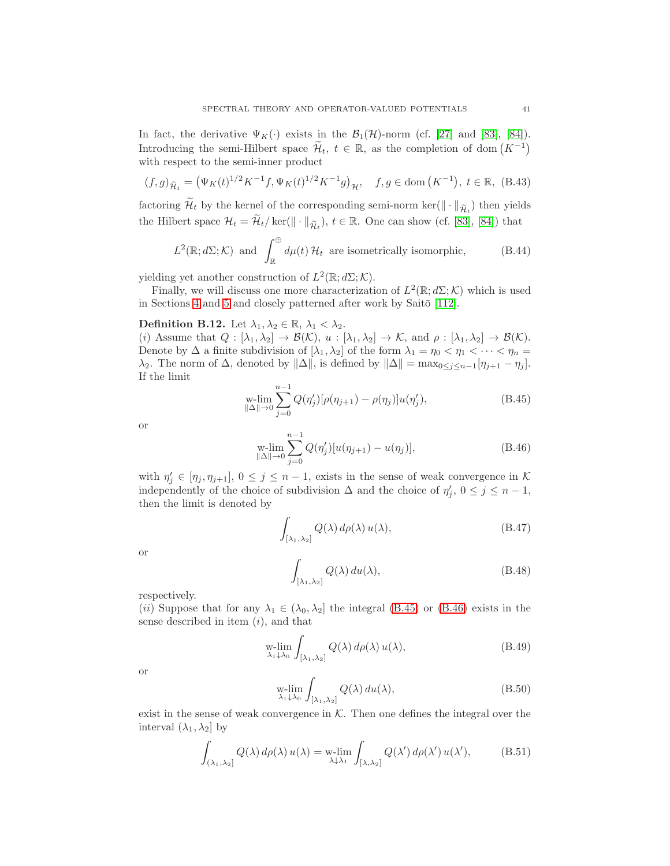In fact, the derivative  $\Psi_K(\cdot)$  exists in the  $\mathcal{B}_1(\mathcal{H})$ -norm (cf. [\[27\]](#page-44-22) and [\[83\]](#page-46-21), [\[84\]](#page-46-17)). Introducing the semi-Hilbert space  $\widetilde{\mathcal{H}}_t$ ,  $t \in \mathbb{R}$ , as the completion of dom  $(K^{-1})$ with respect to the semi-inner product

$$
(f,g)_{\widetilde{\mathcal{H}}_t} = \left(\Psi_K(t)^{1/2} K^{-1} f, \Psi_K(t)^{1/2} K^{-1} g\right)_{\mathcal{H}}, \quad f, g \in \text{dom}\left(K^{-1}\right), \ t \in \mathbb{R}, \ (B.43)
$$

factoring  $\mathcal{H}_t$  by the kernel of the corresponding semi-norm ker( $\|\cdot\|_{\widetilde{\mathcal{H}}_t}$ ) then yields the Hilbert space  $\mathcal{H}_t = \widetilde{\mathcal{H}}_t / \text{ ker}(\|\cdot\|_{\widetilde{\mathcal{H}}_t}), t \in \mathbb{R}$ . One can show (cf. [\[83\]](#page-46-21), [\[84\]](#page-46-17)) that

$$
L^2(\mathbb{R}; d\Sigma; \mathcal{K})
$$
 and  $\int_{\mathbb{R}}^{\oplus} d\mu(t) \mathcal{H}_t$  are isometrically isomorphic, (B.44)

yielding yet another construction of  $L^2(\mathbb{R}; d\Sigma; \mathcal{K})$ .

Finally, we will discuss one more characterization of  $L^2(\mathbb{R}; d\Sigma; \mathcal{K})$  which is used in Sections [4](#page-14-0) and [5](#page-22-0) and closely patterned after work by Saitō  $[112]$ .

## <span id="page-40-2"></span>**Definition B.12.** Let  $\lambda_1, \lambda_2 \in \mathbb{R}, \lambda_1 < \lambda_2$ .

(i) Assume that  $Q : [\lambda_1, \lambda_2] \to \mathcal{B}(\mathcal{K}), u : [\lambda_1, \lambda_2] \to \mathcal{K}$ , and  $\rho : [\lambda_1, \lambda_2] \to \mathcal{B}(\mathcal{K}).$ Denote by  $\Delta$  a finite subdivision of  $[\lambda_1, \lambda_2]$  of the form  $\lambda_1 = \eta_0 < \eta_1 < \cdots < \eta_n =$  $\lambda_2$ . The norm of  $\Delta$ , denoted by  $\|\Delta\|$ , is defined by  $\|\Delta\| = \max_{0 \leq j \leq n-1} [\eta_{j+1} - \eta_j]$ . If the limit

<span id="page-40-0"></span>
$$
\lim_{\|\Delta\|\to 0} \sum_{j=0}^{n-1} Q(\eta'_j) [\rho(\eta_{j+1}) - \rho(\eta_j)] u(\eta'_j),
$$
\n(B.45)

or

<span id="page-40-1"></span>
$$
\lim_{\|\Delta\|\to 0} \sum_{j=0}^{n-1} Q(\eta'_j) [u(\eta_{j+1}) - u(\eta_j)], \tag{B.46}
$$

with  $\eta'_{j} \in [\eta_{j}, \eta_{j+1}], 0 \leq j \leq n-1$ , exists in the sense of weak convergence in K independently of the choice of subdivision  $\Delta$  and the choice of  $\eta'_j$ ,  $0 \leq j \leq n-1$ , then the limit is denoted by

$$
\int_{[\lambda_1,\lambda_2]} Q(\lambda) d\rho(\lambda) u(\lambda), \tag{B.47}
$$

or

$$
\int_{[\lambda_1,\lambda_2]} Q(\lambda) du(\lambda),\tag{B.48}
$$

respectively.

(ii) Suppose that for any  $\lambda_1 \in (\lambda_0, \lambda_2]$  the integral [\(B.45\)](#page-40-0) or [\(B.46\)](#page-40-1) exists in the sense described in item  $(i)$ , and that

$$
\operatorname*{w-lim}_{\lambda_1 \downarrow \lambda_0} \int_{[\lambda_1, \lambda_2]} Q(\lambda) \, d\rho(\lambda) \, u(\lambda),\tag{B.49}
$$

or

$$
\operatorname*{w-lim}_{\lambda_1 \downarrow \lambda_0} \int_{[\lambda_1, \lambda_2]} Q(\lambda) \, du(\lambda),\tag{B.50}
$$

exist in the sense of weak convergence in  $K$ . Then one defines the integral over the interval  $(\lambda_1, \lambda_2]$  by

$$
\int_{(\lambda_1,\lambda_2]} Q(\lambda) d\rho(\lambda) u(\lambda) = \text{w-lim}_{\lambda \downarrow \lambda_1} \int_{[\lambda,\lambda_2]} Q(\lambda') d\rho(\lambda') u(\lambda'), \quad (B.51)
$$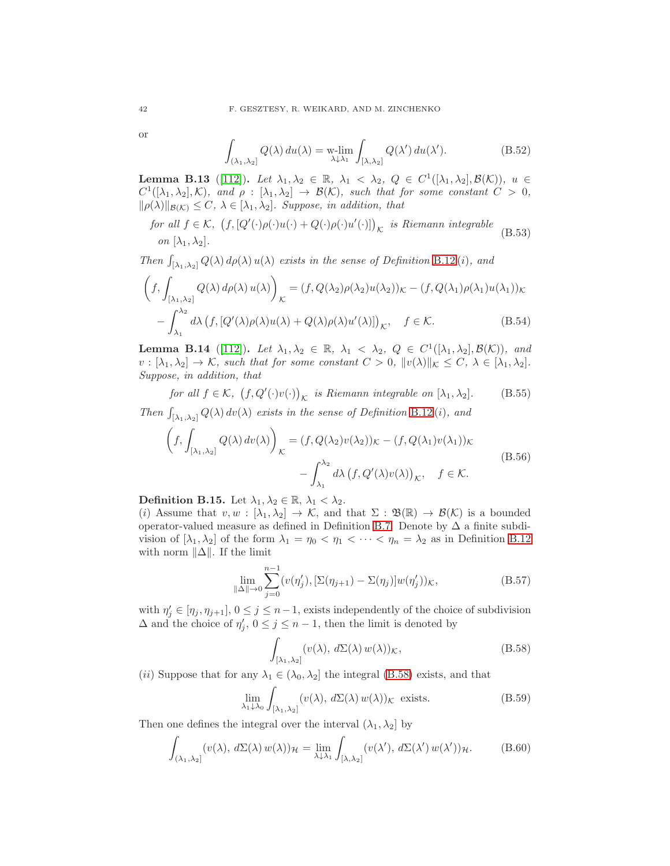or

$$
\int_{(\lambda_1,\lambda_2]} Q(\lambda) du(\lambda) = \text{w-lim}_{\lambda \downarrow \lambda_1} \int_{[\lambda,\lambda_2]} Q(\lambda') du(\lambda'). \tag{B.52}
$$

**Lemma B.13** ([\[112\]](#page-47-2)). Let  $\lambda_1, \lambda_2 \in \mathbb{R}$ ,  $\lambda_1 < \lambda_2$ ,  $Q \in C^1([\lambda_1, \lambda_2], \mathcal{B}(\mathcal{K}))$ ,  $u \in$  $C^1([\lambda_1, \lambda_2], \mathcal{K})$ , and  $\rho : [\lambda_1, \lambda_2] \to \mathcal{B}(\mathcal{K})$ , such that for some constant  $C > 0$ ,  $\|\rho(\lambda)\|_{\mathcal{B}(\mathcal{K})} \leq C, \ \lambda \in [\lambda_1, \lambda_2].$  Suppose, in addition, that

for all 
$$
f \in K
$$
,  $(f, [Q'(\cdot)\rho(\cdot)u(\cdot) + Q(\cdot)\rho(\cdot)u'(\cdot)])_K$  is Riemann integrable  
on  $[\lambda_1, \lambda_2]$ . (B.53)

Then  $\int_{[\lambda_1,\lambda_2]} Q(\lambda) d\rho(\lambda) u(\lambda)$  exists in the sense of Definition [B.12](#page-40-2)(i), and

$$
\left(f, \int_{\lbrack \lambda_1, \lambda_2 \rbrack} Q(\lambda) d\rho(\lambda) u(\lambda) \right)_{\mathcal{K}} = (f, Q(\lambda_2) \rho(\lambda_2) u(\lambda_2))_{\mathcal{K}} - (f, Q(\lambda_1) \rho(\lambda_1) u(\lambda_1))_{\mathcal{K}} -\int_{\lambda_1}^{\lambda_2} d\lambda \left(f, [Q'(\lambda) \rho(\lambda) u(\lambda) + Q(\lambda) \rho(\lambda) u'(\lambda)]\right)_{\mathcal{K}}, \quad f \in \mathcal{K}.
$$
 (B.54)

**Lemma B.14** ([\[112\]](#page-47-2)). Let  $\lambda_1, \lambda_2 \in \mathbb{R}$ ,  $\lambda_1 < \lambda_2$ ,  $Q \in C^1([\lambda_1, \lambda_2], \mathcal{B}(\mathcal{K}))$ , and  $v : [\lambda_1, \lambda_2] \to \mathcal{K}$ , such that for some constant  $C > 0$ ,  $||v(\lambda)||_{\mathcal{K}} \leq C$ ,  $\lambda \in [\lambda_1, \lambda_2]$ . Suppose, in addition, that

for all  $f \in \mathcal{K}$ ,  $(f, Q'(\cdot)v(\cdot))_{\mathcal{K}}$  is Riemann integrable on  $[\lambda_1, \lambda_2]$ . (B.55)

Then  $\int_{[\lambda_1,\lambda_2]} Q(\lambda) dv(\lambda)$  exists in the sense of Definition [B.12](#page-40-2)(i), and

$$
\left(f, \int_{[\lambda_1, \lambda_2]} Q(\lambda) dv(\lambda)\right)_{\mathcal{K}} = (f, Q(\lambda_2)v(\lambda_2))_{\mathcal{K}} - (f, Q(\lambda_1)v(\lambda_1))_{\mathcal{K}} -\int_{\lambda_1}^{\lambda_2} d\lambda \left(f, Q'(\lambda)v(\lambda)\right)_{\mathcal{K}}, \quad f \in \mathcal{K}.
$$
\n(B.56)

<span id="page-41-1"></span>**Definition B.15.** Let  $\lambda_1, \lambda_2 \in \mathbb{R}, \lambda_1 < \lambda_2$ .

(i) Assume that  $v, w : [\lambda_1, \lambda_2] \to \mathcal{K}$ , and that  $\Sigma : \mathfrak{B}(\mathbb{R}) \to \mathcal{B}(\mathcal{K})$  is a bounded operator-valued measure as defined in Definition [B.7.](#page-35-0) Denote by  $\Delta$  a finite subdivision of  $[\lambda_1, \lambda_2]$  of the form  $\lambda_1 = \eta_0 < \eta_1 < \cdots < \eta_n = \lambda_2$  as in Definition [B.12](#page-40-2) with norm  $\|\Delta\|$ . If the limit

$$
\lim_{\|\Delta\| \to 0} \sum_{j=0}^{n-1} (v(\eta'_j), [\Sigma(\eta_{j+1}) - \Sigma(\eta_j)] w(\eta'_j))_{\mathcal{K}},
$$
\n(B.57)

with  $\eta'_j \in [\eta_j, \eta_{j+1}], 0 \le j \le n-1$ , exists independently of the choice of subdivision  $\Delta$  and the choice of  $\eta'_j$ ,  $0 \le j \le n-1$ , then the limit is denoted by

<span id="page-41-0"></span>
$$
\int_{[\lambda_1,\lambda_2]} (v(\lambda), d\Sigma(\lambda) w(\lambda)) \mathcal{K},
$$
\n(B.58)

(*ii*) Suppose that for any  $\lambda_1 \in (\lambda_0, \lambda_2]$  the integral [\(B.58\)](#page-41-0) exists, and that

$$
\lim_{\lambda_1 \downarrow \lambda_0} \int_{[\lambda_1, \lambda_2]} (v(\lambda), d\Sigma(\lambda) w(\lambda)) \mathcal{K} \text{ exists.}
$$
 (B.59)

Then one defines the integral over the interval  $(\lambda_1, \lambda_2]$  by

$$
\int_{(\lambda_1,\lambda_2]} (v(\lambda), d\Sigma(\lambda) w(\lambda))_{\mathcal{H}} = \lim_{\lambda \downarrow \lambda_1} \int_{[\lambda,\lambda_2]} (v(\lambda'), d\Sigma(\lambda') w(\lambda'))_{\mathcal{H}}.
$$
 (B.60)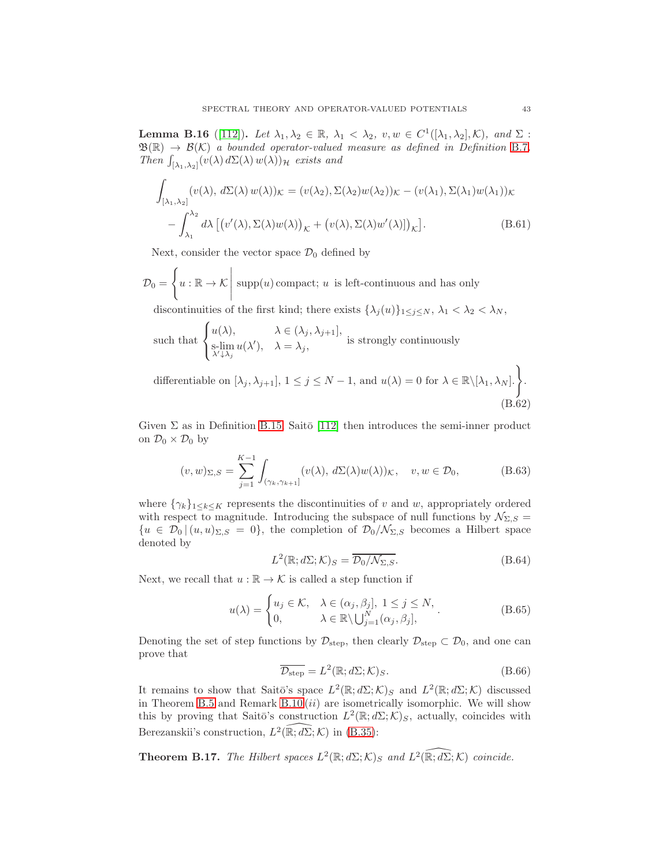<span id="page-42-0"></span>**Lemma B.16** ([\[112\]](#page-47-2)). Let  $\lambda_1, \lambda_2 \in \mathbb{R}$ ,  $\lambda_1 < \lambda_2$ ,  $v, w \in C^1([\lambda_1, \lambda_2], \mathcal{K})$ , and  $\Sigma$ :  $\mathfrak{B}(\mathbb{R}) \to \mathcal{B}(\mathcal{K})$  a bounded operator-valued measure as defined in Definition [B.7](#page-35-0). Then  $\int_{[\lambda_1,\lambda_2]} (v(\lambda) d\Sigma(\lambda) w(\lambda))_{\mathcal{H}}$  exists and

$$
\int_{\left[\lambda_1,\lambda_2\right]} (v(\lambda), d\Sigma(\lambda) w(\lambda))\kappa = (v(\lambda_2), \Sigma(\lambda_2) w(\lambda_2))\kappa - (v(\lambda_1), \Sigma(\lambda_1) w(\lambda_1))\kappa - \int_{\lambda_1}^{\lambda_2} d\lambda \left[ (v'(\lambda), \Sigma(\lambda) w(\lambda))_{\mathcal{K}} + (v(\lambda), \Sigma(\lambda) w'(\lambda)) \right]_{\mathcal{K}} \right].
$$
\n(B.61)

Next, consider the vector space  $\mathcal{D}_0$  defined by

$$
\mathcal{D}_0 = \left\{ u : \mathbb{R} \to \mathcal{K} \, \middle| \, \text{supp}(u) \, \text{compact}; \, u \text{ is left-continuous and has only} \right\}
$$

discontinuities of the first kind; there exists  $\{\lambda_j(u)\}_{1\leq j\leq N}$ ,  $\lambda_1 < \lambda_2 < \lambda_N$ ,

such that 
$$
\begin{cases} u(\lambda), & \lambda \in (\lambda_j, \lambda_{j+1}], \\ \text{s-lim}\ u(\lambda'), & \lambda = \lambda_j, \end{cases}
$$
 is strongly continuously

differentiable on  $[\lambda_j, \lambda_{j+1}], 1 \le j \le N-1$ , and  $u(\lambda) = 0$  for  $\lambda \in \mathbb{R} \setminus [\lambda_1, \lambda_N].$ (B.62)

Given  $\Sigma$  as in Definition [B.15,](#page-41-1) Saito [\[112\]](#page-47-2) then introduces the semi-inner product on  $\mathcal{D}_0 \times \mathcal{D}_0$  by

$$
(v, w)_{\Sigma, S} = \sum_{j=1}^{K-1} \int_{(\gamma_k, \gamma_{k+1}]} (v(\lambda), d\Sigma(\lambda)w(\lambda))_{\mathcal{K}}, \quad v, w \in \mathcal{D}_0,
$$
 (B.63)

where  $\{\gamma_k\}_{1\leq k\leq K}$  represents the discontinuities of v and w, appropriately ordered with respect to magnitude. Introducing the subspace of null functions by  $\mathcal{N}_{\Sigma,S}$  =  ${u \in \mathcal{D}_0 | (u, u)_{\Sigma, S} = 0},$  the completion of  $\mathcal{D}_0/\mathcal{N}_{\Sigma, S}$  becomes a Hilbert space denoted by

$$
L^{2}(\mathbb{R}; d\Sigma; \mathcal{K})_{S} = \overline{\mathcal{D}_{0}/\mathcal{N}_{\Sigma, S}}.
$$
\n(B.64)

Next, we recall that  $u : \mathbb{R} \to \mathcal{K}$  is called a step function if

$$
u(\lambda) = \begin{cases} u_j \in \mathcal{K}, & \lambda \in (\alpha_j, \beta_j], 1 \le j \le N, \\ 0, & \lambda \in \mathbb{R} \setminus \bigcup_{j=1}^N (\alpha_j, \beta_j], \end{cases}
$$
 (B.65)

Denoting the set of step functions by  $\mathcal{D}_{step}$ , then clearly  $\mathcal{D}_{step} \subset \mathcal{D}_0$ , and one can prove that

$$
\overline{\mathcal{D}_{\text{step}}} = L^2(\mathbb{R}; d\Sigma; \mathcal{K})_S. \tag{B.66}
$$

It remains to show that Saitō's space  $L^2(\mathbb{R}; d\Sigma; \mathcal{K})_S$  and  $L^2(\mathbb{R}; d\Sigma; \mathcal{K})$  discussed in Theorem [B.5](#page-35-1) and Remark  $B.10 (ii)$  are isometrically isomorphic. We will show this by proving that Saitō's construction  $L^2(\mathbb{R};d\Sigma;\mathcal{K})_S$ , actually, coincides with Berezanskii's construction,  $L^2(\widehat{\mathbb{R}}; d\widehat{\Sigma}; \mathcal{K})$  in [\(B.35\)](#page-38-3):

<span id="page-42-1"></span>**Theorem B.17.** The Hilbert spaces  $L^2(\mathbb{R}; d\Sigma; \mathcal{K})$  and  $L^2(\widehat{\mathbb{R}}; d\Sigma; \mathcal{K})$  coincide.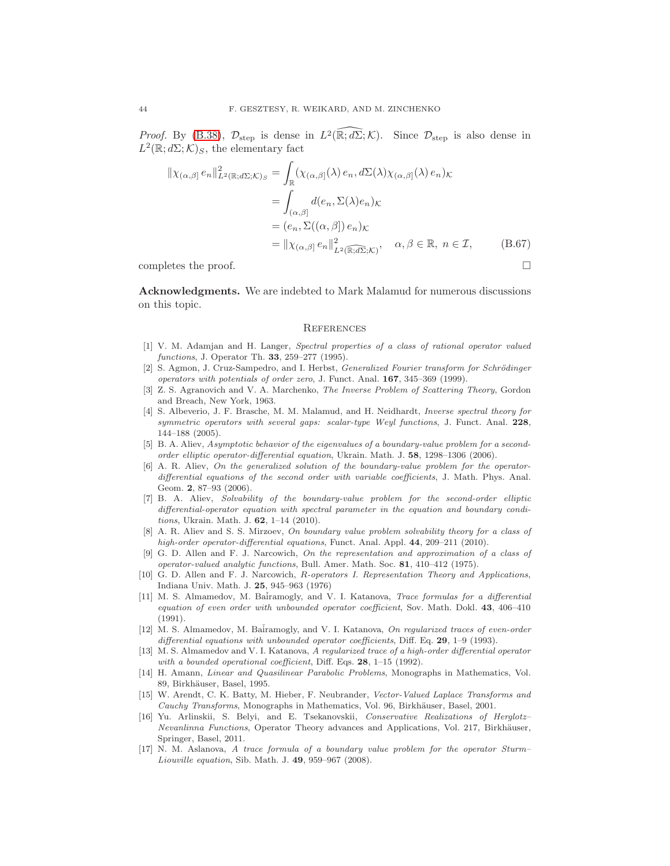*Proof.* By [\(B.38\)](#page-39-0),  $\mathcal{D}_{\text{step}}$  is dense in  $L^2(\mathbb{R}; d\Sigma; \mathcal{K})$ . Since  $\mathcal{D}_{\text{step}}$  is also dense in  $L^2(\mathbb{R};d\Sigma;\mathcal{K})_S$ , the elementary fact

$$
\|\chi_{(\alpha,\beta)} e_n\|_{L^2(\mathbb{R};d\Sigma;\mathcal{K})_S}^2 = \int_{\mathbb{R}} (\chi_{(\alpha,\beta]}(\lambda) e_n, d\Sigma(\lambda) \chi_{(\alpha,\beta]}(\lambda) e_n) \kappa
$$
  
\n
$$
= \int_{(\alpha,\beta]} d(e_n, \Sigma(\lambda) e_n) \kappa
$$
  
\n
$$
= (e_n, \Sigma((\alpha,\beta]) e_n) \kappa
$$
  
\n
$$
= \|\chi_{(\alpha,\beta)} e_n\|_{L^2(\mathbb{R};d\Sigma;\mathcal{K})}^2, \quad \alpha, \beta \in \mathbb{R}, n \in \mathcal{I}, \qquad (B.67)
$$

completes the proof.  $\Box$ 

Acknowledgments. We are indebted to Mark Malamud for numerous discussions on this topic.

#### **REFERENCES**

- <span id="page-43-12"></span>[1] V. M. Adamjan and H. Langer, Spectral properties of a class of rational operator valued functions, J. Operator Th. 33, 259–277 (1995).
- <span id="page-43-9"></span>[2] S. Agmon, J. Cruz-Sampedro, and I. Herbst, *Generalized Fourier transform for Schrödinger* operators with potentials of order zero, J. Funct. Anal. 167, 345–369 (1999).
- <span id="page-43-0"></span>[3] Z. S. Agranovich and V. A. Marchenko, The Inverse Problem of Scattering Theory, Gordon and Breach, New York, 1963.
- <span id="page-43-15"></span>[4] S. Albeverio, J. F. Brasche, M. M. Malamud, and H. Neidhardt, *Inverse spectral theory for* symmetric operators with several gaps: scalar-type Weyl functions, J. Funct. Anal. 228, 144–188 (2005).
- <span id="page-43-5"></span>[5] B. A. Aliev, Asymptotic behavior of the eigenvalues of a boundary-value problem for a secondorder elliptic operator-differential equation, Ukrain. Math. J. 58, 1298–1306 (2006).
- <span id="page-43-7"></span>[6] A. R. Aliev, On the generalized solution of the boundary-value problem for the operatordifferential equations of the second order with variable coefficients, J. Math. Phys. Anal. Geom. 2, 87–93 (2006).
- <span id="page-43-6"></span>[7] B. A. Aliev, Solvability of the boundary-value problem for the second-order elliptic differential-operator equation with spectral parameter in the equation and boundary conditions, Ukrain. Math. J. 62, 1–14 (2010).
- <span id="page-43-8"></span>[8] A. R. Aliev and S. S. Mirzoev, On boundary value problem solvability theory for a class of high-order operator-differential equations, Funct. Anal. Appl. 44, 209-211 (2010).
- <span id="page-43-13"></span>[9] G. D. Allen and F. J. Narcowich, On the representation and approximation of a class of operator-valued analytic functions, Bull. Amer. Math. Soc. 81, 410–412 (1975).
- <span id="page-43-14"></span>[10] G. D. Allen and F. J. Narcowich, R-operators I. Representation Theory and Applications, Indiana Univ. Math. J. 25, 945–963 (1976)
- <span id="page-43-1"></span>[11] M. S. Almamedov, M. Bairamogly, and V. I. Katanova, Trace formulas for a differential equation of even order with unbounded operator coefficient, Sov. Math. Dokl. 43, 406-410  $(1991)$ .
- <span id="page-43-2"></span>[12] M. S. Almamedov, M. Batramogly, and V. I. Katanova, On regularized traces of even-order differential equations with unbounded operator coefficients, Diff. Eq.  $29, 1-9$  (1993).
- <span id="page-43-3"></span>[13] M. S. Almamedov and V. I. Katanova, A regularized trace of a high-order differential operator with a bounded operational coefficient, Diff. Eqs. 28, 1-15 (1992).
- <span id="page-43-11"></span>[14] H. Amann, Linear and Quasilinear Parabolic Problems, Monographs in Mathematics, Vol. 89, Birkhäuser, Basel, 1995.
- <span id="page-43-10"></span>[15] W. Arendt, C. K. Batty, M. Hieber, F. Neubrander, Vector-Valued Laplace Transforms and Cauchy Transforms, Monographs in Mathematics, Vol. 96, Birkhäuser, Basel, 2001.
- <span id="page-43-16"></span>[16] Yu. Arlinskii, S. Belyi, and E. Tsekanovskii, Conservative Realizations of Herglotz– Nevanlinna Functions, Operator Theory advances and Applications, Vol. 217, Birkhäuser, Springer, Basel, 2011.
- <span id="page-43-4"></span>[17] N. M. Aslanova, A trace formula of a boundary value problem for the operator Sturm– Liouville equation, Sib. Math. J. 49, 959–967 (2008).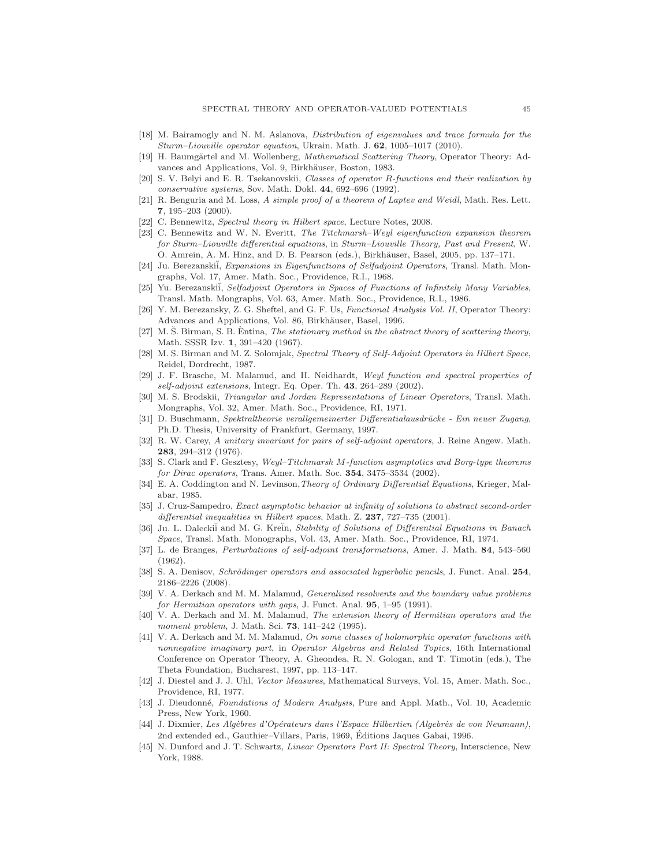- <span id="page-44-5"></span><span id="page-44-1"></span>[18] M. Bairamogly and N. M. Aslanova, Distribution of eigenvalues and trace formula for the Sturm–Liouville operator equation, Ukrain. Math. J. 62, 1005–1017 (2010).
- [19] H. Baumgärtel and M. Wollenberg, *Mathematical Scattering Theory*, Operator Theory: Advances and Applications, Vol. 9, Birkhäuser, Boston, 1983.
- <span id="page-44-16"></span>[20] S. V. Belyi and E. R. Tsekanovskii, Classes of operator R-functions and their realization by conservative systems, Sov. Math. Dokl. 44, 692–696 (1992).
- <span id="page-44-0"></span>[21] R. Benguria and M. Loss, A simple proof of a theorem of Laptev and Weidl, Math. Res. Lett. 7, 195–203 (2000).
- <span id="page-44-10"></span><span id="page-44-9"></span>[22] C. Bennewitz, Spectral theory in Hilbert space, Lecture Notes, 2008.
- [23] C. Bennewitz and W. N. Everitt, The Titchmarsh–Weyl eigenfunction expansion theorem for Sturm–Liouville differential equations, in Sturm–Liouville Theory, Past and Present, W. O. Amrein, A. M. Hinz, and D. B. Pearson (eds.), Birkhäuser, Basel, 2005, pp. 137–171.
- <span id="page-44-14"></span>[24] Ju. Berezanskii, Expansions in Eigenfunctions of Selfadjoint Operators, Transl. Math. Mongraphs, Vol. 17, Amer. Math. Soc., Providence, R.I., 1968.
- <span id="page-44-25"></span>[25] Yu. Berezanskii, Selfadjoint Operators in Spaces of Functions of Infinitely Many Variables, Transl. Math. Mongraphs, Vol. 63, Amer. Math. Soc., Providence, R.I., 1986.
- <span id="page-44-26"></span>[26] Y. M. Berezansky, Z. G. Sheftel, and G. F. Us, Functional Analysis Vol. II, Operator Theory: Advances and Applications, Vol. 86, Birkhäuser, Basel, 1996.
- <span id="page-44-22"></span> $[27]$  M. Š. Birman, S. B. Entina, The stationary method in the abstract theory of scattering theory, Math. SSSR Izv. 1, 391–420 (1967).
- <span id="page-44-6"></span>[28] M. S. Birman and M. Z. Solomjak, Spectral Theory of Self-Adjoint Operators in Hilbert Space, Reidel, Dordrecht, 1987.
- <span id="page-44-23"></span>J. F. Brasche, M. Malamud, and H. Neidhardt, Weyl function and spectral properties of  $self-adjoint$  extensions, Integr. Eq. Oper. Th.  $43, 264-289$  (2002).
- <span id="page-44-18"></span><span id="page-44-17"></span>[30] M. S. Brodskii, Triangular and Jordan Representations of Linear Operators, Transl. Math. Mongraphs, Vol. 32, Amer. Math. Soc., Providence, RI, 1971.
- [31] D. Buschmann, Spektraltheorie verallgemeinerter Differentialausdrücke Ein neuer Zugang, Ph.D. Thesis, University of Frankfurt, Germany, 1997.
- <span id="page-44-19"></span>[32] R. W. Carey, A unitary invariant for pairs of self-adjoint operators, J. Reine Angew. Math. 283, 294–312 (1976).
- <span id="page-44-13"></span>[33] S. Clark and F. Gesztesy, Weyl–Titchmarsh M-function asymptotics and Borg-type theorems for Dirac operators, Trans. Amer. Math. Soc.  $354$ ,  $3475-3534$   $(2002)$ .
- <span id="page-44-11"></span>[34] E. A. Coddington and N. Levinson,Theory of Ordinary Differential Equations, Krieger, Malabar, 1985.
- <span id="page-44-3"></span>[35] J. Cruz-Sampedro, Exact asymptotic behavior at infinity of solutions to abstract second-order differential inequalities in Hilbert spaces, Math. Z. 237, 727–735 (2001).
- <span id="page-44-7"></span>[36] Ju. L. Daleckit and M. G. Kretin, Stability of Solutions of Differential Equations in Banach Space, Transl. Math. Monographs, Vol. 43, Amer. Math. Soc., Providence, RI, 1974.
- <span id="page-44-20"></span>[37] L. de Branges, Perturbations of self-adjoint transformations, Amer. J. Math. 84, 543–560 (1962).
- <span id="page-44-2"></span>[38] S. A. Denisov, Schrödinger operators and associated hyperbolic pencils, J. Funct. Anal. 254, 2186–2226 (2008).
- <span id="page-44-21"></span>[39] V. A. Derkach and M. M. Malamud, Generalized resolvents and the boundary value problems for Hermitian operators with gaps, J. Funct. Anal.  $95, 1-95$  (1991).
- [40] V. A. Derkach and M. M. Malamud, The extension theory of Hermitian operators and the moment problem, J. Math. Sci. **73**, 141-242 (1995).
- <span id="page-44-15"></span>[41] V. A. Derkach and M. M. Malamud, On some classes of holomorphic operator functions with nonnegative imaginary part, in Operator Algebras and Related Topics, 16th International Conference on Operator Theory, A. Gheondea, R. N. Gologan, and T. Timotin (eds.), The Theta Foundation, Bucharest, 1997, pp. 113–147.
- <span id="page-44-4"></span>[42] J. Diestel and J. J. Uhl, Vector Measures, Mathematical Surveys, Vol. 15, Amer. Math. Soc., Providence, RI, 1977.
- <span id="page-44-8"></span>[43] J. Dieudonné, Foundations of Modern Analysis, Pure and Appl. Math., Vol. 10, Academic Press, New York, 1960.
- <span id="page-44-24"></span>[44] J. Dixmier, Les Algèbres d'Opérateurs dans l'Espace Hilbertien (Algebrès de von Neumann), 2nd extended ed., Gauthier–Villars, Paris, 1969, Editions Jaques Gabai, 1996. ´
- <span id="page-44-12"></span>[45] N. Dunford and J. T. Schwartz, Linear Operators Part II: Spectral Theory, Interscience, New York, 1988.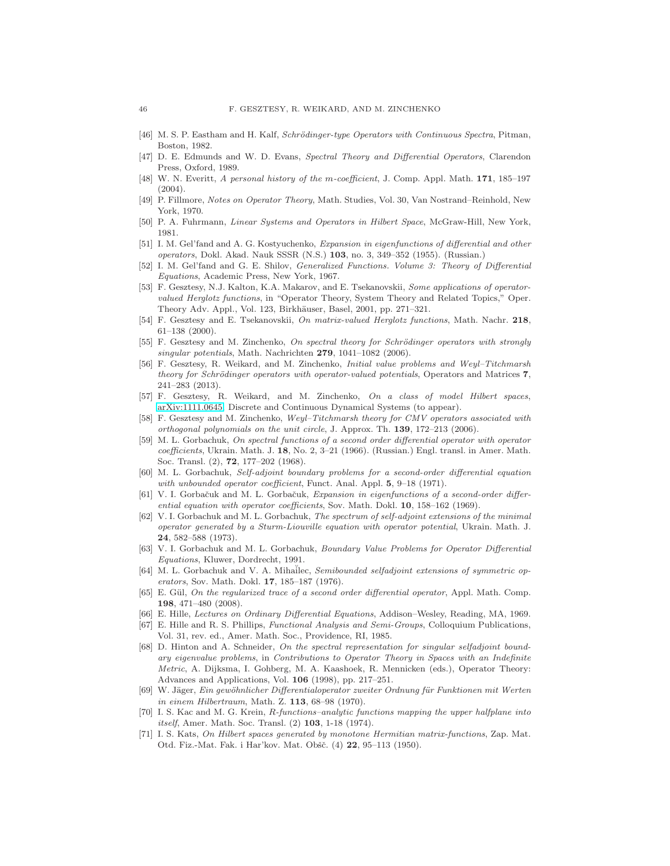- <span id="page-45-14"></span><span id="page-45-13"></span>[46] M. S. P. Eastham and H. Kalf, Schrödinger-type Operators with Continuous Spectra, Pitman, Boston, 1982.
- [47] D. E. Edmunds and W. D. Evans, Spectral Theory and Differential Operators, Clarendon Press, Oxford, 1989.
- <span id="page-45-15"></span>[48] W. N. Everitt, A personal history of the m-coefficient, J. Comp. Appl. Math. 171, 185–197  $(2004)$ .
- <span id="page-45-20"></span>[49] P. Fillmore, Notes on Operator Theory, Math. Studies, Vol. 30, Van Nostrand–Reinhold, New York, 1970.
- <span id="page-45-24"></span><span id="page-45-23"></span>[50] P. A. Fuhrmann, Linear Systems and Operators in Hilbert Space, McGraw-Hill, New York, 1981.
- [51] I. M. Gel'fand and A. G. Kostyuchenko, Expansion in eigenfunctions of differential and other operators, Dokl. Akad. Nauk SSSR  $(N.S.)$  103, no. 3, 349–352 (1955). (Russian.)
- <span id="page-45-25"></span>[52] I. M. Gel'fand and G. E. Shilov, Generalized Functions. Volume 3: Theory of Differential Equations, Academic Press, New York, 1967.
- <span id="page-45-8"></span>[53] F. Gesztesy, N.J. Kalton, K.A. Makarov, and E. Tsekanovskii, Some applications of operatorvalued Herglotz functions, in "Operator Theory, System Theory and Related Topics," Oper. Theory Adv. Appl., Vol. 123, Birkhäuser, Basel, 2001, pp. 271–321.
- <span id="page-45-19"></span>[54] F. Gesztesy and E. Tsekanovskii, On matrix-valued Herglotz functions, Math. Nachr. 218, 61–138 (2000).
- <span id="page-45-17"></span>[55] F. Gesztesy and M. Zinchenko, On spectral theory for Schrödinger operators with strongly singular potentials, Math. Nachrichten 279, 1041-1082 (2006).
- <span id="page-45-7"></span>[56] F. Gesztesy, R. Weikard, and M. Zinchenko, Initial value problems and Weyl–Titchmarsh theory for Schrödinger operators with operator-valued potentials, Operators and Matrices 7, 241–283 (2013).
- <span id="page-45-9"></span>[57] F. Gesztesy, R. Weikard, and M. Zinchenko, On a class of model Hilbert spaces, [arXiv:1111.0645,](http://arxiv.org/abs/1111.0645) Discrete and Continuous Dynamical Systems (to appear).
- <span id="page-45-18"></span>[58] F. Gesztesy and M. Zinchenko, Weyl–Titchmarsh theory for CMV operators associated with orthogonal polynomials on the unit circle, J. Approx. Th. 139, 172–213 (2006).
- <span id="page-45-2"></span>[59] M. L. Gorbachuk, On spectral functions of a second order differential operator with operator coefficients, Ukrain. Math. J. 18, No. 2, 3–21 (1966). (Russian.) Engl. transl. in Amer. Math. Soc. Transl. (2), 72, 177–202 (1968).
- <span id="page-45-6"></span>[60] M. L. Gorbachuk, Self-adjoint boundary problems for a second-order differential equation with unbounded operator coefficient, Funct. Anal. Appl. 5, 9–18 (1971).
- <span id="page-45-3"></span>[61] V. I. Gorbačuk and M. L. Gorbačuk, Expansion in eigenfunctions of a second-order differential equation with operator coefficients, Sov. Math. Dokl. 10, 158–162 (1969).
- <span id="page-45-0"></span>[62] V. I. Gorbachuk and M. L. Gorbachuk, The spectrum of self-adjoint extensions of the minimal operator generated by a Sturm-Liouville equation with operator potential, Ukrain. Math. J. 24, 582–588 (1973).
- <span id="page-45-1"></span>[63] V. I. Gorbachuk and M. L. Gorbachuk, Boundary Value Problems for Operator Differential Equations, Kluwer, Dordrecht, 1991.
- <span id="page-45-4"></span>[64] M. L. Gorbachuk and V. A. Mihaĭlec, Semibounded selfadjoint extensions of symmetric operators, Sov. Math. Dokl. 17, 185–187 (1976).
- <span id="page-45-5"></span>[65] E. Gül, On the regularized trace of a second order differential operator, Appl. Math. Comp. 198, 471–480 (2008).
- <span id="page-45-12"></span><span id="page-45-11"></span>[66] E. Hille, Lectures on Ordinary Differential Equations, Addison–Wesley, Reading, MA, 1969.
- [67] E. Hille and R. S. Phillips, Functional Analysis and Semi-Groups, Colloquium Publications, Vol. 31, rev. ed., Amer. Math. Soc., Providence, RI, 1985.
- <span id="page-45-16"></span>[68] D. Hinton and A. Schneider, On the spectral representation for singular selfadjoint boundary eigenvalue problems, in Contributions to Operator Theory in Spaces with an Indefinite Metric, A. Dijksma, I. Gohberg, M. A. Kaashoek, R. Mennicken (eds.), Operator Theory: Advances and Applications, Vol. 106 (1998), pp. 217–251.
- <span id="page-45-10"></span>[69] W. Jäger, Ein gewöhnlicher Differentialoperator zweiter Ordnung für Funktionen mit Werten in einem Hilbertraum, Math. Z. 113, 68–98 (1970).
- <span id="page-45-21"></span>[70] I. S. Kac and M. G. Krein, R-functions–analytic functions mapping the upper halfplane into itself, Amer. Math. Soc. Transl. (2) 103, 1-18 (1974).
- <span id="page-45-22"></span>[71] I. S. Kats, On Hilbert spaces generated by monotone Hermitian matrix-functions, Zap. Mat. Otd. Fiz.-Mat. Fak. i Har'kov. Mat. Obšč. (4) 22, 95-113 (1950).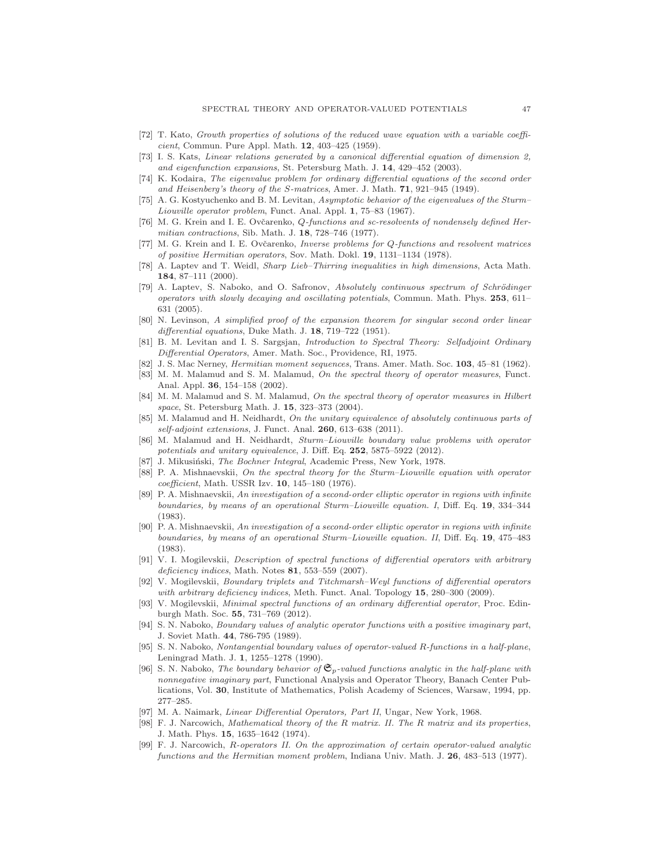- <span id="page-46-27"></span><span id="page-46-5"></span>[72] T. Kato, Growth properties of solutions of the reduced wave equation with a variable coefficient, Commun. Pure Appl. Math. 12, 403–425 (1959).
- [73] I. S. Kats, Linear relations generated by a canonical differential equation of dimension 2, and eigenfunction expansions, St. Petersburg Math. J. 14, 429–452 (2003).
- <span id="page-46-13"></span>[74] K. Kodaira, The eigenvalue problem for ordinary differential equations of the second order and Heisenberg's theory of the S-matrices, Amer. J. Math. 71, 921–945 (1949).
- <span id="page-46-4"></span>[75] A. G. Kostyuchenko and B. M. Levitan, Asymptotic behavior of the eigenvalues of the Sturm– Liouville operator problem, Funct. Anal. Appl. 1, 75–83 (1967).
- <span id="page-46-18"></span>[76] M. G. Krein and I. E. Ovčarenko, Q-functions and sc-resolvents of nondensely defined Hermitian contractions, Sib. Math. J. 18, 728–746 (1977).
- <span id="page-46-19"></span>[77] M. G. Krein and I. E. Ovčarenko, Inverse problems for Q-functions and resolvent matrices of positive Hermitian operators, Sov. Math. Dokl. 19, 1131–1134 (1978).
- <span id="page-46-0"></span>[78] A. Laptev and T. Weidl, Sharp Lieb–Thirring inequalities in high dimensions, Acta Math. 184, 87–111 (2000).
- <span id="page-46-6"></span>[79] A. Laptev, S. Naboko, and O. Safronov, Absolutely continuous spectrum of Schrödinger operators with slowly decaying and oscillating potentials, Commun. Math. Phys. 253, 611– 631 (2005).
- <span id="page-46-14"></span>[80] N. Levinson, A simplified proof of the expansion theorem for singular second order linear differential equations, Duke Math. J. 18, 719-722 (1951).
- <span id="page-46-15"></span>[81] B. M. Levitan and I. S. Sargsjan, Introduction to Spectral Theory: Selfadjoint Ordinary Differential Operators, Amer. Math. Soc., Providence, RI, 1975.
- <span id="page-46-21"></span><span id="page-46-20"></span>J. S. Mac Nerney, *Hermitian moment sequences*, Trans. Amer. Math. Soc. 103, 45–81 (1962).
- [83] M. M. Malamud and S. M. Malamud, On the spectral theory of operator measures, Funct. Anal. Appl. 36, 154–158 (2002).
- <span id="page-46-17"></span>[84] M. M. Malamud and S. M. Malamud, On the spectral theory of operator measures in Hilbert space, St. Petersburg Math. J. 15, 323-373 (2004).
- <span id="page-46-11"></span>[85] M. Malamud and H. Neidhardt, On the unitary equivalence of absolutely continuous parts of self-adjoint extensions, J. Funct. Anal. **260**, 613–638 (2011).
- <span id="page-46-1"></span>[86] M. Malamud and H. Neidhardt, Sturm–Liouville boundary value problems with operator potentials and unitary equivalence, J. Diff. Eq. 252, 5875–5922 (2012).
- <span id="page-46-10"></span><span id="page-46-7"></span>J. Mikusiński, The Bochner Integral, Academic Press, New York, 1978.
- [88] P. A. Mishnaevskii, On the spectral theory for the Sturm–Liouville equation with operator coefficient, Math. USSR Izv. 10, 145–180 (1976).
- <span id="page-46-8"></span>[89] P. A. Mishnaevskii, An investigation of a second-order elliptic operator in regions with infinite boundaries, by means of an operational Sturm–Liouville equation. I, Diff. Eq. 19, 334–344 (1983).
- <span id="page-46-9"></span>[90] P. A. Mishnaevskii, An investigation of a second-order elliptic operator in regions with infinite boundaries, by means of an operational Sturm–Liouville equation. II, Diff. Eq. 19, 475–483 (1983).
- <span id="page-46-2"></span>[91] V. I. Mogilevskii, Description of spectral functions of differential operators with arbitrary  $deficiency indices, Math. Notes 81, 553–559 (2007).$
- <span id="page-46-12"></span>[92] V. Mogilevskii, Boundary triplets and Titchmarsh–Weyl functions of differential operators with arbitrary deficiency indices, Meth. Funct. Anal. Topology 15, 280–300 (2009).
- <span id="page-46-3"></span>[93] V. Mogilevskii, Minimal spectral functions of an ordinary differential operator, Proc. Edinburgh Math. Soc. 55, 731–769 (2012).
- <span id="page-46-24"></span>[94] S. N. Naboko, Boundary values of analytic operator functions with a positive imaginary part, J. Soviet Math. 44, 786-795 (1989).
- <span id="page-46-25"></span>[95] S. N. Naboko, Nontangential boundary values of operator-valued R-functions in a half-plane, Leningrad Math. J. 1, 1255–1278 (1990).
- <span id="page-46-26"></span>[96] S. N. Naboko, The boundary behavior of  $\mathfrak{S}_p$ -valued functions analytic in the half-plane with nonnegative imaginary part, Functional Analysis and Operator Theory, Banach Center Publications, Vol. 30, Institute of Mathematics, Polish Academy of Sciences, Warsaw, 1994, pp. 277–285.
- <span id="page-46-22"></span><span id="page-46-16"></span>[97] M. A. Naimark, Linear Differential Operators, Part II, Ungar, New York, 1968.
- [98] F. J. Narcowich, Mathematical theory of the R matrix. II. The R matrix and its properties, J. Math. Phys. 15, 1635–1642 (1974).
- <span id="page-46-23"></span>[99] F. J. Narcowich, R-operators II. On the approximation of certain operator-valued analytic functions and the Hermitian moment problem, Indiana Univ. Math. J. 26, 483–513 (1977).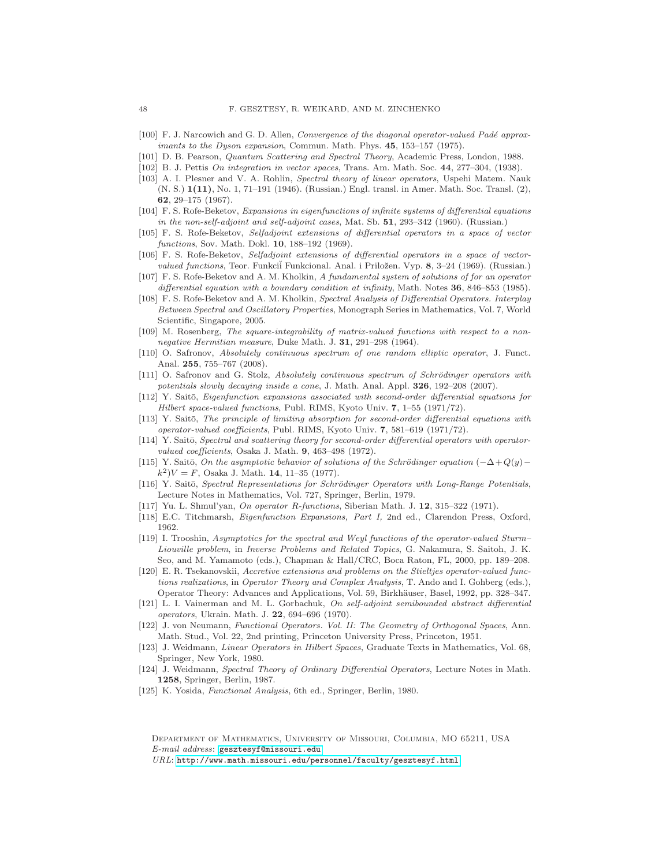- <span id="page-47-21"></span><span id="page-47-14"></span>[100] F. J. Narcowich and G. D. Allen, Convergence of the diagonal operator-valued Padé approximants to the Dyson expansion, Commun. Math. Phys. 45, 153–157 (1975).
- <span id="page-47-10"></span>[101] D. B. Pearson, Quantum Scattering and Spectral Theory, Academic Press, London, 1988.
- <span id="page-47-20"></span>[102] B. J. Pettis On integration in vector spaces, Trans. Am. Math. Soc. 44, 277–304, (1938).
- [103] A. I. Plesner and V. A. Rohlin, Spectral theory of linear operators, Uspehi Matem. Nauk (N. S.) 1(11), No. 1, 71–191 (1946). (Russian.) Engl. transl. in Amer. Math. Soc. Transl. (2), 62, 29–175 (1967).
- <span id="page-47-1"></span>[104] F. S. Rofe-Beketov, Expansions in eigenfunctions of infinite systems of differential equations in the non-self-adjoint and self-adjoint cases, Mat. Sb. 51, 293–342 (1960). (Russian.)
- <span id="page-47-11"></span>[105] F. S. Rofe-Beketov, Selfadjoint extensions of differential operators in a space of vector functions, Sov. Math. Dokl. **10**, 188-192 (1969).
- <span id="page-47-12"></span>[106] F. S. Rofe-Beketov, Selfadjoint extensions of differential operators in a space of vectorvalued functions, Teor. Funkcii Funkcional. Anal. i Priložen. Vyp. 8, 3–24 (1969). (Russian.)
- <span id="page-47-13"></span>[107] F. S. Rofe-Beketov and A. M. Kholkin, A fundamental system of solutions of for an operator differential equation with a boundary condition at infinity, Math. Notes 36, 846–853 (1985).
- <span id="page-47-0"></span>[108] F. S. Rofe-Beketov and A. M. Kholkin, Spectral Analysis of Differential Operators. Interplay Between Spectral and Oscillatory Properties, Monograph Series in Mathematics, Vol. 7, World Scientific, Singapore, 2005.
- <span id="page-47-25"></span>[109] M. Rosenberg, The square-integrability of matrix-valued functions with respect to a nonnegative Hermitian measure, Duke Math. J. 31, 291–298 (1964).
- <span id="page-47-5"></span>[110] O. Safronov, Absolutely continuous spectrum of one random elliptic operator, J. Funct. Anal. 255, 755–767 (2008).
- <span id="page-47-6"></span>[111] O. Safronov and G. Stolz, Absolutely continuous spectrum of Schrödinger operators with potentials slowly decaying inside a cone, J. Math. Anal. Appl. 326, 192–208 (2007).
- <span id="page-47-2"></span>[112] Y. Saitō, Eigenfunction expansions associated with second-order differential equations for Hilbert space-valued functions, Publ. RIMS, Kyoto Univ. 7, 1-55 (1971/72).
- <span id="page-47-7"></span>[113] Y. Saitō, The principle of limiting absorption for second-order differential equations with operator-valued coefficients, Publ. RIMS, Kyoto Univ. 7, 581–619 (1971/72).
- <span id="page-47-18"></span>[114] Y. Saitō, Spectral and scattering theory for second-order differential operators with operatorvalued coefficients, Osaka J. Math. 9, 463-498 (1972).
- <span id="page-47-19"></span>[115] Y. Saitō, On the asymptotic behavior of solutions of the Schrödinger equation  $(-\Delta + Q(y) (k^2)V = F$ , Osaka J. Math. 14, 11-35 (1977).
- <span id="page-47-8"></span>[116] Y. Saitō, Spectral Representations for Schrödinger Operators with Long-Range Potentials, Lecture Notes in Mathematics, Vol. 727, Springer, Berlin, 1979.
- <span id="page-47-22"></span><span id="page-47-15"></span>[117] Yu. L. Shmul'yan, On operator R-functions, Siberian Math. J. 12, 315–322 (1971).
- <span id="page-47-3"></span>[118] E.C. Titchmarsh, Eigenfunction Expansions, Part I, 2nd ed., Clarendon Press, Oxford, 1962.
- [119] I. Trooshin, Asymptotics for the spectral and Weyl functions of the operator-valued Sturm– Liouville problem, in Inverse Problems and Related Topics, G. Nakamura, S. Saitoh, J. K. Seo, and M. Yamamoto (eds.), Chapman & Hall/CRC, Boca Raton, FL, 2000, pp. 189–208.
- <span id="page-47-23"></span>[120] E. R. Tsekanovskii, Accretive extensions and problems on the Stieltjes operator-valued functions realizations, in Operator Theory and Complex Analysis, T. Ando and I. Gohberg (eds.), Operator Theory: Advances and Applications, Vol. 59, Birkhäuser, Basel, 1992, pp. 328–347.
- <span id="page-47-4"></span>[121] L. I. Vainerman and M. L. Gorbachuk, On self-adjoint semibounded abstract differential operators, Ukrain. Math. J. 22, 694–696 (1970).
- <span id="page-47-24"></span>[122] J. von Neumann, Functional Operators. Vol. II: The Geometry of Orthogonal Spaces, Ann. Math. Stud., Vol. 22, 2nd printing, Princeton University Press, Princeton, 1951.
- <span id="page-47-16"></span>[123] J. Weidmann, Linear Operators in Hilbert Spaces, Graduate Texts in Mathematics, Vol. 68, Springer, New York, 1980.
- <span id="page-47-17"></span>[124] J. Weidmann, Spectral Theory of Ordinary Differential Operators, Lecture Notes in Math. 1258, Springer, Berlin, 1987.
- <span id="page-47-9"></span>[125] K. Yosida, Functional Analysis, 6th ed., Springer, Berlin, 1980.

Department of Mathematics, University of Missouri, Columbia, MO 65211, USA E-mail address: [gesztesyf@missouri.edu](mailto:gesztesyf@missouri.edu)

 $URL: \text{http://www.math.missouri.edu/personnel/faculty/gesztesyf.html}$  $URL: \text{http://www.math.missouri.edu/personnel/faculty/gesztesyf.html}$  $URL: \text{http://www.math.missouri.edu/personnel/faculty/gesztesyf.html}$